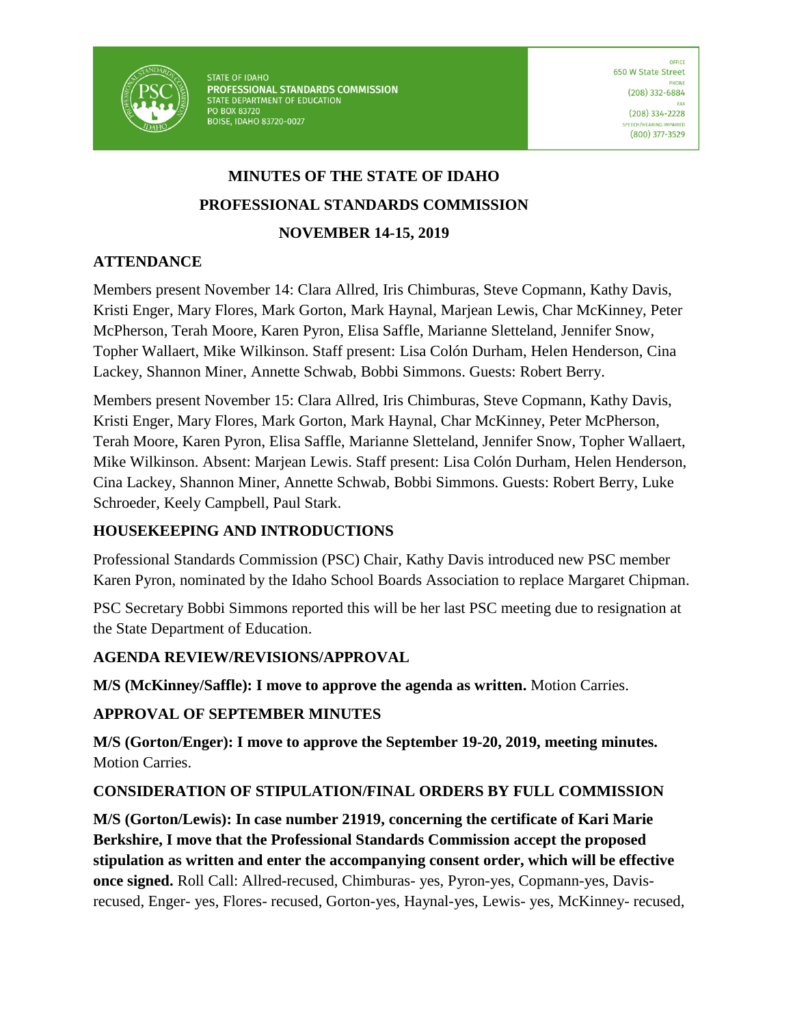

STATE OF IDAHO PROFESSIONAL STANDARDS COMMISSION STATE DEPARTMENT OF EDUCATION PO BOX 83720 BOISE, IDAHO 83720-0027

# **MINUTES OF THE STATE OF IDAHO PROFESSIONAL STANDARDS COMMISSION NOVEMBER 14-15, 2019**

### **ATTENDANCE**

Members present November 14: Clara Allred, Iris Chimburas, Steve Copmann, Kathy Davis, Kristi Enger, Mary Flores, Mark Gorton, Mark Haynal, Marjean Lewis, Char McKinney, Peter McPherson, Terah Moore, Karen Pyron, Elisa Saffle, Marianne Sletteland, Jennifer Snow, Topher Wallaert, Mike Wilkinson. Staff present: Lisa Colón Durham, Helen Henderson, Cina Lackey, Shannon Miner, Annette Schwab, Bobbi Simmons. Guests: Robert Berry.

Members present November 15: Clara Allred, Iris Chimburas, Steve Copmann, Kathy Davis, Kristi Enger, Mary Flores, Mark Gorton, Mark Haynal, Char McKinney, Peter McPherson, Terah Moore, Karen Pyron, Elisa Saffle, Marianne Sletteland, Jennifer Snow, Topher Wallaert, Mike Wilkinson. Absent: Marjean Lewis. Staff present: Lisa Colón Durham, Helen Henderson, Cina Lackey, Shannon Miner, Annette Schwab, Bobbi Simmons. Guests: Robert Berry, Luke Schroeder, Keely Campbell, Paul Stark.

#### **HOUSEKEEPING AND INTRODUCTIONS**

Professional Standards Commission (PSC) Chair, Kathy Davis introduced new PSC member Karen Pyron, nominated by the Idaho School Boards Association to replace Margaret Chipman.

PSC Secretary Bobbi Simmons reported this will be her last PSC meeting due to resignation at the State Department of Education.

#### **AGENDA REVIEW/REVISIONS/APPROVAL**

**M/S (McKinney/Saffle): I move to approve the agenda as written.** Motion Carries.

#### **APPROVAL OF SEPTEMBER MINUTES**

**M/S (Gorton/Enger): I move to approve the September 19-20, 2019, meeting minutes.**  Motion Carries.

#### **CONSIDERATION OF STIPULATION/FINAL ORDERS BY FULL COMMISSION**

**M/S (Gorton/Lewis): In case number 21919, concerning the certificate of Kari Marie Berkshire, I move that the Professional Standards Commission accept the proposed stipulation as written and enter the accompanying consent order, which will be effective once signed.** Roll Call: Allred-recused, Chimburas- yes, Pyron-yes, Copmann-yes, Davisrecused, Enger- yes, Flores- recused, Gorton-yes, Haynal-yes, Lewis- yes, McKinney- recused,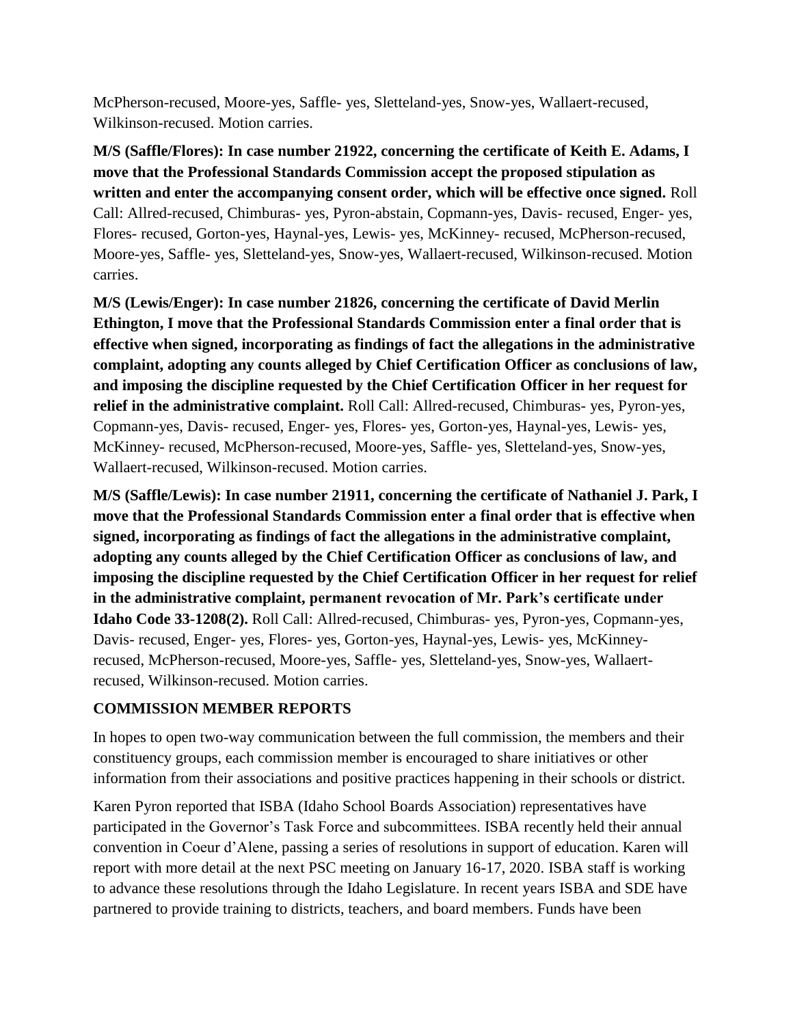McPherson-recused, Moore-yes, Saffle- yes, Sletteland-yes, Snow-yes, Wallaert-recused, Wilkinson-recused. Motion carries.

**M/S (Saffle/Flores): In case number 21922, concerning the certificate of Keith E. Adams, I move that the Professional Standards Commission accept the proposed stipulation as written and enter the accompanying consent order, which will be effective once signed.** Roll Call: Allred-recused, Chimburas- yes, Pyron-abstain, Copmann-yes, Davis- recused, Enger- yes, Flores- recused, Gorton-yes, Haynal-yes, Lewis- yes, McKinney- recused, McPherson-recused, Moore-yes, Saffle- yes, Sletteland-yes, Snow-yes, Wallaert-recused, Wilkinson-recused. Motion carries.

**M/S (Lewis/Enger): In case number 21826, concerning the certificate of David Merlin Ethington, I move that the Professional Standards Commission enter a final order that is effective when signed, incorporating as findings of fact the allegations in the administrative complaint, adopting any counts alleged by Chief Certification Officer as conclusions of law, and imposing the discipline requested by the Chief Certification Officer in her request for relief in the administrative complaint.** Roll Call: Allred-recused, Chimburas- yes, Pyron-yes, Copmann-yes, Davis- recused, Enger- yes, Flores- yes, Gorton-yes, Haynal-yes, Lewis- yes, McKinney- recused, McPherson-recused, Moore-yes, Saffle- yes, Sletteland-yes, Snow-yes, Wallaert-recused, Wilkinson-recused. Motion carries.

**M/S (Saffle/Lewis): In case number 21911, concerning the certificate of Nathaniel J. Park, I move that the Professional Standards Commission enter a final order that is effective when signed, incorporating as findings of fact the allegations in the administrative complaint, adopting any counts alleged by the Chief Certification Officer as conclusions of law, and imposing the discipline requested by the Chief Certification Officer in her request for relief in the administrative complaint, permanent revocation of Mr. Park's certificate under Idaho Code 33-1208(2).** Roll Call: Allred-recused, Chimburas- yes, Pyron-yes, Copmann-yes, Davis- recused, Enger- yes, Flores- yes, Gorton-yes, Haynal-yes, Lewis- yes, McKinneyrecused, McPherson-recused, Moore-yes, Saffle- yes, Sletteland-yes, Snow-yes, Wallaertrecused, Wilkinson-recused. Motion carries.

#### **COMMISSION MEMBER REPORTS**

In hopes to open two-way communication between the full commission, the members and their constituency groups, each commission member is encouraged to share initiatives or other information from their associations and positive practices happening in their schools or district.

Karen Pyron reported that ISBA (Idaho School Boards Association) representatives have participated in the Governor's Task Force and subcommittees. ISBA recently held their annual convention in Coeur d'Alene, passing a series of resolutions in support of education. Karen will report with more detail at the next PSC meeting on January 16-17, 2020. ISBA staff is working to advance these resolutions through the Idaho Legislature. In recent years ISBA and SDE have partnered to provide training to districts, teachers, and board members. Funds have been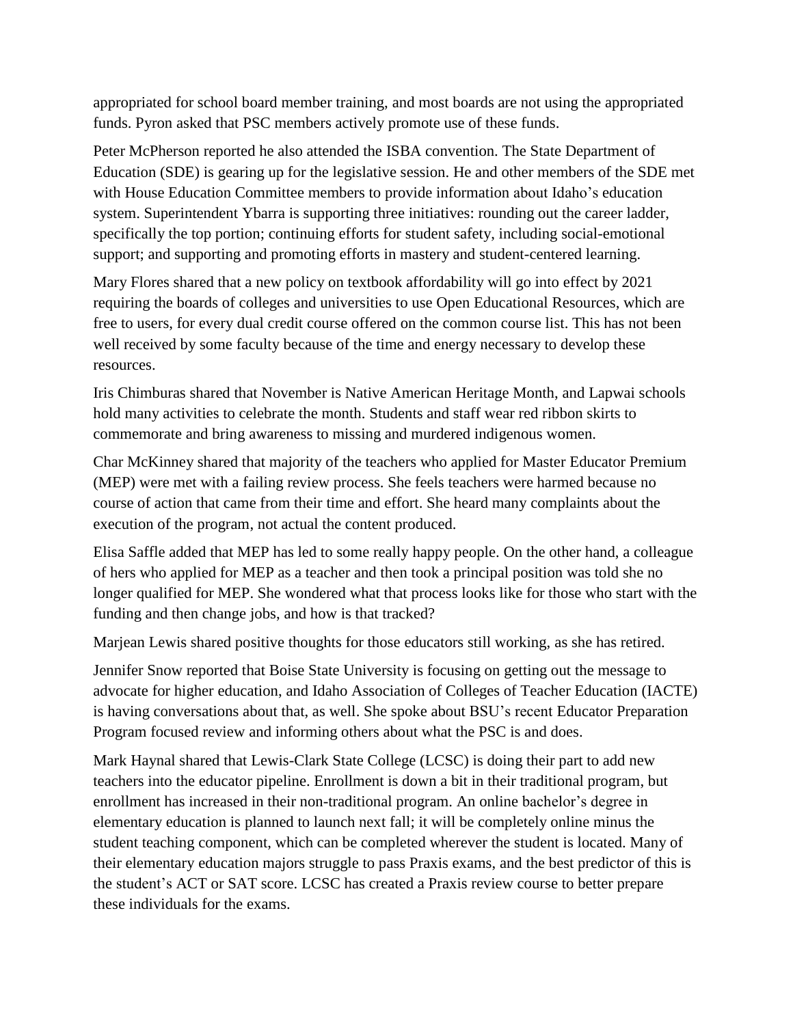appropriated for school board member training, and most boards are not using the appropriated funds. Pyron asked that PSC members actively promote use of these funds.

Peter McPherson reported he also attended the ISBA convention. The State Department of Education (SDE) is gearing up for the legislative session. He and other members of the SDE met with House Education Committee members to provide information about Idaho's education system. Superintendent Ybarra is supporting three initiatives: rounding out the career ladder, specifically the top portion; continuing efforts for student safety, including social-emotional support; and supporting and promoting efforts in mastery and student-centered learning.

Mary Flores shared that a new policy on textbook affordability will go into effect by 2021 requiring the boards of colleges and universities to use Open Educational Resources, which are free to users, for every dual credit course offered on the common course list. This has not been well received by some faculty because of the time and energy necessary to develop these resources.

Iris Chimburas shared that November is Native American Heritage Month, and Lapwai schools hold many activities to celebrate the month. Students and staff wear red ribbon skirts to commemorate and bring awareness to missing and murdered indigenous women.

Char McKinney shared that majority of the teachers who applied for Master Educator Premium (MEP) were met with a failing review process. She feels teachers were harmed because no course of action that came from their time and effort. She heard many complaints about the execution of the program, not actual the content produced.

Elisa Saffle added that MEP has led to some really happy people. On the other hand, a colleague of hers who applied for MEP as a teacher and then took a principal position was told she no longer qualified for MEP. She wondered what that process looks like for those who start with the funding and then change jobs, and how is that tracked?

Marjean Lewis shared positive thoughts for those educators still working, as she has retired.

Jennifer Snow reported that Boise State University is focusing on getting out the message to advocate for higher education, and Idaho Association of Colleges of Teacher Education (IACTE) is having conversations about that, as well. She spoke about BSU's recent Educator Preparation Program focused review and informing others about what the PSC is and does.

Mark Haynal shared that Lewis-Clark State College (LCSC) is doing their part to add new teachers into the educator pipeline. Enrollment is down a bit in their traditional program, but enrollment has increased in their non-traditional program. An online bachelor's degree in elementary education is planned to launch next fall; it will be completely online minus the student teaching component, which can be completed wherever the student is located. Many of their elementary education majors struggle to pass Praxis exams, and the best predictor of this is the student's ACT or SAT score. LCSC has created a Praxis review course to better prepare these individuals for the exams.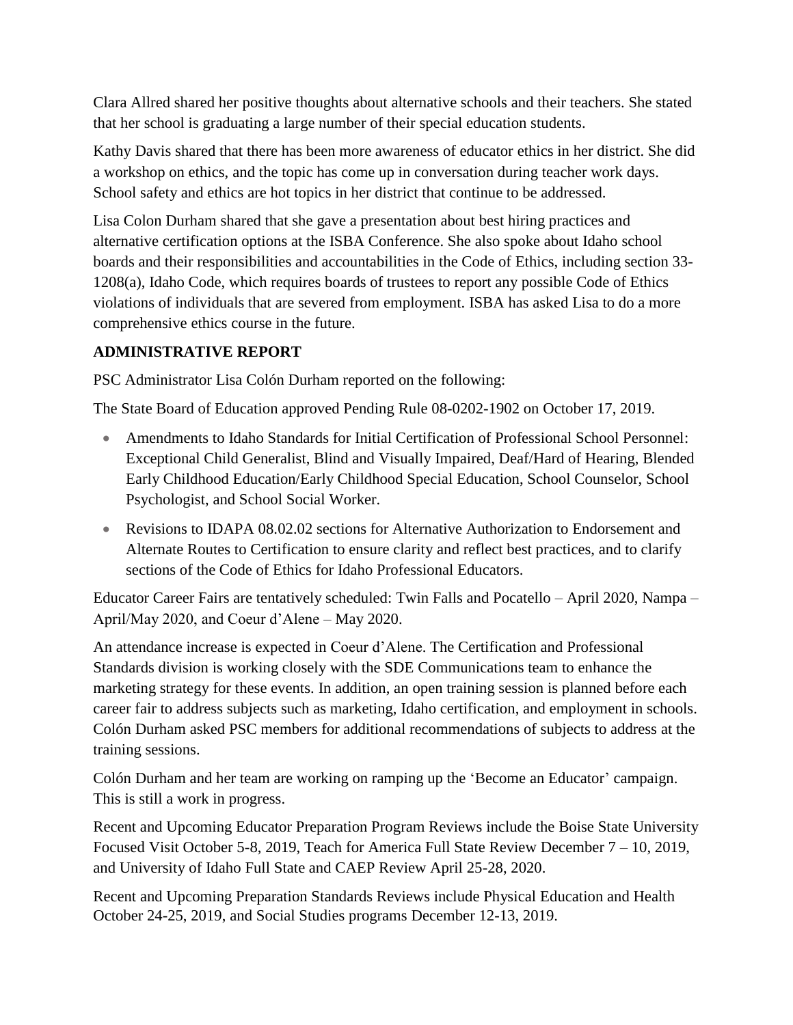Clara Allred shared her positive thoughts about alternative schools and their teachers. She stated that her school is graduating a large number of their special education students.

Kathy Davis shared that there has been more awareness of educator ethics in her district. She did a workshop on ethics, and the topic has come up in conversation during teacher work days. School safety and ethics are hot topics in her district that continue to be addressed.

Lisa Colon Durham shared that she gave a presentation about best hiring practices and alternative certification options at the ISBA Conference. She also spoke about Idaho school boards and their responsibilities and accountabilities in the Code of Ethics, including section 33- 1208(a), Idaho Code, which requires boards of trustees to report any possible Code of Ethics violations of individuals that are severed from employment. ISBA has asked Lisa to do a more comprehensive ethics course in the future.

## **ADMINISTRATIVE REPORT**

PSC Administrator Lisa Colón Durham reported on the following:

The State Board of Education approved Pending Rule 08-0202-1902 on October 17, 2019.

- Amendments to Idaho Standards for Initial Certification of Professional School Personnel: Exceptional Child Generalist, Blind and Visually Impaired, Deaf/Hard of Hearing, Blended Early Childhood Education/Early Childhood Special Education, School Counselor, School Psychologist, and School Social Worker.
- Revisions to IDAPA 08.02.02 sections for Alternative Authorization to Endorsement and Alternate Routes to Certification to ensure clarity and reflect best practices, and to clarify sections of the Code of Ethics for Idaho Professional Educators.

Educator Career Fairs are tentatively scheduled: Twin Falls and Pocatello – April 2020, Nampa – April/May 2020, and Coeur d'Alene – May 2020.

An attendance increase is expected in Coeur d'Alene. The Certification and Professional Standards division is working closely with the SDE Communications team to enhance the marketing strategy for these events. In addition, an open training session is planned before each career fair to address subjects such as marketing, Idaho certification, and employment in schools. Colón Durham asked PSC members for additional recommendations of subjects to address at the training sessions.

Colón Durham and her team are working on ramping up the 'Become an Educator' campaign. This is still a work in progress.

Recent and Upcoming Educator Preparation Program Reviews include the Boise State University Focused Visit October 5-8, 2019, Teach for America Full State Review December 7 – 10, 2019, and University of Idaho Full State and CAEP Review April 25-28, 2020.

Recent and Upcoming Preparation Standards Reviews include Physical Education and Health October 24-25, 2019, and Social Studies programs December 12-13, 2019.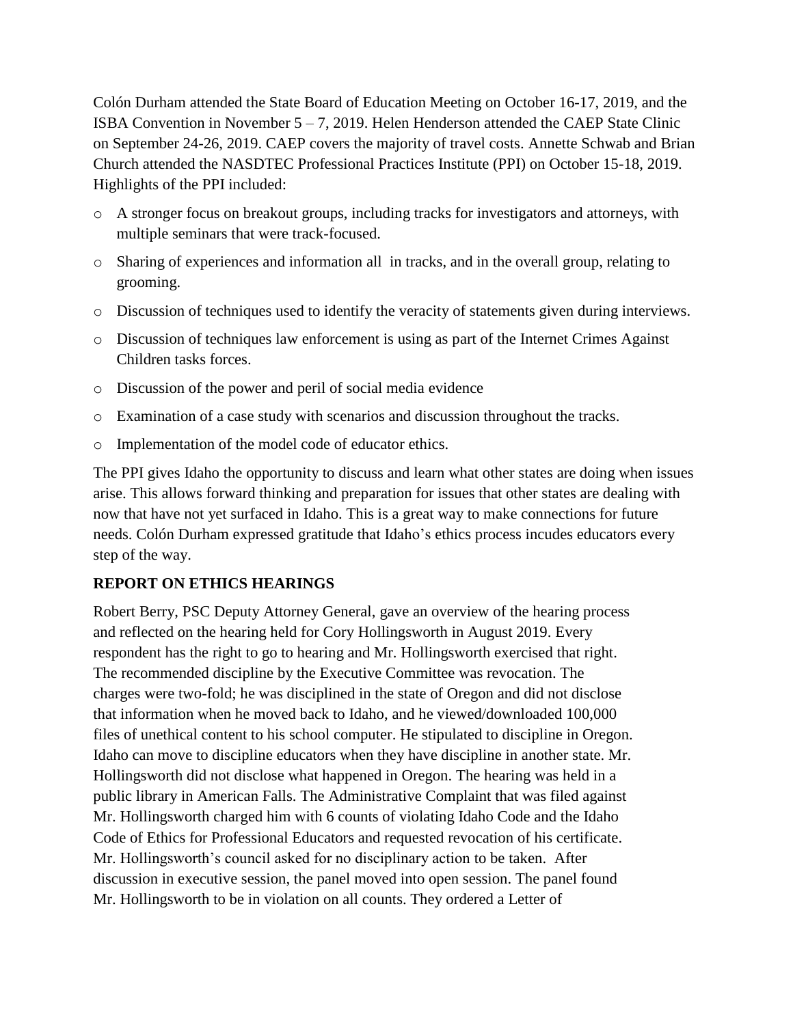Colón Durham attended the State Board of Education Meeting on October 16-17, 2019, and the ISBA Convention in November  $5 - 7$ , 2019. Helen Henderson attended the CAEP State Clinic on September 24-26, 2019. CAEP covers the majority of travel costs. Annette Schwab and Brian Church attended the NASDTEC Professional Practices Institute (PPI) on October 15-18, 2019. Highlights of the PPI included:

- o A stronger focus on breakout groups, including tracks for investigators and attorneys, with multiple seminars that were track-focused.
- o Sharing of experiences and information all in tracks, and in the overall group, relating to grooming.
- o Discussion of techniques used to identify the veracity of statements given during interviews.
- o Discussion of techniques law enforcement is using as part of the Internet Crimes Against Children tasks forces.
- o Discussion of the power and peril of social media evidence
- o Examination of a case study with scenarios and discussion throughout the tracks.
- o Implementation of the model code of educator ethics.

The PPI gives Idaho the opportunity to discuss and learn what other states are doing when issues arise. This allows forward thinking and preparation for issues that other states are dealing with now that have not yet surfaced in Idaho. This is a great way to make connections for future needs. Colón Durham expressed gratitude that Idaho's ethics process incudes educators every step of the way.

#### **REPORT ON ETHICS HEARINGS**

Robert Berry, PSC Deputy Attorney General, gave an overview of the hearing process and reflected on the hearing held for Cory Hollingsworth in August 2019. Every respondent has the right to go to hearing and Mr. Hollingsworth exercised that right. The recommended discipline by the Executive Committee was revocation. The charges were two-fold; he was disciplined in the state of Oregon and did not disclose that information when he moved back to Idaho, and he viewed/downloaded 100,000 files of unethical content to his school computer. He stipulated to discipline in Oregon. Idaho can move to discipline educators when they have discipline in another state. Mr. Hollingsworth did not disclose what happened in Oregon. The hearing was held in a public library in American Falls. The Administrative Complaint that was filed against Mr. Hollingsworth charged him with 6 counts of violating Idaho Code and the Idaho Code of Ethics for Professional Educators and requested revocation of his certificate. Mr. Hollingsworth's council asked for no disciplinary action to be taken. After discussion in executive session, the panel moved into open session. The panel found Mr. Hollingsworth to be in violation on all counts. They ordered a Letter of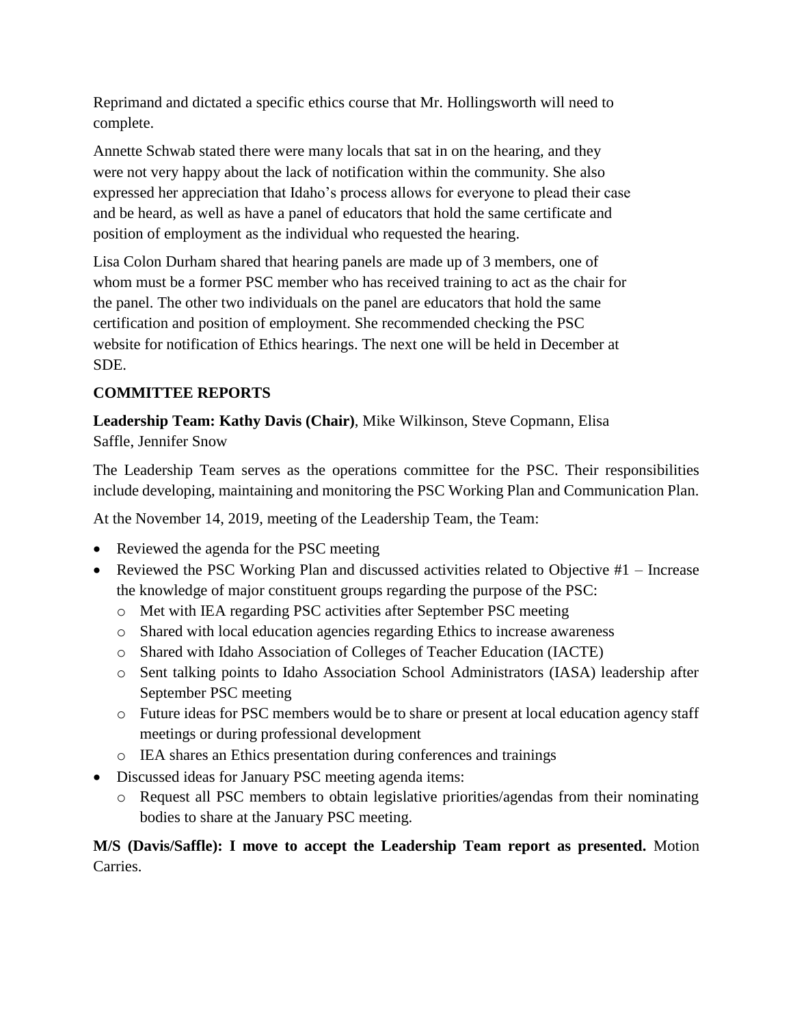Reprimand and dictated a specific ethics course that Mr. Hollingsworth will need to complete.

Annette Schwab stated there were many locals that sat in on the hearing, and they were not very happy about the lack of notification within the community. She also expressed her appreciation that Idaho's process allows for everyone to plead their case and be heard, as well as have a panel of educators that hold the same certificate and position of employment as the individual who requested the hearing.

Lisa Colon Durham shared that hearing panels are made up of 3 members, one of whom must be a former PSC member who has received training to act as the chair for the panel. The other two individuals on the panel are educators that hold the same certification and position of employment. She recommended checking the PSC website for notification of Ethics hearings. The next one will be held in December at SDE.

# **COMMITTEE REPORTS**

**Leadership Team: Kathy Davis (Chair)**, Mike Wilkinson, Steve Copmann, Elisa Saffle, Jennifer Snow

The Leadership Team serves as the operations committee for the PSC. Their responsibilities include developing, maintaining and monitoring the PSC Working Plan and Communication Plan.

At the November 14, 2019, meeting of the Leadership Team, the Team:

- Reviewed the agenda for the PSC meeting
- Reviewed the PSC Working Plan and discussed activities related to Objective #1 Increase the knowledge of major constituent groups regarding the purpose of the PSC:
	- o Met with IEA regarding PSC activities after September PSC meeting
	- o Shared with local education agencies regarding Ethics to increase awareness
	- o Shared with Idaho Association of Colleges of Teacher Education (IACTE)
	- o Sent talking points to Idaho Association School Administrators (IASA) leadership after September PSC meeting
	- o Future ideas for PSC members would be to share or present at local education agency staff meetings or during professional development
	- o IEA shares an Ethics presentation during conferences and trainings
- Discussed ideas for January PSC meeting agenda items:
	- o Request all PSC members to obtain legislative priorities/agendas from their nominating bodies to share at the January PSC meeting.

**M/S (Davis/Saffle): I move to accept the Leadership Team report as presented.** Motion Carries.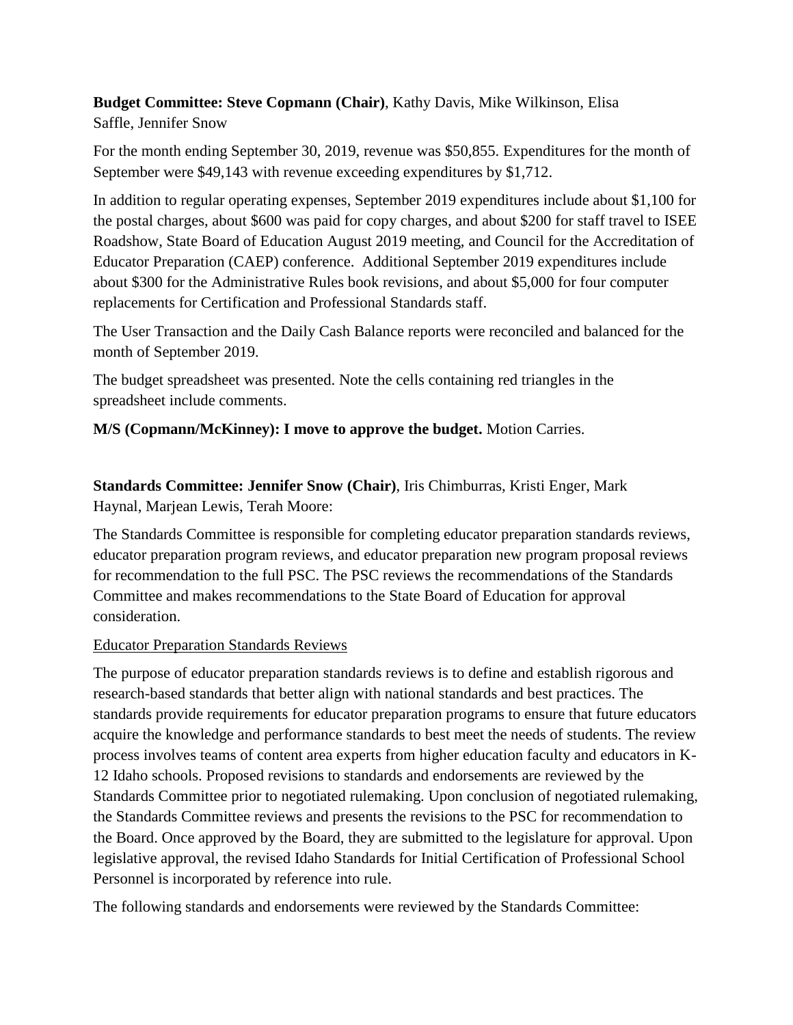**Budget Committee: Steve Copmann (Chair)**, Kathy Davis, Mike Wilkinson, Elisa Saffle, Jennifer Snow

For the month ending September 30, 2019, revenue was \$50,855. Expenditures for the month of September were \$49,143 with revenue exceeding expenditures by \$1,712.

In addition to regular operating expenses, September 2019 expenditures include about \$1,100 for the postal charges, about \$600 was paid for copy charges, and about \$200 for staff travel to ISEE Roadshow, State Board of Education August 2019 meeting, and Council for the Accreditation of Educator Preparation (CAEP) conference. Additional September 2019 expenditures include about \$300 for the Administrative Rules book revisions, and about \$5,000 for four computer replacements for Certification and Professional Standards staff.

The User Transaction and the Daily Cash Balance reports were reconciled and balanced for the month of September 2019.

The budget spreadsheet was presented. Note the cells containing red triangles in the spreadsheet include comments.

**M/S (Copmann/McKinney): I move to approve the budget.** Motion Carries.

**Standards Committee: Jennifer Snow (Chair)**, Iris Chimburras, Kristi Enger, Mark Haynal, Marjean Lewis, Terah Moore:

The Standards Committee is responsible for completing educator preparation standards reviews, educator preparation program reviews, and educator preparation new program proposal reviews for recommendation to the full PSC. The PSC reviews the recommendations of the Standards Committee and makes recommendations to the State Board of Education for approval consideration.

#### Educator Preparation Standards Reviews

The purpose of educator preparation standards reviews is to define and establish rigorous and research-based standards that better align with national standards and best practices. The standards provide requirements for educator preparation programs to ensure that future educators acquire the knowledge and performance standards to best meet the needs of students. The review process involves teams of content area experts from higher education faculty and educators in K-12 Idaho schools. Proposed revisions to standards and endorsements are reviewed by the Standards Committee prior to negotiated rulemaking. Upon conclusion of negotiated rulemaking, the Standards Committee reviews and presents the revisions to the PSC for recommendation to the Board. Once approved by the Board, they are submitted to the legislature for approval. Upon legislative approval, the revised Idaho Standards for Initial Certification of Professional School Personnel is incorporated by reference into rule.

The following standards and endorsements were reviewed by the Standards Committee: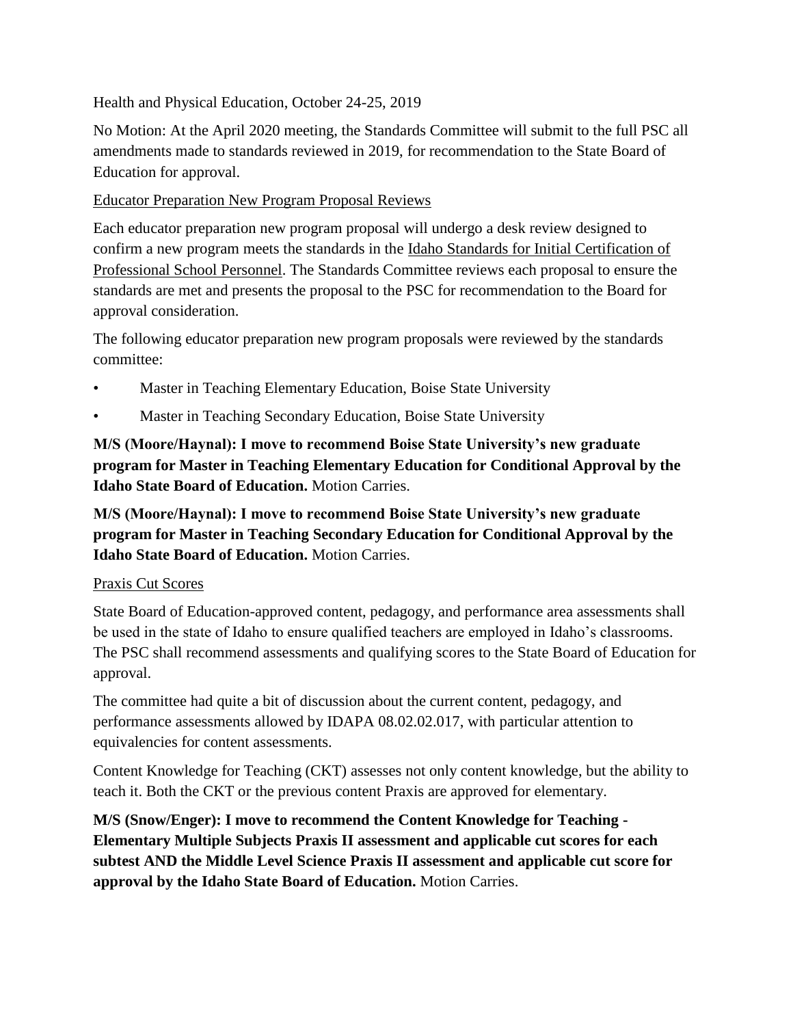#### Health and Physical Education, October 24-25, 2019

No Motion: At the April 2020 meeting, the Standards Committee will submit to the full PSC all amendments made to standards reviewed in 2019, for recommendation to the State Board of Education for approval.

### Educator Preparation New Program Proposal Reviews

Each educator preparation new program proposal will undergo a desk review designed to confirm a new program meets the standards in the Idaho Standards for Initial Certification of Professional School Personnel. The Standards Committee reviews each proposal to ensure the standards are met and presents the proposal to the PSC for recommendation to the Board for approval consideration.

The following educator preparation new program proposals were reviewed by the standards committee:

- Master in Teaching Elementary Education, Boise State University
- Master in Teaching Secondary Education, Boise State University

**M/S (Moore/Haynal): I move to recommend Boise State University's new graduate program for Master in Teaching Elementary Education for Conditional Approval by the Idaho State Board of Education.** Motion Carries.

**M/S (Moore/Haynal): I move to recommend Boise State University's new graduate program for Master in Teaching Secondary Education for Conditional Approval by the Idaho State Board of Education.** Motion Carries.

#### Praxis Cut Scores

State Board of Education-approved content, pedagogy, and performance area assessments shall be used in the state of Idaho to ensure qualified teachers are employed in Idaho's classrooms. The PSC shall recommend assessments and qualifying scores to the State Board of Education for approval.

The committee had quite a bit of discussion about the current content, pedagogy, and performance assessments allowed by IDAPA 08.02.02.017, with particular attention to equivalencies for content assessments.

Content Knowledge for Teaching (CKT) assesses not only content knowledge, but the ability to teach it. Both the CKT or the previous content Praxis are approved for elementary.

**M/S (Snow/Enger): I move to recommend the Content Knowledge for Teaching - Elementary Multiple Subjects Praxis II assessment and applicable cut scores for each subtest AND the Middle Level Science Praxis II assessment and applicable cut score for approval by the Idaho State Board of Education.** Motion Carries.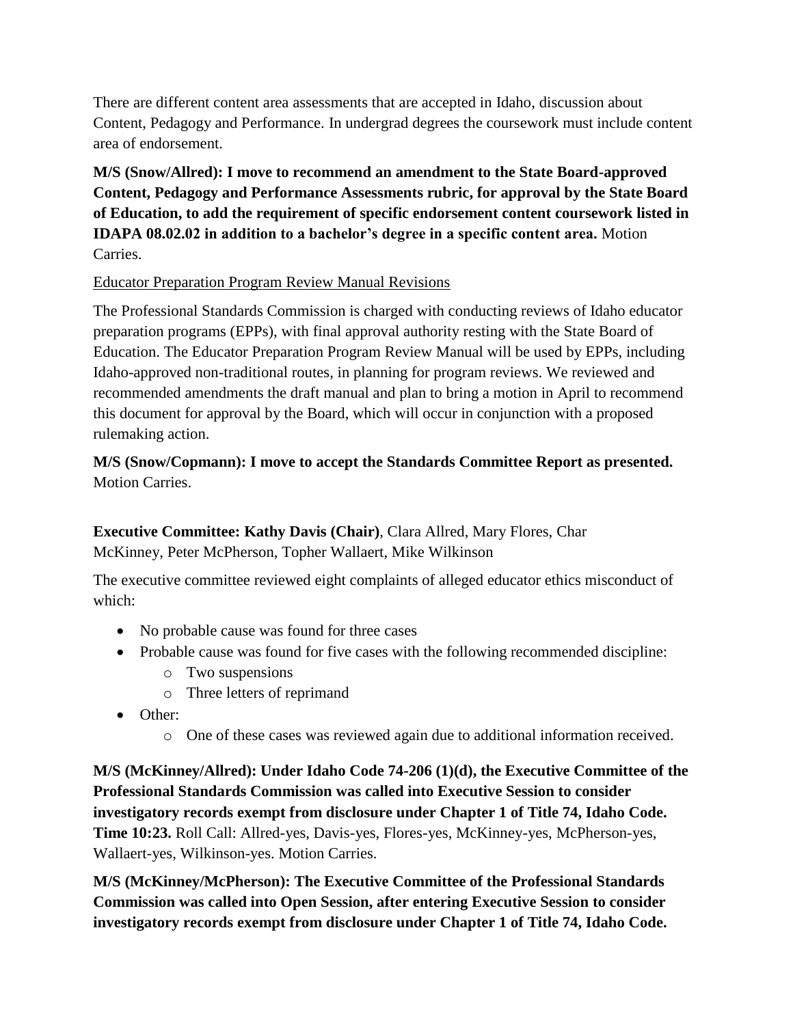There are different content area assessments that are accepted in Idaho, discussion about Content, Pedagogy and Performance. In undergrad degrees the coursework must include content area of endorsement.

**M/S (Snow/Allred): I move to recommend an amendment to the State Board-approved Content, Pedagogy and Performance Assessments rubric, for approval by the State Board of Education, to add the requirement of specific endorsement content coursework listed in IDAPA 08.02.02 in addition to a bachelor's degree in a specific content area.** Motion Carries.

### Educator Preparation Program Review Manual Revisions

The Professional Standards Commission is charged with conducting reviews of Idaho educator preparation programs (EPPs), with final approval authority resting with the State Board of Education. The Educator Preparation Program Review Manual will be used by EPPs, including Idaho-approved non-traditional routes, in planning for program reviews. We reviewed and recommended amendments the draft manual and plan to bring a motion in April to recommend this document for approval by the Board, which will occur in conjunction with a proposed rulemaking action.

# **M/S (Snow/Copmann): I move to accept the Standards Committee Report as presented.**  Motion Carries.

**Executive Committee: Kathy Davis (Chair)**, Clara Allred, Mary Flores, Char McKinney, Peter McPherson, Topher Wallaert, Mike Wilkinson

The executive committee reviewed eight complaints of alleged educator ethics misconduct of which:

- No probable cause was found for three cases
- Probable cause was found for five cases with the following recommended discipline:
	- o Two suspensions
	- o Three letters of reprimand
- Other:
	- o One of these cases was reviewed again due to additional information received.

**M/S (McKinney/Allred): Under Idaho Code 74-206 (1)(d), the Executive Committee of the Professional Standards Commission was called into Executive Session to consider investigatory records exempt from disclosure under Chapter 1 of Title 74, Idaho Code. Time 10:23.** Roll Call: Allred-yes, Davis-yes, Flores-yes, McKinney-yes, McPherson-yes, Wallaert-yes, Wilkinson-yes. Motion Carries.

**M/S (McKinney/McPherson): The Executive Committee of the Professional Standards Commission was called into Open Session, after entering Executive Session to consider investigatory records exempt from disclosure under Chapter 1 of Title 74, Idaho Code.**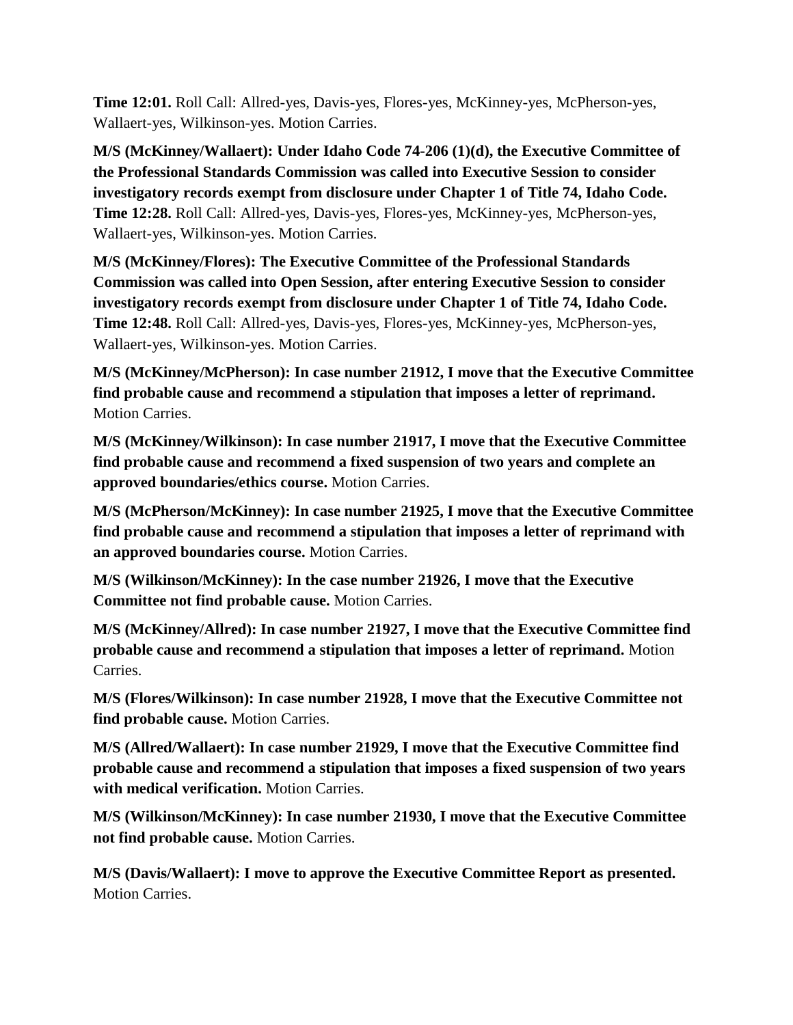**Time 12:01.** Roll Call: Allred-yes, Davis-yes, Flores-yes, McKinney-yes, McPherson-yes, Wallaert-yes, Wilkinson-yes. Motion Carries.

**M/S (McKinney/Wallaert): Under Idaho Code 74-206 (1)(d), the Executive Committee of the Professional Standards Commission was called into Executive Session to consider investigatory records exempt from disclosure under Chapter 1 of Title 74, Idaho Code. Time 12:28.** Roll Call: Allred-yes, Davis-yes, Flores-yes, McKinney-yes, McPherson-yes, Wallaert-yes, Wilkinson-yes. Motion Carries.

**M/S (McKinney/Flores): The Executive Committee of the Professional Standards Commission was called into Open Session, after entering Executive Session to consider investigatory records exempt from disclosure under Chapter 1 of Title 74, Idaho Code. Time 12:48.** Roll Call: Allred-yes, Davis-yes, Flores-yes, McKinney-yes, McPherson-yes, Wallaert-yes, Wilkinson-yes. Motion Carries.

**M/S (McKinney/McPherson): In case number 21912, I move that the Executive Committee find probable cause and recommend a stipulation that imposes a letter of reprimand.** Motion Carries.

**M/S (McKinney/Wilkinson): In case number 21917, I move that the Executive Committee find probable cause and recommend a fixed suspension of two years and complete an approved boundaries/ethics course.** Motion Carries.

**M/S (McPherson/McKinney): In case number 21925, I move that the Executive Committee find probable cause and recommend a stipulation that imposes a letter of reprimand with an approved boundaries course.** Motion Carries.

**M/S (Wilkinson/McKinney): In the case number 21926, I move that the Executive Committee not find probable cause.** Motion Carries.

**M/S (McKinney/Allred): In case number 21927, I move that the Executive Committee find probable cause and recommend a stipulation that imposes a letter of reprimand.** Motion Carries.

**M/S (Flores/Wilkinson): In case number 21928, I move that the Executive Committee not find probable cause.** Motion Carries.

**M/S (Allred/Wallaert): In case number 21929, I move that the Executive Committee find probable cause and recommend a stipulation that imposes a fixed suspension of two years with medical verification.** Motion Carries.

**M/S (Wilkinson/McKinney): In case number 21930, I move that the Executive Committee not find probable cause.** Motion Carries.

**M/S (Davis/Wallaert): I move to approve the Executive Committee Report as presented.**  Motion Carries.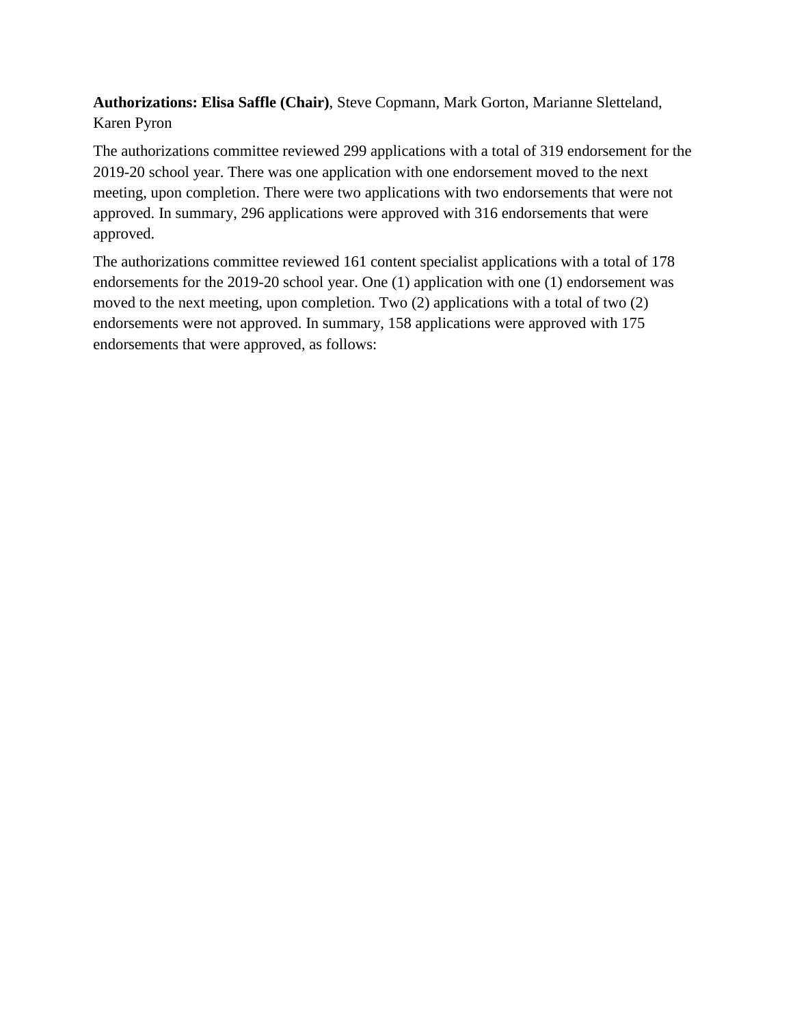**Authorizations: Elisa Saffle (Chair)**, Steve Copmann, Mark Gorton, Marianne Sletteland, Karen Pyron

The authorizations committee reviewed 299 applications with a total of 319 endorsement for the 2019-20 school year. There was one application with one endorsement moved to the next meeting, upon completion. There were two applications with two endorsements that were not approved. In summary, 296 applications were approved with 316 endorsements that were approved.

The authorizations committee reviewed 161 content specialist applications with a total of 178 endorsements for the 2019-20 school year. One (1) application with one (1) endorsement was moved to the next meeting, upon completion. Two (2) applications with a total of two (2) endorsements were not approved. In summary, 158 applications were approved with 175 endorsements that were approved, as follows: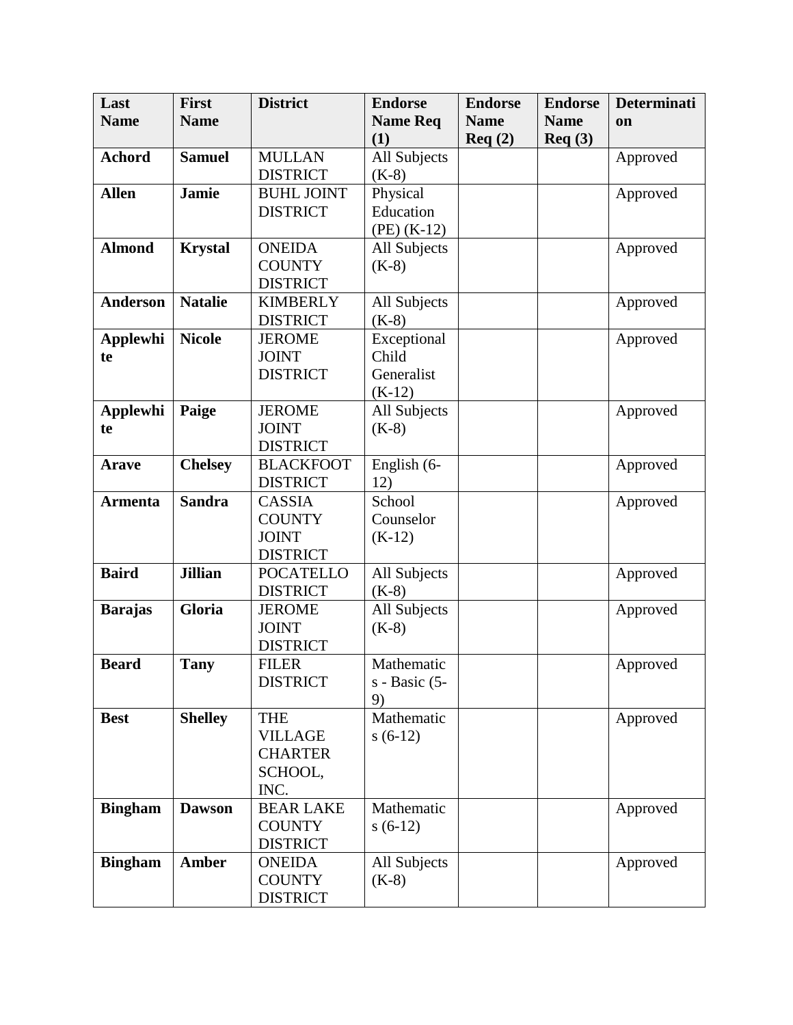| <b>Name Req</b><br><b>Name</b><br><b>Name</b><br><b>Name</b><br><b>Name</b><br>on<br>(1)<br>Req(2)<br>Req(3)<br>All Subjects<br><b>Achord</b><br><b>Samuel</b><br><b>MULLAN</b><br>Approved<br><b>DISTRICT</b><br>$(K-8)$<br><b>Jamie</b><br><b>Allen</b><br><b>BUHL JOINT</b><br>Physical<br>Approved<br><b>DISTRICT</b><br>Education<br>$(PE)$ (K-12)<br><b>Almond</b><br><b>Krystal</b><br><b>ONEIDA</b><br>All Subjects<br>Approved<br><b>COUNTY</b><br>$(K-8)$<br><b>DISTRICT</b><br><b>Natalie</b><br>All Subjects<br><b>Anderson</b><br><b>KIMBERLY</b><br>Approved<br><b>DISTRICT</b><br>$(K-8)$<br>Exceptional<br><b>Applewhi</b><br><b>Nicole</b><br><b>JEROME</b><br>Approved<br><b>JOINT</b><br>Child<br>te<br><b>DISTRICT</b><br>Generalist<br>$(K-12)$<br><b>Applewhi</b><br>Paige<br>All Subjects<br><b>JEROME</b><br>Approved |
|-----------------------------------------------------------------------------------------------------------------------------------------------------------------------------------------------------------------------------------------------------------------------------------------------------------------------------------------------------------------------------------------------------------------------------------------------------------------------------------------------------------------------------------------------------------------------------------------------------------------------------------------------------------------------------------------------------------------------------------------------------------------------------------------------------------------------------------------------|
|                                                                                                                                                                                                                                                                                                                                                                                                                                                                                                                                                                                                                                                                                                                                                                                                                                               |
|                                                                                                                                                                                                                                                                                                                                                                                                                                                                                                                                                                                                                                                                                                                                                                                                                                               |
|                                                                                                                                                                                                                                                                                                                                                                                                                                                                                                                                                                                                                                                                                                                                                                                                                                               |
|                                                                                                                                                                                                                                                                                                                                                                                                                                                                                                                                                                                                                                                                                                                                                                                                                                               |
|                                                                                                                                                                                                                                                                                                                                                                                                                                                                                                                                                                                                                                                                                                                                                                                                                                               |
|                                                                                                                                                                                                                                                                                                                                                                                                                                                                                                                                                                                                                                                                                                                                                                                                                                               |
|                                                                                                                                                                                                                                                                                                                                                                                                                                                                                                                                                                                                                                                                                                                                                                                                                                               |
|                                                                                                                                                                                                                                                                                                                                                                                                                                                                                                                                                                                                                                                                                                                                                                                                                                               |
|                                                                                                                                                                                                                                                                                                                                                                                                                                                                                                                                                                                                                                                                                                                                                                                                                                               |
|                                                                                                                                                                                                                                                                                                                                                                                                                                                                                                                                                                                                                                                                                                                                                                                                                                               |
|                                                                                                                                                                                                                                                                                                                                                                                                                                                                                                                                                                                                                                                                                                                                                                                                                                               |
|                                                                                                                                                                                                                                                                                                                                                                                                                                                                                                                                                                                                                                                                                                                                                                                                                                               |
|                                                                                                                                                                                                                                                                                                                                                                                                                                                                                                                                                                                                                                                                                                                                                                                                                                               |
|                                                                                                                                                                                                                                                                                                                                                                                                                                                                                                                                                                                                                                                                                                                                                                                                                                               |
|                                                                                                                                                                                                                                                                                                                                                                                                                                                                                                                                                                                                                                                                                                                                                                                                                                               |
|                                                                                                                                                                                                                                                                                                                                                                                                                                                                                                                                                                                                                                                                                                                                                                                                                                               |
|                                                                                                                                                                                                                                                                                                                                                                                                                                                                                                                                                                                                                                                                                                                                                                                                                                               |
| <b>JOINT</b><br>$(K-8)$<br>te                                                                                                                                                                                                                                                                                                                                                                                                                                                                                                                                                                                                                                                                                                                                                                                                                 |
| <b>DISTRICT</b>                                                                                                                                                                                                                                                                                                                                                                                                                                                                                                                                                                                                                                                                                                                                                                                                                               |
| <b>Chelsey</b><br>English (6-<br><b>BLACKFOOT</b><br>Approved<br><b>Arave</b>                                                                                                                                                                                                                                                                                                                                                                                                                                                                                                                                                                                                                                                                                                                                                                 |
| <b>DISTRICT</b><br>12)                                                                                                                                                                                                                                                                                                                                                                                                                                                                                                                                                                                                                                                                                                                                                                                                                        |
| <b>Sandra</b><br>School<br><b>Armenta</b><br><b>CASSIA</b><br>Approved                                                                                                                                                                                                                                                                                                                                                                                                                                                                                                                                                                                                                                                                                                                                                                        |
| <b>COUNTY</b><br>Counselor                                                                                                                                                                                                                                                                                                                                                                                                                                                                                                                                                                                                                                                                                                                                                                                                                    |
| <b>JOINT</b><br>$(K-12)$                                                                                                                                                                                                                                                                                                                                                                                                                                                                                                                                                                                                                                                                                                                                                                                                                      |
| <b>DISTRICT</b>                                                                                                                                                                                                                                                                                                                                                                                                                                                                                                                                                                                                                                                                                                                                                                                                                               |
| <b>Baird</b><br><b>Jillian</b><br><b>POCATELLO</b><br>All Subjects<br>Approved                                                                                                                                                                                                                                                                                                                                                                                                                                                                                                                                                                                                                                                                                                                                                                |
| <b>DISTRICT</b><br>$(K-8)$                                                                                                                                                                                                                                                                                                                                                                                                                                                                                                                                                                                                                                                                                                                                                                                                                    |
| Gloria<br>All Subjects<br><b>Barajas</b><br><b>JEROME</b><br>Approved                                                                                                                                                                                                                                                                                                                                                                                                                                                                                                                                                                                                                                                                                                                                                                         |
| <b>JOINT</b><br>$(K-8)$                                                                                                                                                                                                                                                                                                                                                                                                                                                                                                                                                                                                                                                                                                                                                                                                                       |
| <b>DISTRICT</b>                                                                                                                                                                                                                                                                                                                                                                                                                                                                                                                                                                                                                                                                                                                                                                                                                               |
| <b>Beard</b><br><b>Tany</b><br><b>FILER</b><br>Mathematic<br>Approved                                                                                                                                                                                                                                                                                                                                                                                                                                                                                                                                                                                                                                                                                                                                                                         |
| <b>DISTRICT</b><br>$s - Basic (5 -$                                                                                                                                                                                                                                                                                                                                                                                                                                                                                                                                                                                                                                                                                                                                                                                                           |
| 9)                                                                                                                                                                                                                                                                                                                                                                                                                                                                                                                                                                                                                                                                                                                                                                                                                                            |
| <b>Shelley</b><br>Mathematic<br><b>Best</b><br><b>THE</b><br>Approved                                                                                                                                                                                                                                                                                                                                                                                                                                                                                                                                                                                                                                                                                                                                                                         |
| <b>VILLAGE</b><br>$s(6-12)$<br><b>CHARTER</b>                                                                                                                                                                                                                                                                                                                                                                                                                                                                                                                                                                                                                                                                                                                                                                                                 |
| SCHOOL,                                                                                                                                                                                                                                                                                                                                                                                                                                                                                                                                                                                                                                                                                                                                                                                                                                       |
| INC.                                                                                                                                                                                                                                                                                                                                                                                                                                                                                                                                                                                                                                                                                                                                                                                                                                          |
| <b>Bingham</b><br><b>Dawson</b><br>Mathematic<br><b>BEAR LAKE</b><br>Approved                                                                                                                                                                                                                                                                                                                                                                                                                                                                                                                                                                                                                                                                                                                                                                 |
| <b>COUNTY</b><br>$s(6-12)$                                                                                                                                                                                                                                                                                                                                                                                                                                                                                                                                                                                                                                                                                                                                                                                                                    |
| <b>DISTRICT</b>                                                                                                                                                                                                                                                                                                                                                                                                                                                                                                                                                                                                                                                                                                                                                                                                                               |
| All Subjects<br><b>Bingham</b><br><b>Amber</b><br><b>ONEIDA</b><br>Approved                                                                                                                                                                                                                                                                                                                                                                                                                                                                                                                                                                                                                                                                                                                                                                   |
| <b>COUNTY</b><br>$(K-8)$                                                                                                                                                                                                                                                                                                                                                                                                                                                                                                                                                                                                                                                                                                                                                                                                                      |
| <b>DISTRICT</b>                                                                                                                                                                                                                                                                                                                                                                                                                                                                                                                                                                                                                                                                                                                                                                                                                               |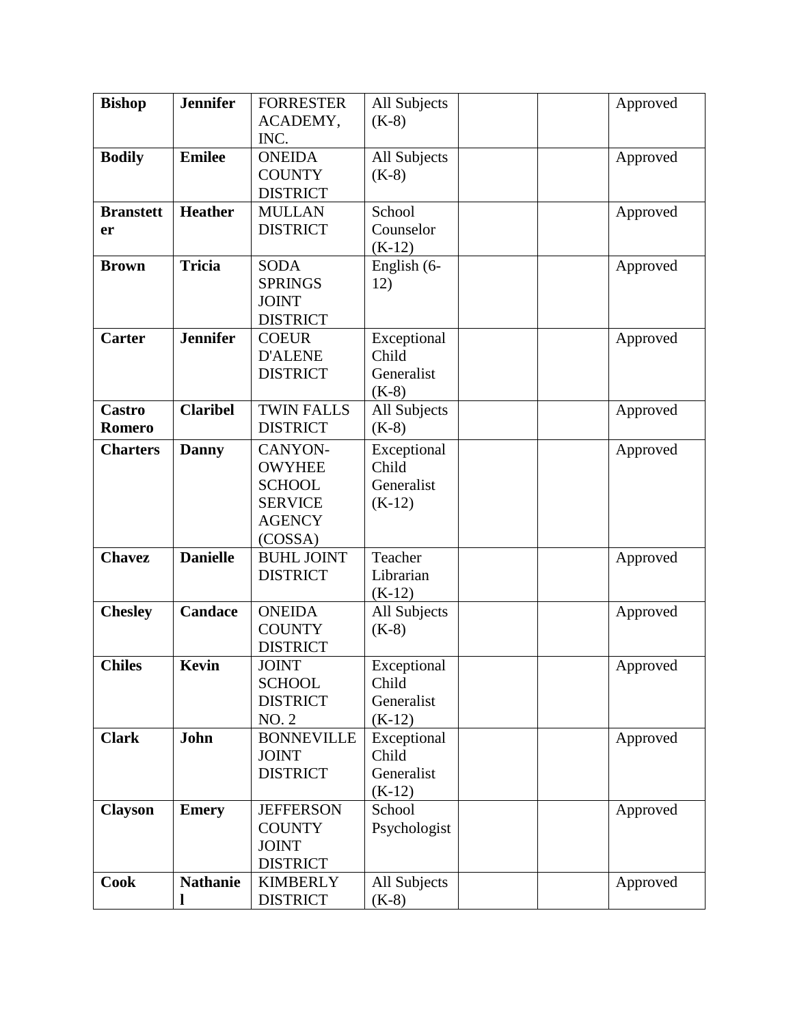| <b>Bishop</b>    | <b>Jennifer</b> | <b>FORRESTER</b>  | All Subjects | Approved |
|------------------|-----------------|-------------------|--------------|----------|
|                  |                 | ACADEMY,          | $(K-8)$      |          |
|                  |                 | INC.              |              |          |
| <b>Bodily</b>    | <b>Emilee</b>   | <b>ONEIDA</b>     | All Subjects | Approved |
|                  |                 | <b>COUNTY</b>     | $(K-8)$      |          |
|                  |                 | <b>DISTRICT</b>   |              |          |
| <b>Branstett</b> | <b>Heather</b>  | <b>MULLAN</b>     | School       | Approved |
| er               |                 | <b>DISTRICT</b>   | Counselor    |          |
|                  |                 |                   | $(K-12)$     |          |
| <b>Brown</b>     | <b>Tricia</b>   | <b>SODA</b>       | English (6-  | Approved |
|                  |                 | <b>SPRINGS</b>    | 12)          |          |
|                  |                 | <b>JOINT</b>      |              |          |
|                  |                 | <b>DISTRICT</b>   |              |          |
| Carter           | <b>Jennifer</b> | <b>COEUR</b>      | Exceptional  | Approved |
|                  |                 | <b>D'ALENE</b>    | Child        |          |
|                  |                 | <b>DISTRICT</b>   | Generalist   |          |
|                  |                 |                   | $(K-8)$      |          |
| <b>Castro</b>    | <b>Claribel</b> | <b>TWIN FALLS</b> | All Subjects | Approved |
| <b>Romero</b>    |                 | <b>DISTRICT</b>   | $(K-8)$      |          |
| <b>Charters</b>  | <b>Danny</b>    | CANYON-           | Exceptional  | Approved |
|                  |                 | <b>OWYHEE</b>     | Child        |          |
|                  |                 | <b>SCHOOL</b>     | Generalist   |          |
|                  |                 | <b>SERVICE</b>    | $(K-12)$     |          |
|                  |                 | <b>AGENCY</b>     |              |          |
|                  |                 | (COSSA)           |              |          |
| <b>Chavez</b>    | <b>Danielle</b> | <b>BUHL JOINT</b> | Teacher      | Approved |
|                  |                 | <b>DISTRICT</b>   | Librarian    |          |
|                  |                 |                   | $(K-12)$     |          |
| <b>Chesley</b>   | <b>Candace</b>  | <b>ONEIDA</b>     | All Subjects | Approved |
|                  |                 | <b>COUNTY</b>     | $(K-8)$      |          |
|                  |                 | <b>DISTRICT</b>   |              |          |
| <b>Chiles</b>    | <b>Kevin</b>    | <b>JOINT</b>      | Exceptional  | Approved |
|                  |                 | <b>SCHOOL</b>     | Child        |          |
|                  |                 | <b>DISTRICT</b>   | Generalist   |          |
|                  |                 | <b>NO. 2</b>      | $(K-12)$     |          |
| <b>Clark</b>     | John            | <b>BONNEVILLE</b> | Exceptional  | Approved |
|                  |                 | <b>JOINT</b>      | Child        |          |
|                  |                 | <b>DISTRICT</b>   | Generalist   |          |
|                  |                 |                   | $(K-12)$     |          |
| <b>Clayson</b>   | <b>Emery</b>    | <b>JEFFERSON</b>  | School       | Approved |
|                  |                 | <b>COUNTY</b>     | Psychologist |          |
|                  |                 | <b>JOINT</b>      |              |          |
|                  |                 | <b>DISTRICT</b>   |              |          |
| Cook             | <b>Nathanie</b> | <b>KIMBERLY</b>   | All Subjects | Approved |
|                  |                 | <b>DISTRICT</b>   | $(K-8)$      |          |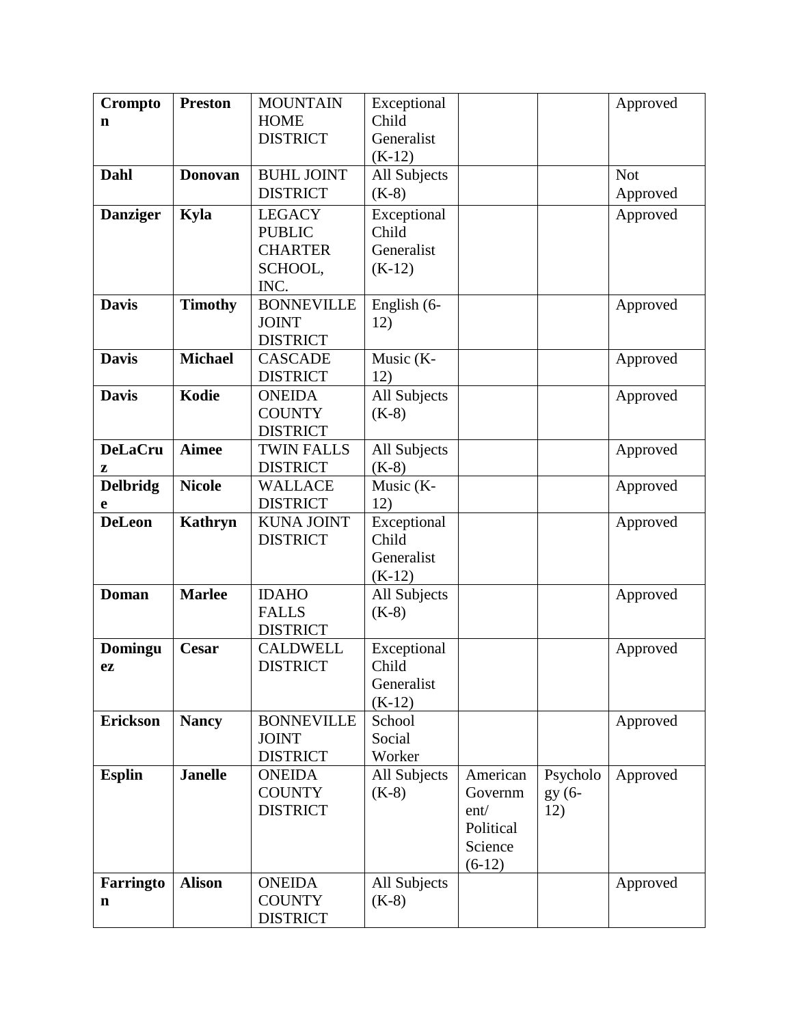| Crompto         | <b>Preston</b> | <b>MOUNTAIN</b>                 | Exceptional             |           |          | Approved   |
|-----------------|----------------|---------------------------------|-------------------------|-----------|----------|------------|
| n               |                | <b>HOME</b>                     | Child                   |           |          |            |
|                 |                | <b>DISTRICT</b>                 | Generalist              |           |          |            |
|                 |                |                                 | $(K-12)$                |           |          |            |
| Dahl            | <b>Donovan</b> | <b>BUHL JOINT</b>               | All Subjects            |           |          | <b>Not</b> |
|                 |                | <b>DISTRICT</b>                 | $(K-8)$                 |           |          | Approved   |
| <b>Danziger</b> | Kyla           | <b>LEGACY</b>                   | Exceptional             |           |          | Approved   |
|                 |                | <b>PUBLIC</b>                   | Child                   |           |          |            |
|                 |                | <b>CHARTER</b>                  | Generalist              |           |          |            |
|                 |                | SCHOOL,                         | $(K-12)$                |           |          |            |
|                 |                | INC.                            |                         |           |          |            |
| <b>Davis</b>    | <b>Timothy</b> | <b>BONNEVILLE</b>               | English (6-             |           |          | Approved   |
|                 |                | <b>JOINT</b>                    | 12)                     |           |          |            |
|                 |                | <b>DISTRICT</b>                 |                         |           |          |            |
| <b>Davis</b>    | <b>Michael</b> | <b>CASCADE</b>                  | Music (K-               |           |          | Approved   |
|                 | Kodie          | <b>DISTRICT</b>                 | 12)                     |           |          |            |
| <b>Davis</b>    |                | <b>ONEIDA</b><br><b>COUNTY</b>  | All Subjects<br>$(K-8)$ |           |          | Approved   |
|                 |                | <b>DISTRICT</b>                 |                         |           |          |            |
| <b>DeLaCru</b>  | <b>Aimee</b>   | <b>TWIN FALLS</b>               | All Subjects            |           |          | Approved   |
| z               |                | <b>DISTRICT</b>                 | $(K-8)$                 |           |          |            |
| <b>Delbridg</b> | <b>Nicole</b>  | <b>WALLACE</b>                  | Music (K-               |           |          | Approved   |
| е               |                | <b>DISTRICT</b>                 | 12)                     |           |          |            |
| <b>DeLeon</b>   | <b>Kathryn</b> | <b>KUNA JOINT</b>               | Exceptional             |           |          | Approved   |
|                 |                | <b>DISTRICT</b>                 | Child                   |           |          |            |
|                 |                |                                 | Generalist              |           |          |            |
|                 |                |                                 | $(K-12)$                |           |          |            |
| <b>Doman</b>    | <b>Marlee</b>  | <b>IDAHO</b>                    | All Subjects            |           |          | Approved   |
|                 |                | <b>FALLS</b>                    | $(K-8)$                 |           |          |            |
|                 |                | <b>DISTRICT</b>                 |                         |           |          |            |
| Domingu         | Cesar          | <b>CALDWELL</b>                 | Exceptional             |           |          | Approved   |
| ez              |                | <b>DISTRICT</b>                 | Child                   |           |          |            |
|                 |                |                                 | Generalist              |           |          |            |
|                 |                |                                 | $(K-12)$                |           |          |            |
| <b>Erickson</b> | <b>Nancy</b>   | <b>BONNEVILLE</b>               | School                  |           |          | Approved   |
|                 |                | <b>JOINT</b><br><b>DISTRICT</b> | Social<br>Worker        |           |          |            |
| <b>Esplin</b>   | <b>Janelle</b> | <b>ONEIDA</b>                   | All Subjects            | American  | Psycholo | Approved   |
|                 |                | <b>COUNTY</b>                   | $(K-8)$                 | Governm   | gy (6-   |            |
|                 |                | <b>DISTRICT</b>                 |                         | ent/      | 12)      |            |
|                 |                |                                 |                         | Political |          |            |
|                 |                |                                 |                         | Science   |          |            |
|                 |                |                                 |                         | $(6-12)$  |          |            |
| Farringto       | <b>Alison</b>  | <b>ONEIDA</b>                   | All Subjects            |           |          | Approved   |
| n               |                | <b>COUNTY</b>                   | $(K-8)$                 |           |          |            |
|                 |                | <b>DISTRICT</b>                 |                         |           |          |            |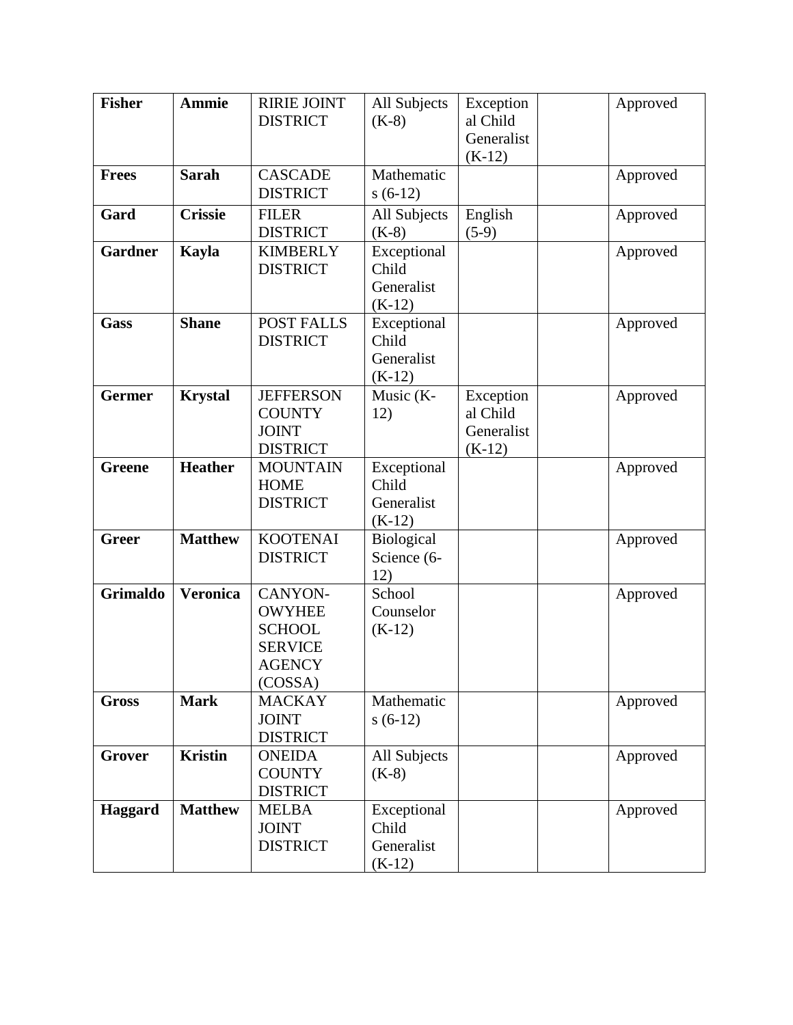| <b>Fisher</b>   | <b>Ammie</b>    | <b>RIRIE JOINT</b><br><b>DISTRICT</b>                                                   | All Subjects<br>$(K-8)$                        | Exception<br>al Child                           | Approved |
|-----------------|-----------------|-----------------------------------------------------------------------------------------|------------------------------------------------|-------------------------------------------------|----------|
|                 |                 |                                                                                         |                                                | Generalist<br>$(K-12)$                          |          |
| <b>Frees</b>    | <b>Sarah</b>    | <b>CASCADE</b><br><b>DISTRICT</b>                                                       | Mathematic<br>$s(6-12)$                        |                                                 | Approved |
| Gard            | <b>Crissie</b>  | <b>FILER</b><br><b>DISTRICT</b>                                                         | All Subjects<br>$(K-8)$                        | English<br>$(5-9)$                              | Approved |
| <b>Gardner</b>  | Kayla           | <b>KIMBERLY</b><br><b>DISTRICT</b>                                                      | Exceptional<br>Child<br>Generalist<br>$(K-12)$ |                                                 | Approved |
| <b>Gass</b>     | <b>Shane</b>    | <b>POST FALLS</b><br><b>DISTRICT</b>                                                    | Exceptional<br>Child<br>Generalist<br>$(K-12)$ |                                                 | Approved |
| <b>Germer</b>   | <b>Krystal</b>  | <b>JEFFERSON</b><br><b>COUNTY</b><br><b>JOINT</b><br><b>DISTRICT</b>                    | Music (K-<br>12)                               | Exception<br>al Child<br>Generalist<br>$(K-12)$ | Approved |
| <b>Greene</b>   | <b>Heather</b>  | <b>MOUNTAIN</b><br><b>HOME</b><br><b>DISTRICT</b>                                       | Exceptional<br>Child<br>Generalist<br>$(K-12)$ |                                                 | Approved |
| <b>Greer</b>    | <b>Matthew</b>  | <b>KOOTENAI</b><br><b>DISTRICT</b>                                                      | Biological<br>Science (6-<br>12)               |                                                 | Approved |
| <b>Grimaldo</b> | <b>Veronica</b> | CANYON-<br><b>OWYHEE</b><br><b>SCHOOL</b><br><b>SERVICE</b><br><b>AGENCY</b><br>(COSSA) | School<br>Counselor<br>$(K-12)$                |                                                 | Approved |
| <b>Gross</b>    | <b>Mark</b>     | <b>MACKAY</b><br><b>JOINT</b><br><b>DISTRICT</b>                                        | Mathematic<br>$s(6-12)$                        |                                                 | Approved |
| Grover          | <b>Kristin</b>  | <b>ONEIDA</b><br><b>COUNTY</b><br><b>DISTRICT</b>                                       | All Subjects<br>$(K-8)$                        |                                                 | Approved |
| Haggard         | <b>Matthew</b>  | <b>MELBA</b><br><b>JOINT</b><br><b>DISTRICT</b>                                         | Exceptional<br>Child<br>Generalist<br>$(K-12)$ |                                                 | Approved |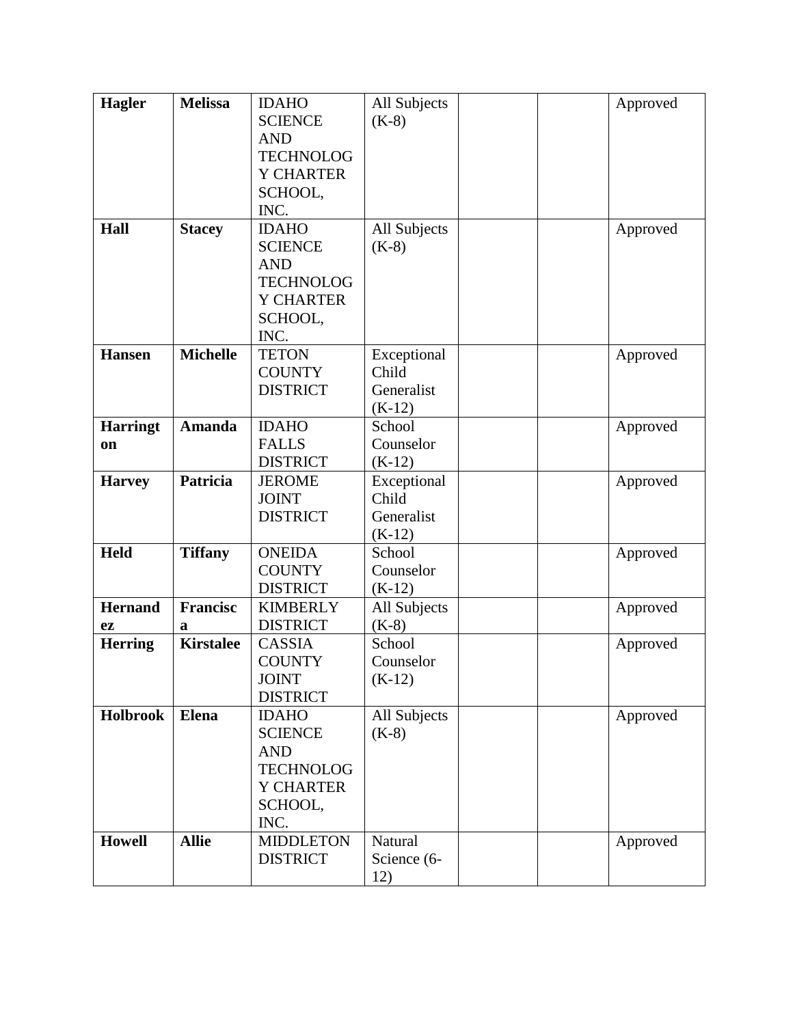| Hagler          | <b>Melissa</b>   | <b>IDAHO</b>     | All Subjects | Approved |
|-----------------|------------------|------------------|--------------|----------|
|                 |                  | <b>SCIENCE</b>   |              |          |
|                 |                  |                  | $(K-8)$      |          |
|                 |                  | <b>AND</b>       |              |          |
|                 |                  | <b>TECHNOLOG</b> |              |          |
|                 |                  | <b>Y CHARTER</b> |              |          |
|                 |                  | SCHOOL,          |              |          |
|                 |                  | INC.             |              |          |
| Hall            | <b>Stacey</b>    | <b>IDAHO</b>     | All Subjects | Approved |
|                 |                  | <b>SCIENCE</b>   | $(K-8)$      |          |
|                 |                  | <b>AND</b>       |              |          |
|                 |                  | <b>TECHNOLOG</b> |              |          |
|                 |                  | <b>Y CHARTER</b> |              |          |
|                 |                  | SCHOOL,          |              |          |
|                 |                  | INC.             |              |          |
| <b>Hansen</b>   | <b>Michelle</b>  | <b>TETON</b>     | Exceptional  | Approved |
|                 |                  | <b>COUNTY</b>    | Child        |          |
|                 |                  | <b>DISTRICT</b>  | Generalist   |          |
|                 |                  |                  | $(K-12)$     |          |
| <b>Harringt</b> | <b>Amanda</b>    | <b>IDAHO</b>     | School       | Approved |
| on              |                  | <b>FALLS</b>     | Counselor    |          |
|                 |                  | <b>DISTRICT</b>  | $(K-12)$     |          |
| <b>Harvey</b>   | <b>Patricia</b>  | <b>JEROME</b>    | Exceptional  | Approved |
|                 |                  | <b>JOINT</b>     | Child        |          |
|                 |                  | <b>DISTRICT</b>  | Generalist   |          |
|                 |                  |                  | $(K-12)$     |          |
| <b>Held</b>     | <b>Tiffany</b>   | <b>ONEIDA</b>    | School       | Approved |
|                 |                  | <b>COUNTY</b>    | Counselor    |          |
|                 |                  | <b>DISTRICT</b>  | $(K-12)$     |          |
| <b>Hernand</b>  | <b>Francisc</b>  | <b>KIMBERLY</b>  | All Subjects | Approved |
| ez              | a                | <b>DISTRICT</b>  | $(K-8)$      |          |
| <b>Herring</b>  | <b>Kirstalee</b> | CASSIA           | School       | Approved |
|                 |                  | <b>COUNTY</b>    | Counselor    |          |
|                 |                  | <b>JOINT</b>     | $(K-12)$     |          |
|                 |                  | <b>DISTRICT</b>  |              |          |
| <b>Holbrook</b> | <b>Elena</b>     | <b>IDAHO</b>     | All Subjects | Approved |
|                 |                  | <b>SCIENCE</b>   | $(K-8)$      |          |
|                 |                  | <b>AND</b>       |              |          |
|                 |                  | <b>TECHNOLOG</b> |              |          |
|                 |                  | <b>Y CHARTER</b> |              |          |
|                 |                  | SCHOOL,          |              |          |
|                 |                  | INC.             |              |          |
| <b>Howell</b>   | <b>Allie</b>     | <b>MIDDLETON</b> | Natural      |          |
|                 |                  |                  |              | Approved |
|                 |                  | <b>DISTRICT</b>  | Science (6-  |          |
|                 |                  |                  | 12)          |          |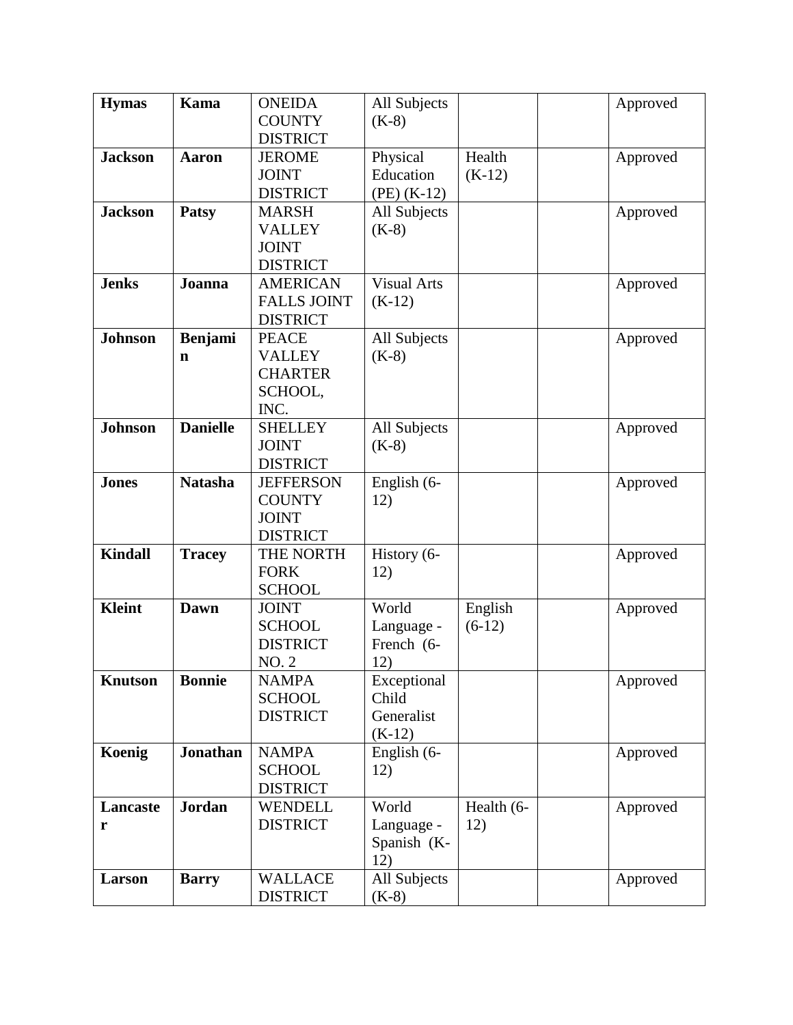| <b>Hymas</b>   | <b>Kama</b>     | <b>ONEIDA</b>      | All Subjects       |            | Approved |
|----------------|-----------------|--------------------|--------------------|------------|----------|
|                |                 | <b>COUNTY</b>      | $(K-8)$            |            |          |
|                |                 | <b>DISTRICT</b>    |                    |            |          |
| <b>Jackson</b> | <b>Aaron</b>    | <b>JEROME</b>      | Physical           | Health     | Approved |
|                |                 | <b>JOINT</b>       | Education          | $(K-12)$   |          |
|                |                 | <b>DISTRICT</b>    | $(PE)$ (K-12)      |            |          |
| <b>Jackson</b> | <b>Patsy</b>    | <b>MARSH</b>       | All Subjects       |            | Approved |
|                |                 | <b>VALLEY</b>      | $(K-8)$            |            |          |
|                |                 | <b>JOINT</b>       |                    |            |          |
|                |                 | <b>DISTRICT</b>    |                    |            |          |
| <b>Jenks</b>   | Joanna          | <b>AMERICAN</b>    | <b>Visual Arts</b> |            | Approved |
|                |                 | <b>FALLS JOINT</b> | $(K-12)$           |            |          |
|                |                 | <b>DISTRICT</b>    |                    |            |          |
| <b>Johnson</b> | <b>Benjami</b>  | <b>PEACE</b>       | All Subjects       |            | Approved |
|                | $\mathbf n$     | <b>VALLEY</b>      | $(K-8)$            |            |          |
|                |                 | <b>CHARTER</b>     |                    |            |          |
|                |                 | SCHOOL,            |                    |            |          |
|                |                 | INC.               |                    |            |          |
| <b>Johnson</b> | <b>Danielle</b> | <b>SHELLEY</b>     | All Subjects       |            | Approved |
|                |                 | <b>JOINT</b>       | $(K-8)$            |            |          |
|                |                 | <b>DISTRICT</b>    |                    |            |          |
| <b>Jones</b>   | <b>Natasha</b>  | <b>JEFFERSON</b>   | English (6-        |            | Approved |
|                |                 | <b>COUNTY</b>      | 12)                |            |          |
|                |                 | <b>JOINT</b>       |                    |            |          |
|                |                 | <b>DISTRICT</b>    |                    |            |          |
| <b>Kindall</b> | <b>Tracey</b>   | THE NORTH          | History (6-        |            | Approved |
|                |                 | <b>FORK</b>        | 12)                |            |          |
|                |                 | <b>SCHOOL</b>      |                    |            |          |
| <b>Kleint</b>  | Dawn            | <b>JOINT</b>       | World              | English    | Approved |
|                |                 | <b>SCHOOL</b>      | Language -         | $(6-12)$   |          |
|                |                 | <b>DISTRICT</b>    | French (6-         |            |          |
|                |                 | NO. 2              | 12)                |            |          |
| <b>Knutson</b> | <b>Bonnie</b>   | <b>NAMPA</b>       | Exceptional        |            | Approved |
|                |                 | <b>SCHOOL</b>      | Child              |            |          |
|                |                 | <b>DISTRICT</b>    | Generalist         |            |          |
|                |                 |                    | $(K-12)$           |            |          |
| Koenig         | <b>Jonathan</b> | <b>NAMPA</b>       | English (6-        |            | Approved |
|                |                 | <b>SCHOOL</b>      | 12)                |            |          |
|                |                 | <b>DISTRICT</b>    |                    |            |          |
| Lancaste       | <b>Jordan</b>   | <b>WENDELL</b>     | World              | Health (6- | Approved |
| r              |                 | <b>DISTRICT</b>    | Language -         | 12)        |          |
|                |                 |                    | Spanish (K-        |            |          |
|                |                 |                    | 12)                |            |          |
| Larson         | <b>Barry</b>    | <b>WALLACE</b>     | All Subjects       |            | Approved |
|                |                 | <b>DISTRICT</b>    | $(K-8)$            |            |          |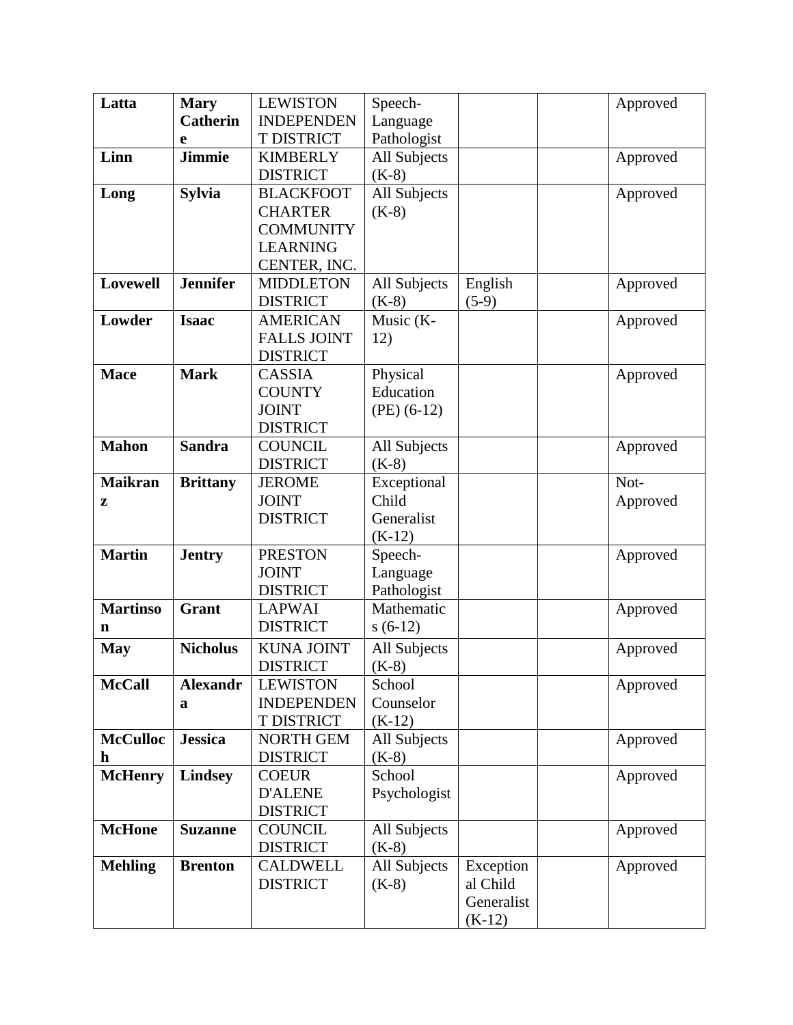| Latta           | <b>Mary</b>     | <b>LEWISTON</b>    | Speech-       |            | Approved |
|-----------------|-----------------|--------------------|---------------|------------|----------|
|                 | <b>Catherin</b> | <b>INDEPENDEN</b>  | Language      |            |          |
|                 | e               | T DISTRICT         | Pathologist   |            |          |
| Linn            | <b>Jimmie</b>   | <b>KIMBERLY</b>    | All Subjects  |            | Approved |
|                 |                 | <b>DISTRICT</b>    | $(K-8)$       |            |          |
| Long            | <b>Sylvia</b>   | <b>BLACKFOOT</b>   | All Subjects  |            | Approved |
|                 |                 | <b>CHARTER</b>     | $(K-8)$       |            |          |
|                 |                 | <b>COMMUNITY</b>   |               |            |          |
|                 |                 | <b>LEARNING</b>    |               |            |          |
|                 |                 | CENTER, INC.       |               |            |          |
| <b>Lovewell</b> | <b>Jennifer</b> | <b>MIDDLETON</b>   | All Subjects  | English    | Approved |
|                 |                 | <b>DISTRICT</b>    | $(K-8)$       | $(5-9)$    |          |
| Lowder          | <b>Isaac</b>    | <b>AMERICAN</b>    | Music $(K-$   |            | Approved |
|                 |                 | <b>FALLS JOINT</b> | 12)           |            |          |
|                 |                 | <b>DISTRICT</b>    |               |            |          |
| <b>Mace</b>     | <b>Mark</b>     | <b>CASSIA</b>      | Physical      |            | Approved |
|                 |                 | <b>COUNTY</b>      | Education     |            |          |
|                 |                 | <b>JOINT</b>       | $(PE)$ (6-12) |            |          |
|                 |                 | <b>DISTRICT</b>    |               |            |          |
| <b>Mahon</b>    | <b>Sandra</b>   | <b>COUNCIL</b>     | All Subjects  |            | Approved |
|                 |                 | <b>DISTRICT</b>    | $(K-8)$       |            |          |
| <b>Maikran</b>  | <b>Brittany</b> | <b>JEROME</b>      | Exceptional   |            | Not-     |
| z               |                 | <b>JOINT</b>       | Child         |            | Approved |
|                 |                 | <b>DISTRICT</b>    | Generalist    |            |          |
|                 |                 |                    | $(K-12)$      |            |          |
| <b>Martin</b>   | <b>Jentry</b>   | <b>PRESTON</b>     | Speech-       |            | Approved |
|                 |                 | <b>JOINT</b>       | Language      |            |          |
|                 |                 | <b>DISTRICT</b>    | Pathologist   |            |          |
| <b>Martinso</b> | Grant           | <b>LAPWAI</b>      | Mathematic    |            | Approved |
| $\mathbf n$     |                 | <b>DISTRICT</b>    | $s(6-12)$     |            |          |
| <b>May</b>      | <b>Nicholus</b> | <b>KUNA JOINT</b>  | All Subjects  |            | Approved |
|                 |                 | <b>DISTRICT</b>    | $(K-8)$       |            |          |
| <b>McCall</b>   | <b>Alexandr</b> | <b>LEWISTON</b>    | School        |            | Approved |
|                 | a               | <b>INDEPENDEN</b>  | Counselor     |            |          |
|                 |                 | T DISTRICT         | $(K-12)$      |            |          |
| <b>McCulloc</b> | <b>Jessica</b>  | <b>NORTH GEM</b>   | All Subjects  |            | Approved |
| $\mathbf h$     |                 | <b>DISTRICT</b>    | $(K-8)$       |            |          |
| <b>McHenry</b>  | <b>Lindsey</b>  | <b>COEUR</b>       | School        |            | Approved |
|                 |                 | <b>D'ALENE</b>     | Psychologist  |            |          |
|                 |                 | <b>DISTRICT</b>    |               |            |          |
| <b>McHone</b>   | <b>Suzanne</b>  | <b>COUNCIL</b>     | All Subjects  |            | Approved |
|                 |                 | <b>DISTRICT</b>    | $(K-8)$       |            |          |
| <b>Mehling</b>  | <b>Brenton</b>  | <b>CALDWELL</b>    | All Subjects  | Exception  | Approved |
|                 |                 | <b>DISTRICT</b>    | $(K-8)$       | al Child   |          |
|                 |                 |                    |               | Generalist |          |
|                 |                 |                    |               | $(K-12)$   |          |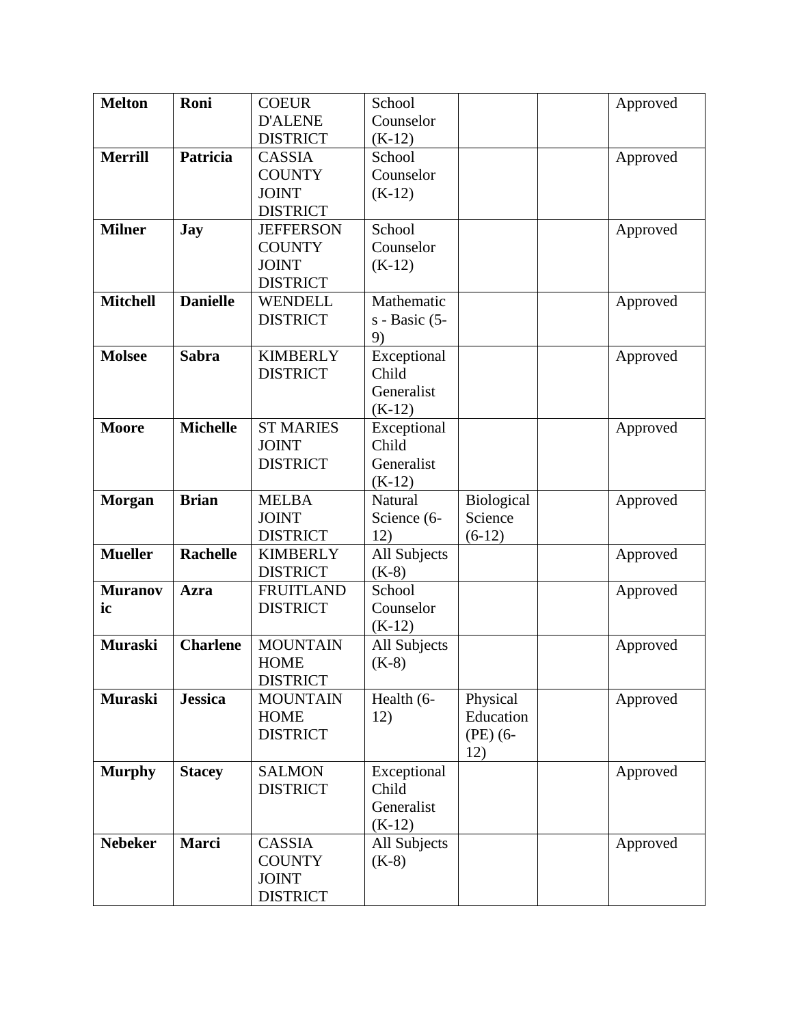| <b>Melton</b>   | Roni            | <b>COEUR</b>     | School          |            | Approved |
|-----------------|-----------------|------------------|-----------------|------------|----------|
|                 |                 | <b>D'ALENE</b>   | Counselor       |            |          |
|                 |                 | <b>DISTRICT</b>  | $(K-12)$        |            |          |
| <b>Merrill</b>  | Patricia        | <b>CASSIA</b>    | School          |            | Approved |
|                 |                 | <b>COUNTY</b>    | Counselor       |            |          |
|                 |                 | <b>JOINT</b>     | $(K-12)$        |            |          |
|                 |                 | <b>DISTRICT</b>  |                 |            |          |
| <b>Milner</b>   | <b>Jay</b>      | <b>JEFFERSON</b> | School          |            | Approved |
|                 |                 | <b>COUNTY</b>    | Counselor       |            |          |
|                 |                 | <b>JOINT</b>     | $(K-12)$        |            |          |
|                 |                 | <b>DISTRICT</b>  |                 |            |          |
| <b>Mitchell</b> | <b>Danielle</b> | <b>WENDELL</b>   | Mathematic      |            | Approved |
|                 |                 | <b>DISTRICT</b>  | $s$ - Basic (5- |            |          |
|                 |                 |                  | 9)              |            |          |
| <b>Molsee</b>   | <b>Sabra</b>    | <b>KIMBERLY</b>  | Exceptional     |            | Approved |
|                 |                 | <b>DISTRICT</b>  | Child           |            |          |
|                 |                 |                  | Generalist      |            |          |
|                 |                 |                  | $(K-12)$        |            |          |
| <b>Moore</b>    | <b>Michelle</b> | <b>ST MARIES</b> | Exceptional     |            | Approved |
|                 |                 | <b>JOINT</b>     | Child           |            |          |
|                 |                 | <b>DISTRICT</b>  | Generalist      |            |          |
|                 |                 |                  | $(K-12)$        |            |          |
| <b>Morgan</b>   | <b>Brian</b>    | <b>MELBA</b>     | Natural         | Biological | Approved |
|                 |                 | <b>JOINT</b>     | Science (6-     | Science    |          |
|                 |                 | <b>DISTRICT</b>  | 12)             | $(6-12)$   |          |
| <b>Mueller</b>  | <b>Rachelle</b> | <b>KIMBERLY</b>  | All Subjects    |            | Approved |
|                 |                 | <b>DISTRICT</b>  | $(K-8)$         |            |          |
| <b>Muranov</b>  | Azra            | <b>FRUITLAND</b> | School          |            | Approved |
| ic              |                 | <b>DISTRICT</b>  | Counselor       |            |          |
|                 |                 |                  | $(K-12)$        |            |          |
| <b>Muraski</b>  | <b>Charlene</b> | <b>MOUNTAIN</b>  | All Subjects    |            | Approved |
|                 |                 | <b>HOME</b>      | $(K-8)$         |            |          |
|                 |                 | <b>DISTRICT</b>  |                 |            |          |
| <b>Muraski</b>  | <b>Jessica</b>  | <b>MOUNTAIN</b>  | Health (6-      | Physical   | Approved |
|                 |                 | <b>HOME</b>      | 12)             | Education  |          |
|                 |                 | <b>DISTRICT</b>  |                 | $(PE)$ (6- |          |
|                 |                 |                  |                 | 12)        |          |
| <b>Murphy</b>   | <b>Stacey</b>   | <b>SALMON</b>    | Exceptional     |            | Approved |
|                 |                 | <b>DISTRICT</b>  | Child           |            |          |
|                 |                 |                  | Generalist      |            |          |
|                 |                 |                  | $(K-12)$        |            |          |
| <b>Nebeker</b>  | Marci           | <b>CASSIA</b>    | All Subjects    |            | Approved |
|                 |                 | <b>COUNTY</b>    | $(K-8)$         |            |          |
|                 |                 | <b>JOINT</b>     |                 |            |          |
|                 |                 | <b>DISTRICT</b>  |                 |            |          |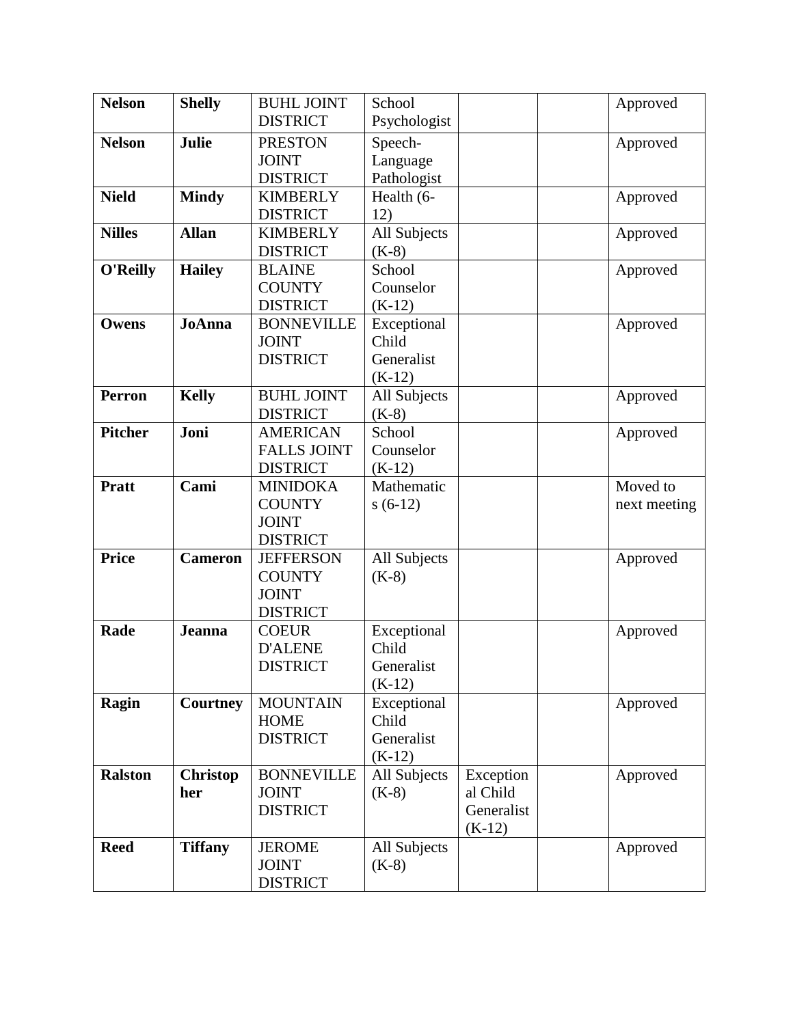| <b>Nelson</b>  | <b>Shelly</b>   | <b>BUHL JOINT</b>              | School               |            | Approved     |
|----------------|-----------------|--------------------------------|----------------------|------------|--------------|
|                |                 | <b>DISTRICT</b>                | Psychologist         |            |              |
| <b>Nelson</b>  | Julie           | <b>PRESTON</b>                 | Speech-              |            | Approved     |
|                |                 | <b>JOINT</b>                   | Language             |            |              |
|                |                 | <b>DISTRICT</b>                | Pathologist          |            |              |
| <b>Nield</b>   | <b>Mindy</b>    | <b>KIMBERLY</b>                | Health (6-           |            | Approved     |
|                |                 | <b>DISTRICT</b>                | 12)                  |            |              |
| <b>Nilles</b>  | <b>Allan</b>    | <b>KIMBERLY</b>                | All Subjects         |            | Approved     |
|                |                 | <b>DISTRICT</b>                | $(K-8)$              |            |              |
| O'Reilly       | <b>Hailey</b>   | <b>BLAINE</b>                  | School               |            | Approved     |
|                |                 | <b>COUNTY</b>                  | Counselor            |            |              |
|                |                 | <b>DISTRICT</b>                | $(K-12)$             |            |              |
| Owens          | <b>JoAnna</b>   | <b>BONNEVILLE</b>              | Exceptional          |            | Approved     |
|                |                 | <b>JOINT</b>                   | Child                |            |              |
|                |                 | <b>DISTRICT</b>                | Generalist           |            |              |
|                |                 |                                | $(K-12)$             |            |              |
| <b>Perron</b>  | <b>Kelly</b>    | <b>BUHL JOINT</b>              | All Subjects         |            | Approved     |
|                |                 | <b>DISTRICT</b>                | $(K-8)$              |            |              |
| <b>Pitcher</b> | Joni            | <b>AMERICAN</b>                | School               |            | Approved     |
|                |                 | <b>FALLS JOINT</b>             | Counselor            |            |              |
|                |                 | <b>DISTRICT</b>                | $(K-12)$             |            |              |
| <b>Pratt</b>   | Cami            | <b>MINIDOKA</b>                | Mathematic           |            | Moved to     |
|                |                 | <b>COUNTY</b>                  | $s(6-12)$            |            | next meeting |
|                |                 | <b>JOINT</b>                   |                      |            |              |
|                |                 | <b>DISTRICT</b>                |                      |            |              |
| <b>Price</b>   | <b>Cameron</b>  | <b>JEFFERSON</b>               | All Subjects         |            | Approved     |
|                |                 | <b>COUNTY</b>                  | $(K-8)$              |            |              |
|                |                 | <b>JOINT</b>                   |                      |            |              |
| Rade           |                 | <b>DISTRICT</b>                |                      |            |              |
|                | <b>Jeanna</b>   | <b>COEUR</b><br><b>D'ALENE</b> | Exceptional<br>Child |            | Approved     |
|                |                 | <b>DISTRICT</b>                | Generalist           |            |              |
|                |                 |                                | $(K-12)$             |            |              |
| Ragin          | <b>Courtney</b> | <b>MOUNTAIN</b>                | Exceptional          |            | Approved     |
|                |                 | <b>HOME</b>                    | Child                |            |              |
|                |                 | <b>DISTRICT</b>                | Generalist           |            |              |
|                |                 |                                | $(K-12)$             |            |              |
| <b>Ralston</b> | <b>Christop</b> | <b>BONNEVILLE</b>              | All Subjects         | Exception  | Approved     |
|                | her             | <b>JOINT</b>                   | $(K-8)$              | al Child   |              |
|                |                 | <b>DISTRICT</b>                |                      | Generalist |              |
|                |                 |                                |                      | $(K-12)$   |              |
| <b>Reed</b>    | <b>Tiffany</b>  | <b>JEROME</b>                  | All Subjects         |            | Approved     |
|                |                 | <b>JOINT</b>                   | $(K-8)$              |            |              |
|                |                 | <b>DISTRICT</b>                |                      |            |              |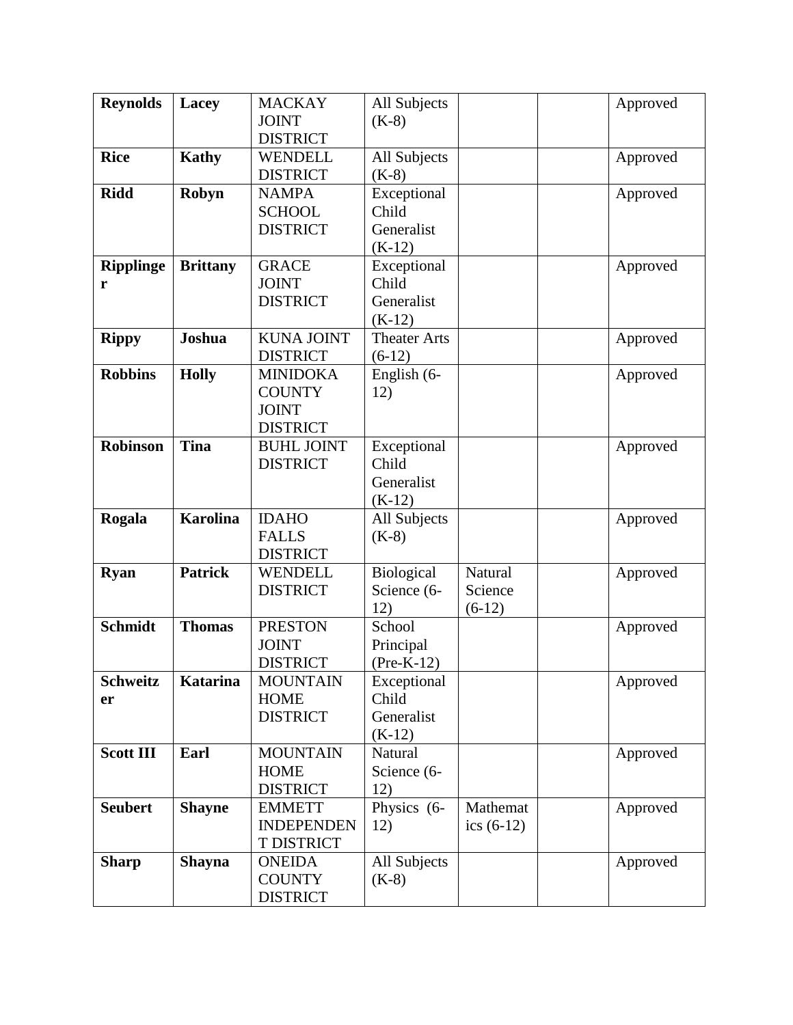| <b>Reynolds</b>  | Lacey           | <b>MACKAY</b>     | All Subjects        |              | Approved |
|------------------|-----------------|-------------------|---------------------|--------------|----------|
|                  |                 | <b>JOINT</b>      | $(K-8)$             |              |          |
|                  |                 | <b>DISTRICT</b>   |                     |              |          |
| <b>Rice</b>      | <b>Kathy</b>    | <b>WENDELL</b>    | All Subjects        |              | Approved |
|                  |                 | <b>DISTRICT</b>   | $(K-8)$             |              |          |
| <b>Ridd</b>      | Robyn           | <b>NAMPA</b>      | Exceptional         |              | Approved |
|                  |                 | <b>SCHOOL</b>     | Child               |              |          |
|                  |                 | <b>DISTRICT</b>   | Generalist          |              |          |
|                  |                 |                   | $(K-12)$            |              |          |
| <b>Ripplinge</b> | <b>Brittany</b> | <b>GRACE</b>      | Exceptional         |              | Approved |
| r                |                 | <b>JOINT</b>      | Child               |              |          |
|                  |                 | <b>DISTRICT</b>   | Generalist          |              |          |
|                  |                 |                   | $(K-12)$            |              |          |
| <b>Rippy</b>     | Joshua          | <b>KUNA JOINT</b> | <b>Theater Arts</b> |              | Approved |
|                  |                 | <b>DISTRICT</b>   | $(6-12)$            |              |          |
| <b>Robbins</b>   | <b>Holly</b>    | <b>MINIDOKA</b>   | English (6-         |              | Approved |
|                  |                 | <b>COUNTY</b>     | 12)                 |              |          |
|                  |                 | <b>JOINT</b>      |                     |              |          |
|                  |                 | <b>DISTRICT</b>   |                     |              |          |
| <b>Robinson</b>  | <b>Tina</b>     | <b>BUHL JOINT</b> | Exceptional         |              | Approved |
|                  |                 | <b>DISTRICT</b>   | Child               |              |          |
|                  |                 |                   | Generalist          |              |          |
|                  |                 |                   | $(K-12)$            |              |          |
| Rogala           | <b>Karolina</b> | <b>IDAHO</b>      | All Subjects        |              | Approved |
|                  |                 | <b>FALLS</b>      | $(K-8)$             |              |          |
|                  |                 | <b>DISTRICT</b>   |                     |              |          |
| <b>Ryan</b>      | <b>Patrick</b>  | <b>WENDELL</b>    | Biological          | Natural      | Approved |
|                  |                 | <b>DISTRICT</b>   | Science (6-         | Science      |          |
|                  |                 |                   | 12)                 | $(6-12)$     |          |
| <b>Schmidt</b>   | <b>Thomas</b>   | <b>PRESTON</b>    | School              |              | Approved |
|                  |                 | <b>JOINT</b>      | Principal           |              |          |
|                  |                 | <b>DISTRICT</b>   | $(Pre-K-12)$        |              |          |
| <b>Schweitz</b>  | Katarina        | <b>MOUNTAIN</b>   | Exceptional         |              | Approved |
| er               |                 | <b>HOME</b>       | Child               |              |          |
|                  |                 | <b>DISTRICT</b>   | Generalist          |              |          |
|                  |                 |                   | $(K-12)$            |              |          |
| <b>Scott III</b> | Earl            | <b>MOUNTAIN</b>   | Natural             |              | Approved |
|                  |                 | <b>HOME</b>       | Science (6-         |              |          |
|                  |                 | <b>DISTRICT</b>   | 12)                 |              |          |
| <b>Seubert</b>   | <b>Shayne</b>   | <b>EMMETT</b>     | Physics (6-         | Mathemat     | Approved |
|                  |                 | <b>INDEPENDEN</b> | 12)                 | ics $(6-12)$ |          |
|                  |                 | <b>T DISTRICT</b> |                     |              |          |
| <b>Sharp</b>     | <b>Shayna</b>   | <b>ONEIDA</b>     | All Subjects        |              | Approved |
|                  |                 | <b>COUNTY</b>     | $(K-8)$             |              |          |
|                  |                 | <b>DISTRICT</b>   |                     |              |          |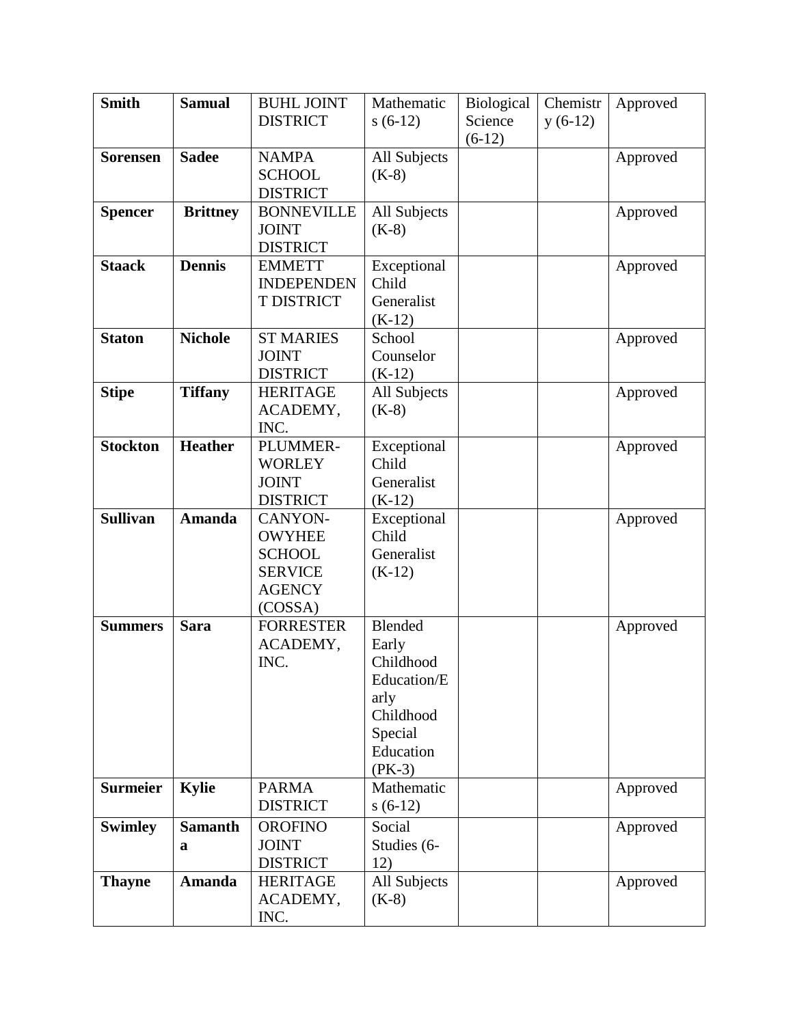| <b>Smith</b>    | <b>Samual</b>   | <b>BUHL JOINT</b> | Mathematic     | Biological | Chemistr  | Approved |
|-----------------|-----------------|-------------------|----------------|------------|-----------|----------|
|                 |                 | <b>DISTRICT</b>   | $s(6-12)$      | Science    | $y(6-12)$ |          |
|                 |                 |                   |                | $(6-12)$   |           |          |
| <b>Sorensen</b> | <b>Sadee</b>    | <b>NAMPA</b>      | All Subjects   |            |           | Approved |
|                 |                 | <b>SCHOOL</b>     | $(K-8)$        |            |           |          |
|                 |                 | <b>DISTRICT</b>   |                |            |           |          |
| <b>Spencer</b>  | <b>Brittney</b> | <b>BONNEVILLE</b> | All Subjects   |            |           | Approved |
|                 |                 | <b>JOINT</b>      | $(K-8)$        |            |           |          |
|                 |                 | <b>DISTRICT</b>   |                |            |           |          |
| <b>Staack</b>   | <b>Dennis</b>   | <b>EMMETT</b>     | Exceptional    |            |           | Approved |
|                 |                 | <b>INDEPENDEN</b> | Child          |            |           |          |
|                 |                 | <b>T DISTRICT</b> | Generalist     |            |           |          |
|                 |                 |                   | $(K-12)$       |            |           |          |
| <b>Staton</b>   | <b>Nichole</b>  | <b>ST MARIES</b>  | School         |            |           | Approved |
|                 |                 | <b>JOINT</b>      | Counselor      |            |           |          |
|                 |                 | <b>DISTRICT</b>   | $(K-12)$       |            |           |          |
| <b>Stipe</b>    | <b>Tiffany</b>  | <b>HERITAGE</b>   | All Subjects   |            |           | Approved |
|                 |                 | ACADEMY,          | $(K-8)$        |            |           |          |
|                 |                 | INC.              |                |            |           |          |
| <b>Stockton</b> | <b>Heather</b>  | PLUMMER-          | Exceptional    |            |           | Approved |
|                 |                 | <b>WORLEY</b>     | Child          |            |           |          |
|                 |                 | <b>JOINT</b>      | Generalist     |            |           |          |
|                 |                 | <b>DISTRICT</b>   | $(K-12)$       |            |           |          |
| <b>Sullivan</b> | <b>Amanda</b>   | CANYON-           | Exceptional    |            |           | Approved |
|                 |                 | <b>OWYHEE</b>     | Child          |            |           |          |
|                 |                 | <b>SCHOOL</b>     | Generalist     |            |           |          |
|                 |                 | <b>SERVICE</b>    | $(K-12)$       |            |           |          |
|                 |                 | <b>AGENCY</b>     |                |            |           |          |
|                 |                 | (COSSA)           |                |            |           |          |
| <b>Summers</b>  | <b>Sara</b>     | <b>FORRESTER</b>  | <b>Blended</b> |            |           | Approved |
|                 |                 | ACADEMY,          | Early          |            |           |          |
|                 |                 | INC.              | Childhood      |            |           |          |
|                 |                 |                   | Education/E    |            |           |          |
|                 |                 |                   | arly           |            |           |          |
|                 |                 |                   | Childhood      |            |           |          |
|                 |                 |                   | Special        |            |           |          |
|                 |                 |                   | Education      |            |           |          |
|                 |                 |                   | $(PK-3)$       |            |           |          |
| <b>Surmeier</b> | <b>Kylie</b>    | <b>PARMA</b>      | Mathematic     |            |           | Approved |
|                 |                 | <b>DISTRICT</b>   | $s(6-12)$      |            |           |          |
| <b>Swimley</b>  | <b>Samanth</b>  | <b>OROFINO</b>    | Social         |            |           | Approved |
|                 | a               | <b>JOINT</b>      | Studies (6-    |            |           |          |
|                 |                 | <b>DISTRICT</b>   | 12)            |            |           |          |
| <b>Thayne</b>   | <b>Amanda</b>   | <b>HERITAGE</b>   | All Subjects   |            |           | Approved |
|                 |                 | ACADEMY,          | $(K-8)$        |            |           |          |
|                 |                 | INC.              |                |            |           |          |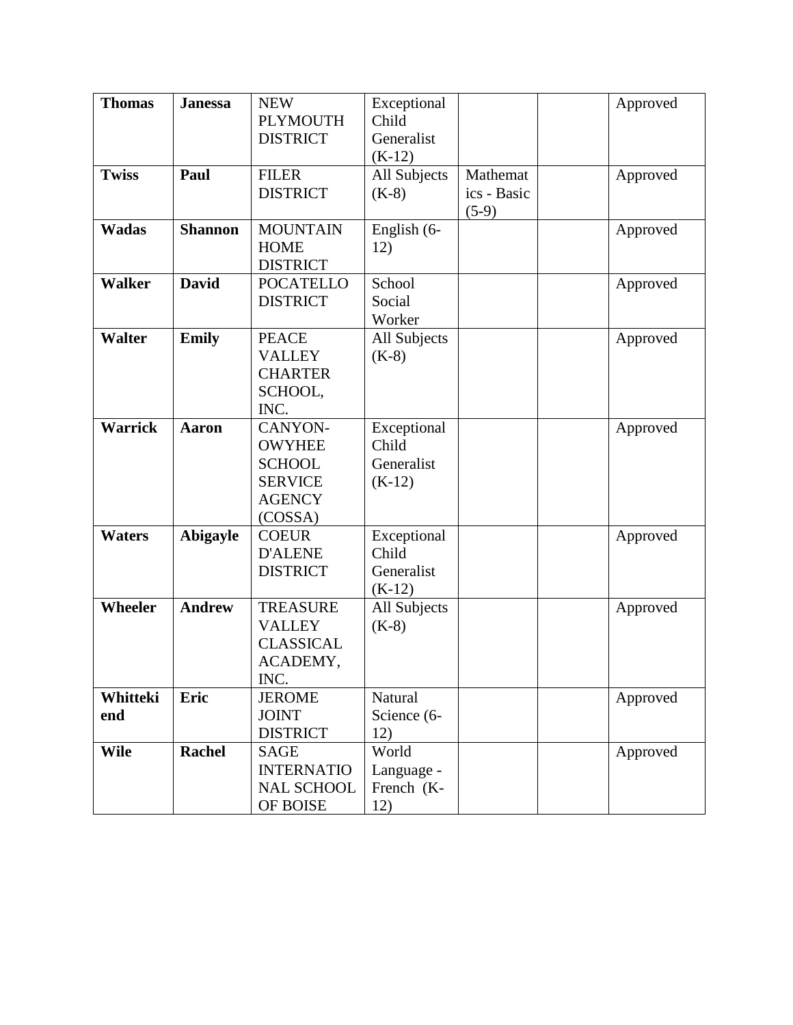| <b>Thomas</b>   | <b>Janessa</b> | <b>NEW</b><br><b>PLYMOUTH</b><br><b>DISTRICT</b>                                        | Exceptional<br>Child<br>Generalist<br>$(K-12)$ |                                    | Approved |
|-----------------|----------------|-----------------------------------------------------------------------------------------|------------------------------------------------|------------------------------------|----------|
| <b>Twiss</b>    | Paul           | <b>FILER</b><br><b>DISTRICT</b>                                                         | All Subjects<br>$(K-8)$                        | Mathemat<br>ics - Basic<br>$(5-9)$ | Approved |
| <b>Wadas</b>    | <b>Shannon</b> | <b>MOUNTAIN</b><br><b>HOME</b><br><b>DISTRICT</b>                                       | English (6-<br>12)                             |                                    | Approved |
| <b>Walker</b>   | <b>David</b>   | <b>POCATELLO</b><br><b>DISTRICT</b>                                                     | School<br>Social<br>Worker                     |                                    | Approved |
| <b>Walter</b>   | <b>Emily</b>   | <b>PEACE</b><br><b>VALLEY</b><br><b>CHARTER</b><br>SCHOOL,<br>INC.                      | All Subjects<br>$(K-8)$                        |                                    | Approved |
| <b>Warrick</b>  | <b>Aaron</b>   | CANYON-<br><b>OWYHEE</b><br><b>SCHOOL</b><br><b>SERVICE</b><br><b>AGENCY</b><br>(COSSA) | Exceptional<br>Child<br>Generalist<br>$(K-12)$ |                                    | Approved |
| <b>Waters</b>   | Abigayle       | <b>COEUR</b><br><b>D'ALENE</b><br><b>DISTRICT</b>                                       | Exceptional<br>Child<br>Generalist<br>$(K-12)$ |                                    | Approved |
| <b>Wheeler</b>  | <b>Andrew</b>  | <b>TREASURE</b><br><b>VALLEY</b><br><b>CLASSICAL</b><br>ACADEMY,<br>INC.                | All Subjects<br>$(K-8)$                        |                                    | Approved |
| Whitteki<br>end | Eric           | <b>JEROME</b><br><b>JOINT</b><br><b>DISTRICT</b>                                        | Natural<br>Science (6-<br>12)                  |                                    | Approved |
| <b>Wile</b>     | <b>Rachel</b>  | <b>SAGE</b><br><b>INTERNATIO</b><br><b>NAL SCHOOL</b><br>OF BOISE                       | World<br>Language -<br>French (K-<br>12)       |                                    | Approved |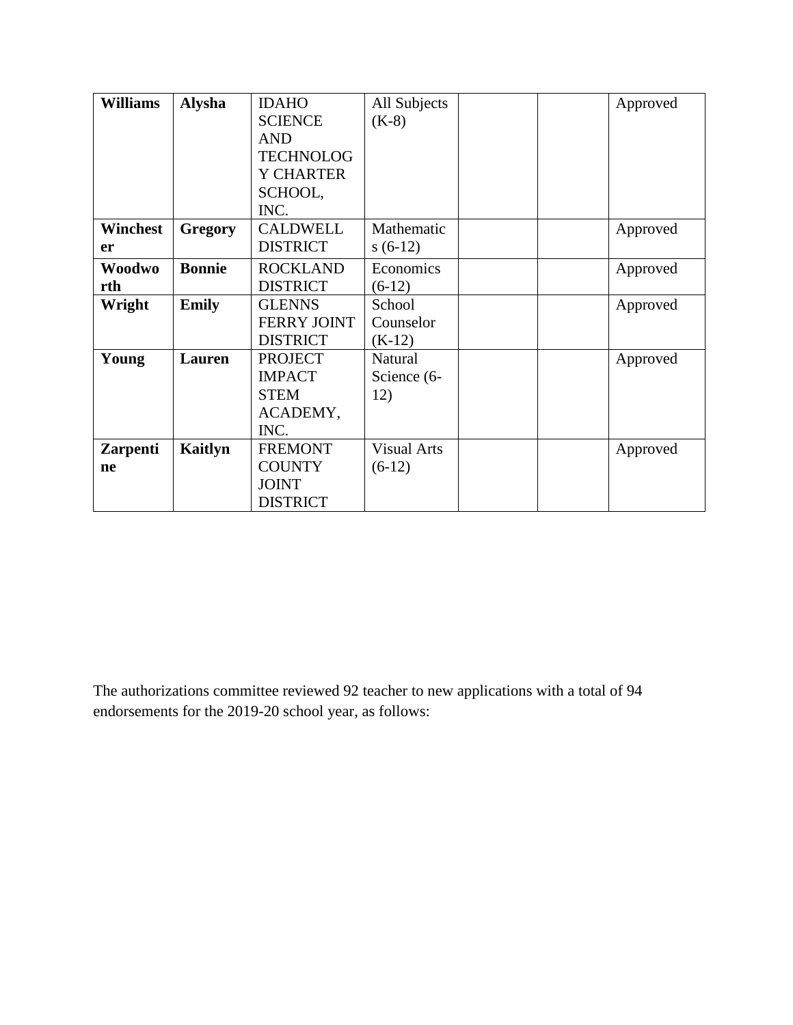| <b>Williams</b> | <b>Alysha</b>  | <b>IDAHO</b>       | All Subjects       |  | Approved |
|-----------------|----------------|--------------------|--------------------|--|----------|
|                 |                | <b>SCIENCE</b>     | $(K-8)$            |  |          |
|                 |                | <b>AND</b>         |                    |  |          |
|                 |                | <b>TECHNOLOG</b>   |                    |  |          |
|                 |                | <b>Y CHARTER</b>   |                    |  |          |
|                 |                | SCHOOL,            |                    |  |          |
|                 |                | INC.               |                    |  |          |
| Winchest        | <b>Gregory</b> | <b>CALDWELL</b>    | Mathematic         |  | Approved |
| er              |                | <b>DISTRICT</b>    | $s(6-12)$          |  |          |
| Woodwo          | <b>Bonnie</b>  | <b>ROCKLAND</b>    | Economics          |  | Approved |
| rth             |                | <b>DISTRICT</b>    | $(6-12)$           |  |          |
| Wright          | <b>Emily</b>   | <b>GLENNS</b>      | School             |  | Approved |
|                 |                | <b>FERRY JOINT</b> | Counselor          |  |          |
|                 |                | <b>DISTRICT</b>    | $(K-12)$           |  |          |
| Young           | Lauren         | <b>PROJECT</b>     | Natural            |  | Approved |
|                 |                | <b>IMPACT</b>      | Science (6-        |  |          |
|                 |                | <b>STEM</b>        | 12)                |  |          |
|                 |                | ACADEMY,           |                    |  |          |
|                 |                | INC.               |                    |  |          |
| <b>Zarpenti</b> | Kaitlyn        | <b>FREMONT</b>     | <b>Visual Arts</b> |  | Approved |
| ne              |                | <b>COUNTY</b>      | $(6-12)$           |  |          |
|                 |                | <b>JOINT</b>       |                    |  |          |
|                 |                | <b>DISTRICT</b>    |                    |  |          |

The authorizations committee reviewed 92 teacher to new applications with a total of 94 endorsements for the 2019-20 school year, as follows: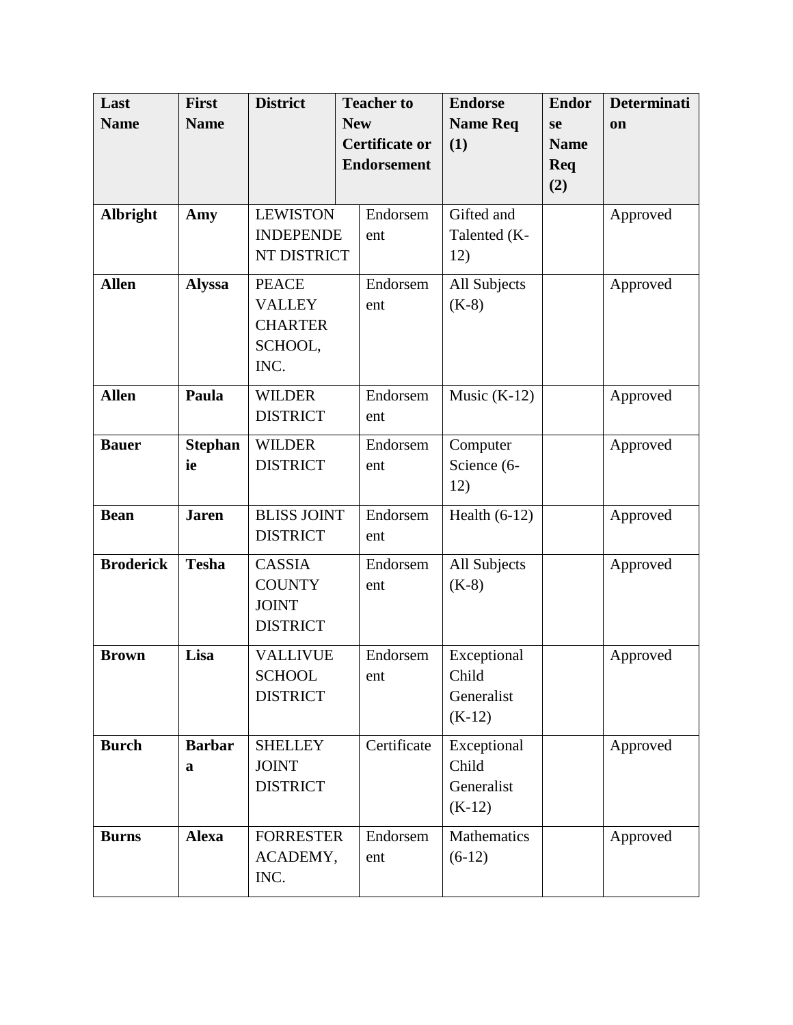| Last             | <b>First</b>   | <b>District</b>    | <b>Teacher to</b>     | <b>Endorse</b>  | <b>Endor</b> | <b>Determinati</b> |
|------------------|----------------|--------------------|-----------------------|-----------------|--------------|--------------------|
| <b>Name</b>      | <b>Name</b>    |                    | <b>New</b>            | <b>Name Req</b> | se           | on                 |
|                  |                |                    | <b>Certificate or</b> | (1)             | <b>Name</b>  |                    |
|                  |                |                    | <b>Endorsement</b>    |                 | Req          |                    |
|                  |                |                    |                       |                 | (2)          |                    |
| Albright         | Amy            | <b>LEWISTON</b>    | Endorsem              | Gifted and      |              | Approved           |
|                  |                | <b>INDEPENDE</b>   | ent                   | Talented (K-    |              |                    |
|                  |                | NT DISTRICT        |                       | 12)             |              |                    |
| <b>Allen</b>     | <b>Alyssa</b>  | <b>PEACE</b>       | Endorsem              | All Subjects    |              | Approved           |
|                  |                | <b>VALLEY</b>      | ent                   | $(K-8)$         |              |                    |
|                  |                | <b>CHARTER</b>     |                       |                 |              |                    |
|                  |                | SCHOOL,            |                       |                 |              |                    |
|                  |                | INC.               |                       |                 |              |                    |
| <b>Allen</b>     | Paula          | <b>WILDER</b>      | Endorsem              | Music $(K-12)$  |              | Approved           |
|                  |                | <b>DISTRICT</b>    | ent                   |                 |              |                    |
| <b>Bauer</b>     | <b>Stephan</b> | <b>WILDER</b>      | Endorsem              | Computer        |              | Approved           |
|                  | ie             | <b>DISTRICT</b>    | ent                   | Science (6-     |              |                    |
|                  |                |                    |                       | 12)             |              |                    |
| <b>Bean</b>      | <b>Jaren</b>   | <b>BLISS JOINT</b> | Endorsem              | Health $(6-12)$ |              | Approved           |
|                  |                | <b>DISTRICT</b>    | ent                   |                 |              |                    |
| <b>Broderick</b> | <b>Tesha</b>   | <b>CASSIA</b>      | Endorsem              | All Subjects    |              | Approved           |
|                  |                | <b>COUNTY</b>      | ent                   | $(K-8)$         |              |                    |
|                  |                | <b>JOINT</b>       |                       |                 |              |                    |
|                  |                | <b>DISTRICT</b>    |                       |                 |              |                    |
| <b>Brown</b>     | Lisa           | <b>VALLIVUE</b>    | Endorsem              | Exceptional     |              | Approved           |
|                  |                | <b>SCHOOL</b>      | ent                   | Child           |              |                    |
|                  |                | <b>DISTRICT</b>    |                       | Generalist      |              |                    |
|                  |                |                    |                       | $(K-12)$        |              |                    |
| <b>Burch</b>     | <b>Barbar</b>  | <b>SHELLEY</b>     | Certificate           | Exceptional     |              | Approved           |
|                  | a              | <b>JOINT</b>       |                       | Child           |              |                    |
|                  |                | <b>DISTRICT</b>    |                       | Generalist      |              |                    |
|                  |                |                    |                       | $(K-12)$        |              |                    |
| <b>Burns</b>     | <b>Alexa</b>   | <b>FORRESTER</b>   | Endorsem              | Mathematics     |              | Approved           |
|                  |                | ACADEMY,           | ent                   | $(6-12)$        |              |                    |
|                  |                | INC.               |                       |                 |              |                    |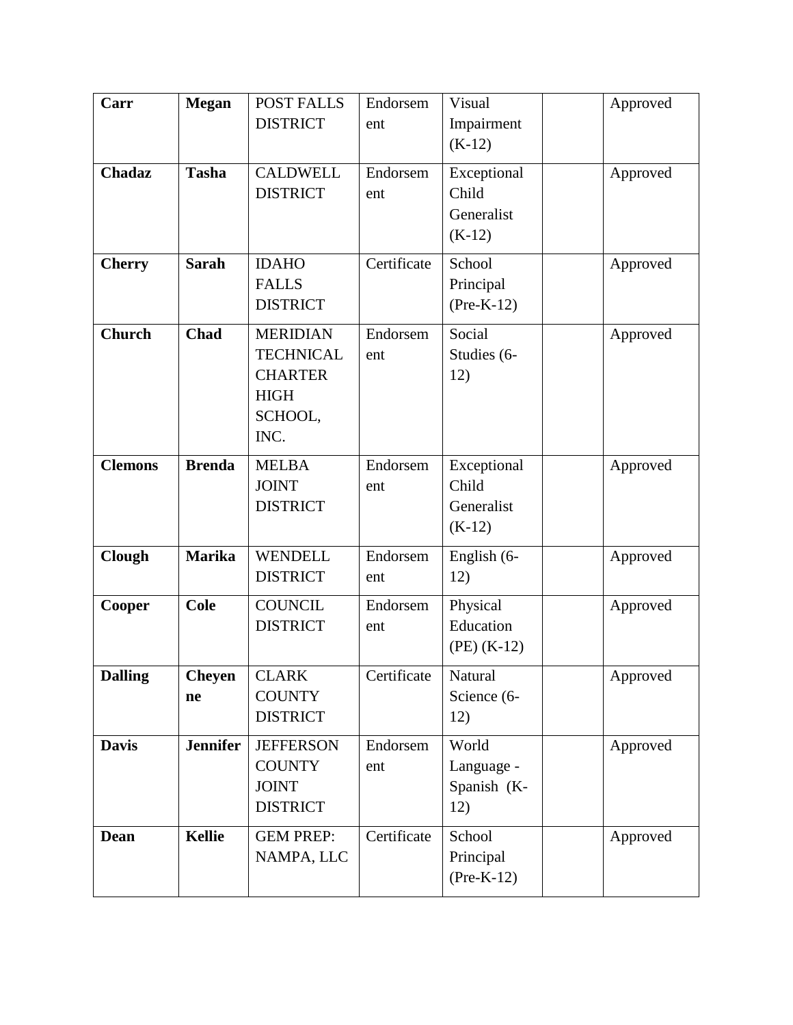| Carr           | <b>Megan</b>        | POST FALLS                                                                              | Endorsem        | Visual                                         | Approved |
|----------------|---------------------|-----------------------------------------------------------------------------------------|-----------------|------------------------------------------------|----------|
|                |                     | <b>DISTRICT</b>                                                                         | ent             | Impairment<br>$(K-12)$                         |          |
| <b>Chadaz</b>  | <b>Tasha</b>        | <b>CALDWELL</b><br><b>DISTRICT</b>                                                      | Endorsem<br>ent | Exceptional<br>Child<br>Generalist<br>$(K-12)$ | Approved |
| <b>Cherry</b>  | <b>Sarah</b>        | <b>IDAHO</b><br><b>FALLS</b><br><b>DISTRICT</b>                                         | Certificate     | School<br>Principal<br>$(Pre-K-12)$            | Approved |
| <b>Church</b>  | <b>Chad</b>         | <b>MERIDIAN</b><br><b>TECHNICAL</b><br><b>CHARTER</b><br><b>HIGH</b><br>SCHOOL,<br>INC. | Endorsem<br>ent | Social<br>Studies (6-<br>12)                   | Approved |
| <b>Clemons</b> | <b>Brenda</b>       | <b>MELBA</b><br><b>JOINT</b><br><b>DISTRICT</b>                                         | Endorsem<br>ent | Exceptional<br>Child<br>Generalist<br>$(K-12)$ | Approved |
| Clough         | <b>Marika</b>       | <b>WENDELL</b><br><b>DISTRICT</b>                                                       | Endorsem<br>ent | English (6-<br>12)                             | Approved |
| <b>Cooper</b>  | <b>Cole</b>         | <b>COUNCIL</b><br><b>DISTRICT</b>                                                       | Endorsem<br>ent | Physical<br>Education<br>$(PE)$ (K-12)         | Approved |
| <b>Dalling</b> | <b>Cheyen</b><br>ne | <b>CLARK</b><br><b>COUNTY</b><br><b>DISTRICT</b>                                        | Certificate     | Natural<br>Science (6-<br>12)                  | Approved |
| <b>Davis</b>   | <b>Jennifer</b>     | <b>JEFFERSON</b><br><b>COUNTY</b><br><b>JOINT</b><br><b>DISTRICT</b>                    | Endorsem<br>ent | World<br>Language -<br>Spanish (K-<br>12)      | Approved |
| <b>Dean</b>    | <b>Kellie</b>       | <b>GEM PREP:</b><br>NAMPA, LLC                                                          | Certificate     | School<br>Principal<br>$(Pre-K-12)$            | Approved |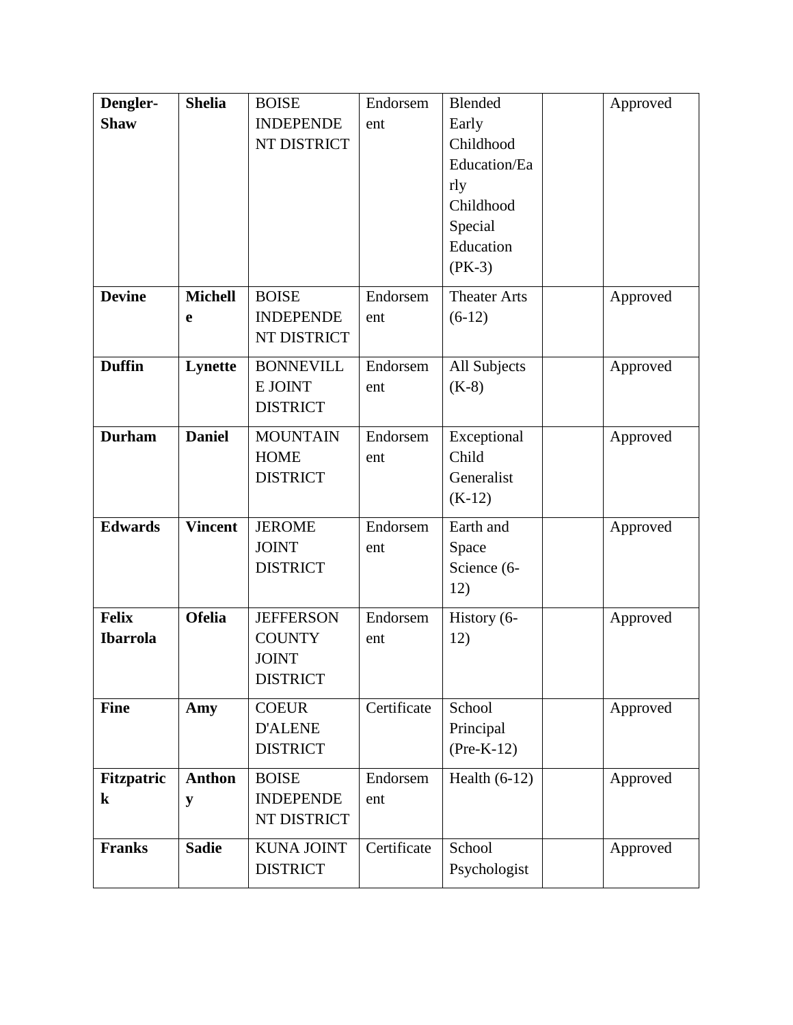| Dengler-        | <b>Shelia</b>  | <b>BOISE</b>      | Endorsem    | Blended             | Approved |
|-----------------|----------------|-------------------|-------------|---------------------|----------|
| <b>Shaw</b>     |                | <b>INDEPENDE</b>  | ent         | Early               |          |
|                 |                | NT DISTRICT       |             | Childhood           |          |
|                 |                |                   |             | Education/Ea        |          |
|                 |                |                   |             | rly                 |          |
|                 |                |                   |             | Childhood           |          |
|                 |                |                   |             | Special             |          |
|                 |                |                   |             | Education           |          |
|                 |                |                   |             | $(PK-3)$            |          |
| <b>Devine</b>   | <b>Michell</b> | <b>BOISE</b>      | Endorsem    | <b>Theater Arts</b> | Approved |
|                 | e              | <b>INDEPENDE</b>  | ent         | $(6-12)$            |          |
|                 |                | NT DISTRICT       |             |                     |          |
| <b>Duffin</b>   | Lynette        | <b>BONNEVILL</b>  | Endorsem    | All Subjects        | Approved |
|                 |                | E JOINT           | ent         | $(K-8)$             |          |
|                 |                | <b>DISTRICT</b>   |             |                     |          |
| <b>Durham</b>   | <b>Daniel</b>  | <b>MOUNTAIN</b>   | Endorsem    | Exceptional         | Approved |
|                 |                | <b>HOME</b>       | ent         | Child               |          |
|                 |                | <b>DISTRICT</b>   |             | Generalist          |          |
|                 |                |                   |             | $(K-12)$            |          |
| <b>Edwards</b>  | <b>Vincent</b> | <b>JEROME</b>     | Endorsem    | Earth and           | Approved |
|                 |                | <b>JOINT</b>      | ent         | Space               |          |
|                 |                | <b>DISTRICT</b>   |             | Science (6-         |          |
|                 |                |                   |             | 12)                 |          |
| <b>Felix</b>    | <b>Ofelia</b>  | <b>JEFFERSON</b>  | Endorsem    | History (6-         | Approved |
| <b>Ibarrola</b> |                | <b>COUNTY</b>     | ent         | 12)                 |          |
|                 |                | <b>JOINT</b>      |             |                     |          |
|                 |                | <b>DISTRICT</b>   |             |                     |          |
| <b>Fine</b>     | Amy            | <b>COEUR</b>      | Certificate | School              | Approved |
|                 |                | <b>D'ALENE</b>    |             | Principal           |          |
|                 |                | <b>DISTRICT</b>   |             | $(Pre-K-12)$        |          |
| Fitzpatric      | <b>Anthon</b>  | <b>BOISE</b>      | Endorsem    | Health $(6-12)$     | Approved |
| $\bf k$         | ${\bf y}$      | <b>INDEPENDE</b>  | ent         |                     |          |
|                 |                | NT DISTRICT       |             |                     |          |
| <b>Franks</b>   | <b>Sadie</b>   | <b>KUNA JOINT</b> | Certificate | School              | Approved |
|                 |                | <b>DISTRICT</b>   |             | Psychologist        |          |
|                 |                |                   |             |                     |          |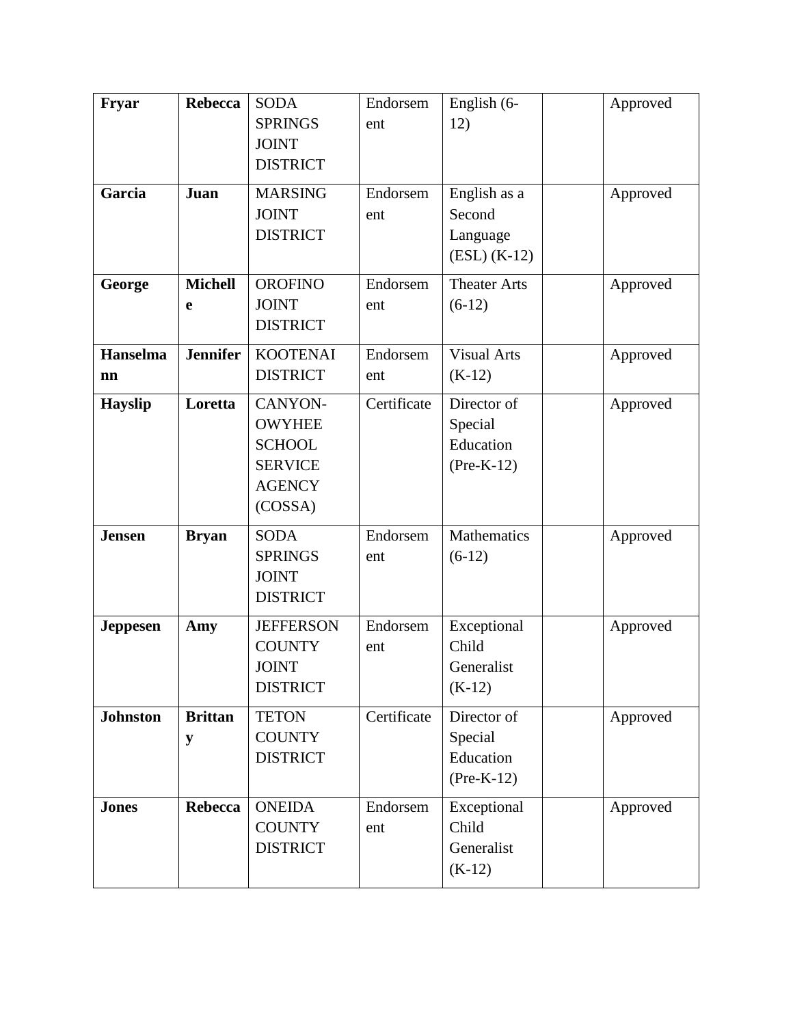| Fryar                 | <b>Rebecca</b>      | <b>SODA</b><br><b>SPRINGS</b><br><b>JOINT</b><br><b>DISTRICT</b>                        | Endorsem<br>ent | English (6-<br>12)                                   | Approved |
|-----------------------|---------------------|-----------------------------------------------------------------------------------------|-----------------|------------------------------------------------------|----------|
| Garcia                | Juan                | <b>MARSING</b><br><b>JOINT</b><br><b>DISTRICT</b>                                       | Endorsem<br>ent | English as a<br>Second<br>Language<br>$(ESL) (K-12)$ | Approved |
| George                | <b>Michell</b><br>e | <b>OROFINO</b><br><b>JOINT</b><br><b>DISTRICT</b>                                       | Endorsem<br>ent | <b>Theater Arts</b><br>$(6-12)$                      | Approved |
| <b>Hanselma</b><br>nn | <b>Jennifer</b>     | <b>KOOTENAI</b><br><b>DISTRICT</b>                                                      | Endorsem<br>ent | <b>Visual Arts</b><br>$(K-12)$                       | Approved |
| <b>Hayslip</b>        | Loretta             | CANYON-<br><b>OWYHEE</b><br><b>SCHOOL</b><br><b>SERVICE</b><br><b>AGENCY</b><br>(COSSA) | Certificate     | Director of<br>Special<br>Education<br>$(Pre-K-12)$  | Approved |
| <b>Jensen</b>         | <b>Bryan</b>        | <b>SODA</b><br><b>SPRINGS</b><br><b>JOINT</b><br><b>DISTRICT</b>                        | Endorsem<br>ent | Mathematics<br>$(6-12)$                              | Approved |
| <b>Jeppesen</b>       | Amy                 | <b>JEFFERSON</b><br><b>COUNTY</b><br><b>JOINT</b><br><b>DISTRICT</b>                    | Endorsem<br>ent | Exceptional<br>Child<br>Generalist<br>$(K-12)$       | Approved |
| <b>Johnston</b>       | <b>Brittan</b><br>y | <b>TETON</b><br><b>COUNTY</b><br><b>DISTRICT</b>                                        | Certificate     | Director of<br>Special<br>Education<br>$(Pre-K-12)$  | Approved |
| <b>Jones</b>          | Rebecca             | <b>ONEIDA</b><br><b>COUNTY</b><br><b>DISTRICT</b>                                       | Endorsem<br>ent | Exceptional<br>Child<br>Generalist<br>$(K-12)$       | Approved |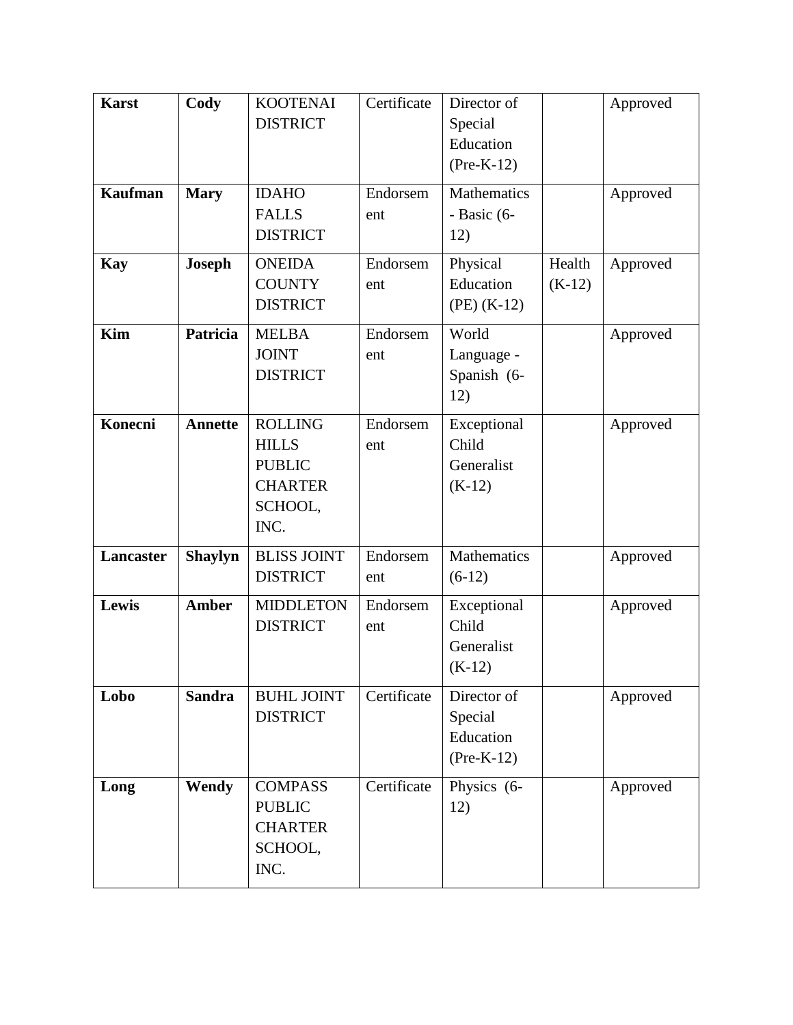| <b>Karst</b>   | Cody           | <b>KOOTENAI</b><br><b>DISTRICT</b>                                                   | Certificate     | Director of<br>Special<br>Education<br>$(Pre-K-12)$ |                    | Approved |
|----------------|----------------|--------------------------------------------------------------------------------------|-----------------|-----------------------------------------------------|--------------------|----------|
| <b>Kaufman</b> | <b>Mary</b>    | <b>IDAHO</b><br><b>FALLS</b><br><b>DISTRICT</b>                                      | Endorsem<br>ent | Mathematics<br>- Basic (6-<br>12)                   |                    | Approved |
| <b>Kay</b>     | <b>Joseph</b>  | <b>ONEIDA</b><br><b>COUNTY</b><br><b>DISTRICT</b>                                    | Endorsem<br>ent | Physical<br>Education<br>$(PE)$ (K-12)              | Health<br>$(K-12)$ | Approved |
| <b>Kim</b>     | Patricia       | <b>MELBA</b><br><b>JOINT</b><br><b>DISTRICT</b>                                      | Endorsem<br>ent | World<br>Language -<br>Spanish (6-<br>12)           |                    | Approved |
| Konecni        | <b>Annette</b> | <b>ROLLING</b><br><b>HILLS</b><br><b>PUBLIC</b><br><b>CHARTER</b><br>SCHOOL,<br>INC. | Endorsem<br>ent | Exceptional<br>Child<br>Generalist<br>$(K-12)$      |                    | Approved |
| Lancaster      | <b>Shaylyn</b> | <b>BLISS JOINT</b><br><b>DISTRICT</b>                                                | Endorsem<br>ent | Mathematics<br>$(6-12)$                             |                    | Approved |
| Lewis          | <b>Amber</b>   | <b>MIDDLETON</b><br><b>DISTRICT</b>                                                  | Endorsem<br>ent | Exceptional<br>Child<br>Generalist<br>$(K-12)$      |                    | Approved |
| Lobo           | <b>Sandra</b>  | <b>BUHL JOINT</b><br><b>DISTRICT</b>                                                 | Certificate     | Director of<br>Special<br>Education<br>$(Pre-K-12)$ |                    | Approved |
| Long           | Wendy          | <b>COMPASS</b><br><b>PUBLIC</b><br><b>CHARTER</b><br>SCHOOL,<br>INC.                 | Certificate     | Physics (6-<br>12)                                  |                    | Approved |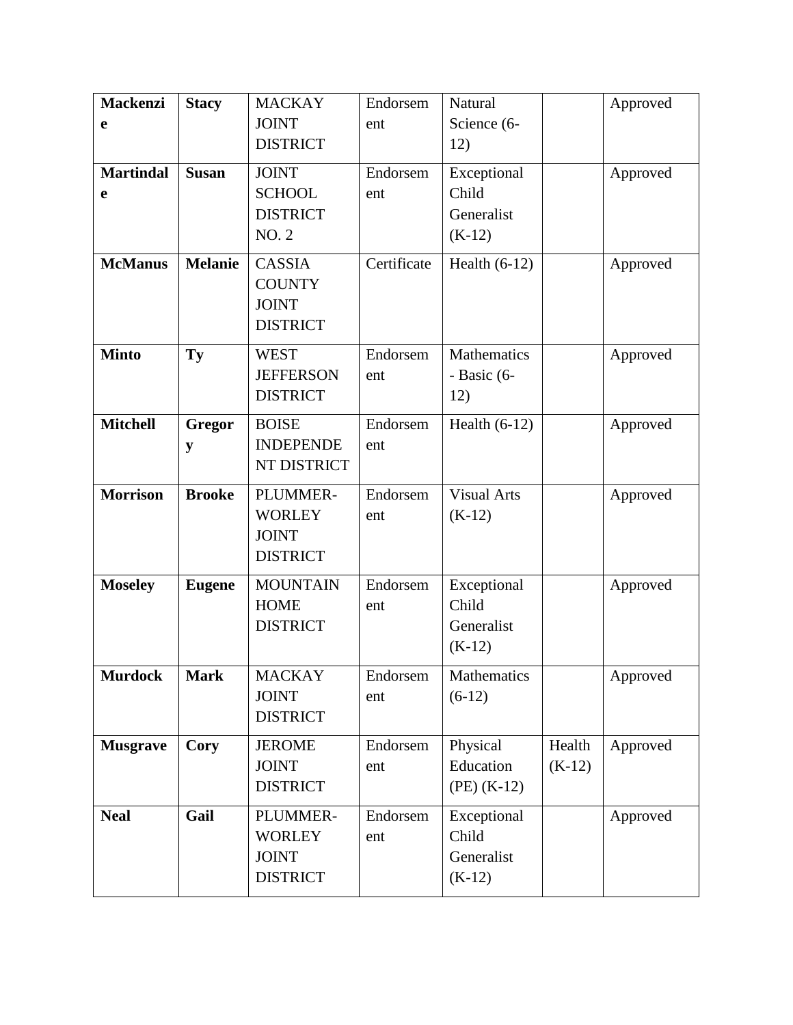| <b>Mackenzi</b>  | <b>Stacy</b>   | <b>MACKAY</b>    | Endorsem    | Natural            |          | Approved |
|------------------|----------------|------------------|-------------|--------------------|----------|----------|
| e                |                | <b>JOINT</b>     | ent         | Science (6-        |          |          |
|                  |                | <b>DISTRICT</b>  |             | 12)                |          |          |
| <b>Martindal</b> | <b>Susan</b>   | <b>JOINT</b>     | Endorsem    | Exceptional        |          | Approved |
| e                |                | <b>SCHOOL</b>    | ent         | Child              |          |          |
|                  |                | <b>DISTRICT</b>  |             | Generalist         |          |          |
|                  |                | <b>NO. 2</b>     |             | $(K-12)$           |          |          |
| <b>McManus</b>   | <b>Melanie</b> | <b>CASSIA</b>    | Certificate | Health $(6-12)$    |          | Approved |
|                  |                | <b>COUNTY</b>    |             |                    |          |          |
|                  |                | <b>JOINT</b>     |             |                    |          |          |
|                  |                | <b>DISTRICT</b>  |             |                    |          |          |
| <b>Minto</b>     | Ty             | <b>WEST</b>      | Endorsem    | Mathematics        |          | Approved |
|                  |                | <b>JEFFERSON</b> | ent         | - Basic $(6-$      |          |          |
|                  |                | <b>DISTRICT</b>  |             | 12)                |          |          |
| <b>Mitchell</b>  | Gregor         | <b>BOISE</b>     | Endorsem    | Health $(6-12)$    |          | Approved |
|                  | y              | <b>INDEPENDE</b> | ent         |                    |          |          |
|                  |                | NT DISTRICT      |             |                    |          |          |
| <b>Morrison</b>  | <b>Brooke</b>  | PLUMMER-         | Endorsem    | <b>Visual Arts</b> |          | Approved |
|                  |                | <b>WORLEY</b>    | ent         | $(K-12)$           |          |          |
|                  |                | <b>JOINT</b>     |             |                    |          |          |
|                  |                | <b>DISTRICT</b>  |             |                    |          |          |
| <b>Moseley</b>   | <b>Eugene</b>  | <b>MOUNTAIN</b>  | Endorsem    | Exceptional        |          | Approved |
|                  |                | <b>HOME</b>      | ent         | Child              |          |          |
|                  |                | <b>DISTRICT</b>  |             | Generalist         |          |          |
|                  |                |                  |             | $(K-12)$           |          |          |
| <b>Murdock</b>   | <b>Mark</b>    | <b>MACKAY</b>    | Endorsem    | Mathematics        |          | Approved |
|                  |                | <b>JOINT</b>     | ent         | $(6-12)$           |          |          |
|                  |                | <b>DISTRICT</b>  |             |                    |          |          |
| <b>Musgrave</b>  | Cory           | <b>JEROME</b>    | Endorsem    | Physical           | Health   | Approved |
|                  |                | <b>JOINT</b>     | ent         | Education          | $(K-12)$ |          |
|                  |                | <b>DISTRICT</b>  |             | $(PE)$ (K-12)      |          |          |
| <b>Neal</b>      | Gail           | PLUMMER-         | Endorsem    | Exceptional        |          | Approved |
|                  |                | <b>WORLEY</b>    | ent         | Child              |          |          |
|                  |                | <b>JOINT</b>     |             | Generalist         |          |          |
|                  |                | <b>DISTRICT</b>  |             | $(K-12)$           |          |          |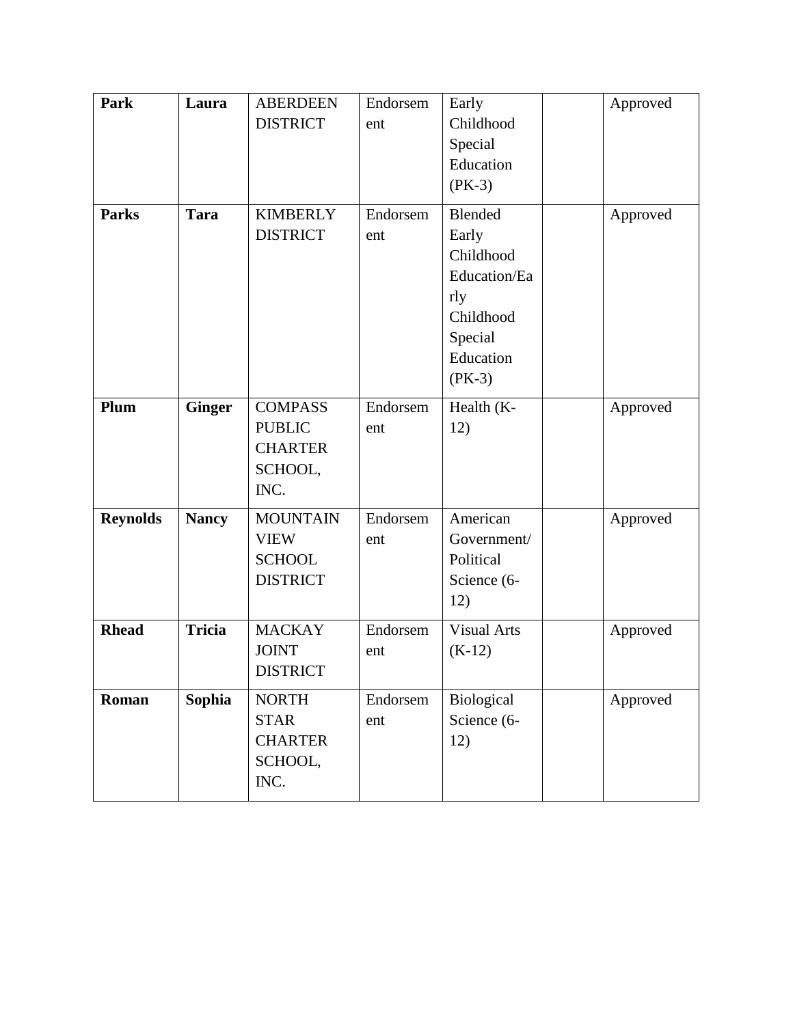| Park            | Laura         | <b>ABERDEEN</b><br><b>DISTRICT</b> | Endorsem<br>ent | Early<br>Childhood | Approved |
|-----------------|---------------|------------------------------------|-----------------|--------------------|----------|
|                 |               |                                    |                 | Special            |          |
|                 |               |                                    |                 | Education          |          |
|                 |               |                                    |                 | $(PK-3)$           |          |
| <b>Parks</b>    | <b>Tara</b>   | <b>KIMBERLY</b>                    | Endorsem        | <b>Blended</b>     | Approved |
|                 |               | <b>DISTRICT</b>                    | ent             | Early              |          |
|                 |               |                                    |                 | Childhood          |          |
|                 |               |                                    |                 | Education/Ea       |          |
|                 |               |                                    |                 | rly                |          |
|                 |               |                                    |                 | Childhood          |          |
|                 |               |                                    |                 | Special            |          |
|                 |               |                                    |                 | Education          |          |
|                 |               |                                    |                 | $(PK-3)$           |          |
| Plum            | <b>Ginger</b> | <b>COMPASS</b>                     | Endorsem        | Health (K-         | Approved |
|                 |               | <b>PUBLIC</b>                      | ent             | 12)                |          |
|                 |               | <b>CHARTER</b>                     |                 |                    |          |
|                 |               | SCHOOL,                            |                 |                    |          |
|                 |               | INC.                               |                 |                    |          |
| <b>Reynolds</b> | <b>Nancy</b>  | <b>MOUNTAIN</b>                    | Endorsem        | American           | Approved |
|                 |               | <b>VIEW</b>                        | ent             | Government/        |          |
|                 |               | <b>SCHOOL</b>                      |                 | Political          |          |
|                 |               | <b>DISTRICT</b>                    |                 | Science (6-        |          |
|                 |               |                                    |                 | 12)                |          |
| <b>Rhead</b>    | <b>Tricia</b> | <b>MACKAY</b>                      | Endorsem        | Visual Arts        | Approved |
|                 |               | <b>JOINT</b>                       | ent             | $(K-12)$           |          |
|                 |               | <b>DISTRICT</b>                    |                 |                    |          |
| Roman           | Sophia        | <b>NORTH</b>                       | Endorsem        | Biological         | Approved |
|                 |               | <b>STAR</b>                        | ent             | Science (6-        |          |
|                 |               | <b>CHARTER</b>                     |                 | 12)                |          |
|                 |               | SCHOOL,                            |                 |                    |          |
|                 |               | INC.                               |                 |                    |          |
|                 |               |                                    |                 |                    |          |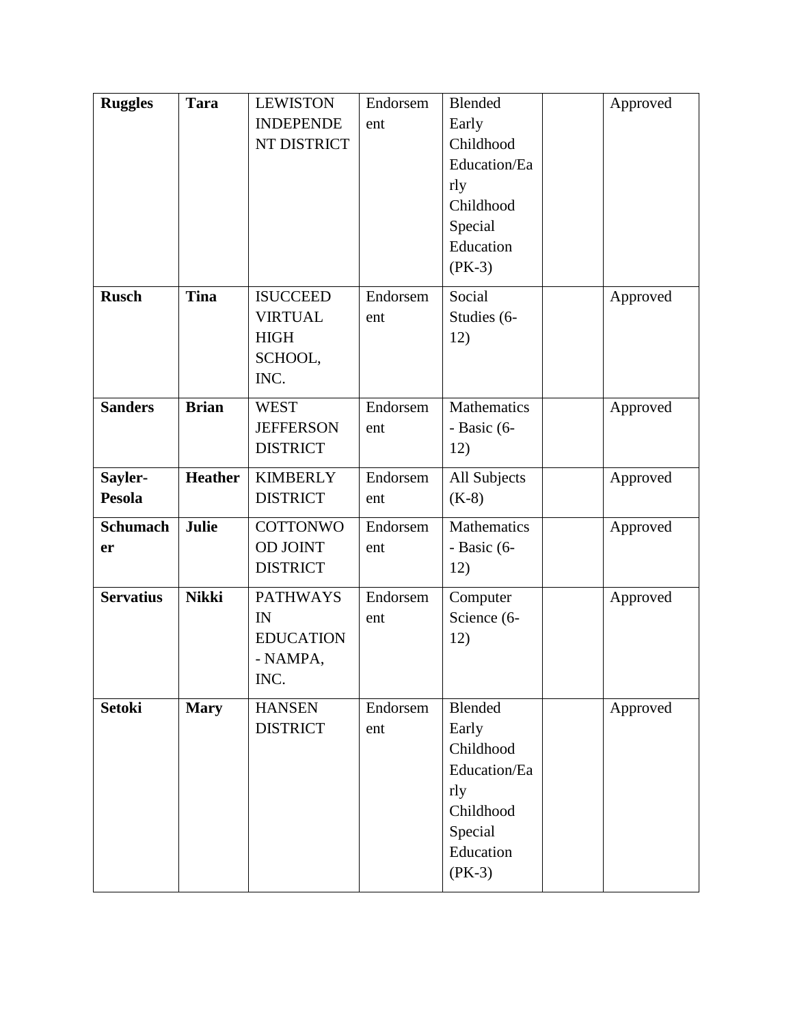| <b>Ruggles</b>           | <b>Tara</b>    | <b>LEWISTON</b><br><b>INDEPENDE</b><br>NT DISTRICT                  | Endorsem<br>ent | Blended<br>Early<br>Childhood<br>Education/Ea<br>rly<br>Childhood<br>Special<br>Education<br>$(PK-3)$ | Approved |
|--------------------------|----------------|---------------------------------------------------------------------|-----------------|-------------------------------------------------------------------------------------------------------|----------|
| <b>Rusch</b>             | <b>Tina</b>    | <b>ISUCCEED</b><br><b>VIRTUAL</b><br><b>HIGH</b><br>SCHOOL,<br>INC. | Endorsem<br>ent | Social<br>Studies (6-<br>12)                                                                          | Approved |
| <b>Sanders</b>           | <b>Brian</b>   | <b>WEST</b><br><b>JEFFERSON</b><br><b>DISTRICT</b>                  | Endorsem<br>ent | <b>Mathematics</b><br>- Basic (6-<br>12)                                                              | Approved |
| Sayler-<br><b>Pesola</b> | <b>Heather</b> | <b>KIMBERLY</b><br><b>DISTRICT</b>                                  | Endorsem<br>ent | All Subjects<br>$(K-8)$                                                                               | Approved |
| <b>Schumach</b><br>er    | Julie          | <b>COTTONWO</b><br><b>OD JOINT</b><br><b>DISTRICT</b>               | Endorsem<br>ent | Mathematics<br>- Basic (6-<br>12)                                                                     | Approved |
| <b>Servatius</b>         | <b>Nikki</b>   | <b>PATHWAYS</b><br>IN<br><b>EDUCATION</b><br>- NAMPA,<br>INC.       | Endorsem<br>ent | Computer<br>Science (6-<br>12)                                                                        | Approved |
| <b>Setoki</b>            | <b>Mary</b>    | <b>HANSEN</b><br><b>DISTRICT</b>                                    | Endorsem<br>ent | Blended<br>Early<br>Childhood<br>Education/Ea<br>rly<br>Childhood<br>Special<br>Education<br>$(PK-3)$ | Approved |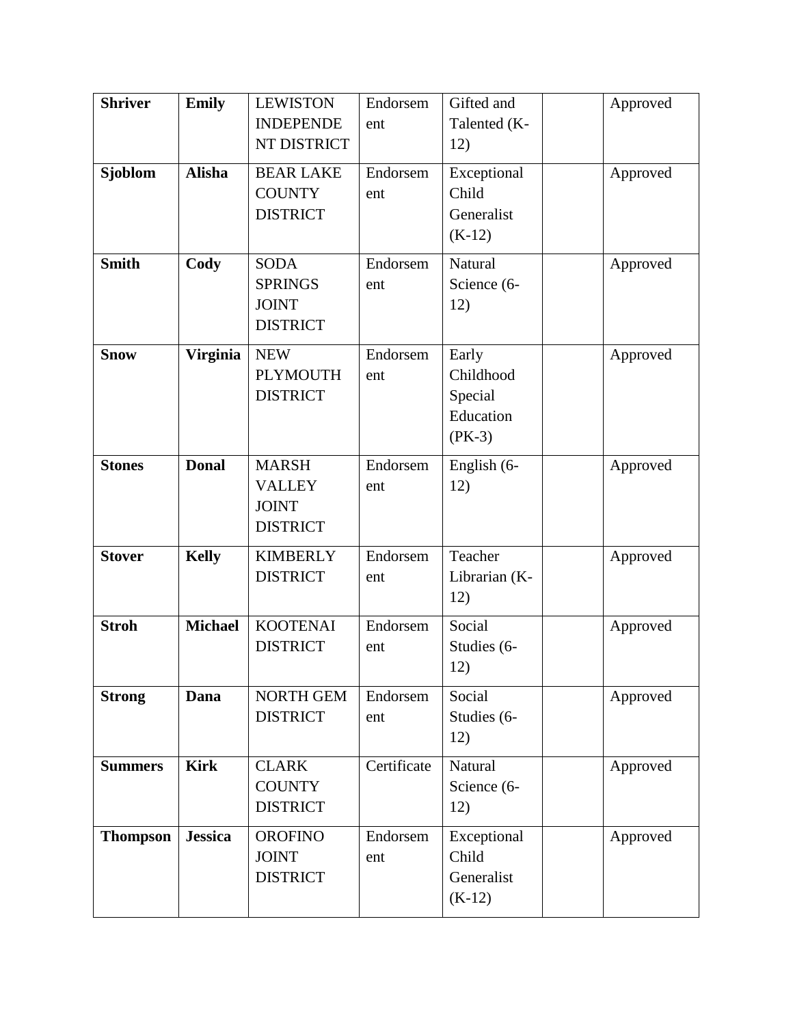| <b>Shriver</b>  | <b>Emily</b>    | <b>LEWISTON</b>  | Endorsem    | Gifted and     | Approved |
|-----------------|-----------------|------------------|-------------|----------------|----------|
|                 |                 | <b>INDEPENDE</b> | ent         | Talented (K-   |          |
|                 |                 | NT DISTRICT      |             | 12)            |          |
| <b>Sjoblom</b>  | <b>Alisha</b>   | <b>BEAR LAKE</b> | Endorsem    | Exceptional    | Approved |
|                 |                 | <b>COUNTY</b>    | ent         | Child          |          |
|                 |                 | <b>DISTRICT</b>  |             | Generalist     |          |
|                 |                 |                  |             | $(K-12)$       |          |
|                 |                 |                  |             |                |          |
| <b>Smith</b>    | Cody            | <b>SODA</b>      | Endorsem    | <b>Natural</b> | Approved |
|                 |                 | <b>SPRINGS</b>   | ent         | Science (6-    |          |
|                 |                 | <b>JOINT</b>     |             | 12)            |          |
|                 |                 | <b>DISTRICT</b>  |             |                |          |
| <b>Snow</b>     | <b>Virginia</b> | <b>NEW</b>       | Endorsem    | Early          | Approved |
|                 |                 | <b>PLYMOUTH</b>  | ent         | Childhood      |          |
|                 |                 | <b>DISTRICT</b>  |             | Special        |          |
|                 |                 |                  |             | Education      |          |
|                 |                 |                  |             | $(PK-3)$       |          |
| <b>Stones</b>   | <b>Donal</b>    | <b>MARSH</b>     | Endorsem    | English (6-    | Approved |
|                 |                 | <b>VALLEY</b>    | ent         | 12)            |          |
|                 |                 | <b>JOINT</b>     |             |                |          |
|                 |                 | <b>DISTRICT</b>  |             |                |          |
| <b>Stover</b>   | <b>Kelly</b>    | <b>KIMBERLY</b>  | Endorsem    | Teacher        | Approved |
|                 |                 | <b>DISTRICT</b>  | ent         | Librarian (K-  |          |
|                 |                 |                  |             | 12)            |          |
| <b>Stroh</b>    | <b>Michael</b>  | <b>KOOTENAI</b>  | Endorsem    | Social         |          |
|                 |                 | <b>DISTRICT</b>  |             | Studies (6-    | Approved |
|                 |                 |                  | ent         | 12)            |          |
|                 |                 |                  |             |                |          |
| <b>Strong</b>   | Dana            | NORTH GEM        | Endorsem    | Social         | Approved |
|                 |                 | <b>DISTRICT</b>  | ent         | Studies (6-    |          |
|                 |                 |                  |             | 12)            |          |
| <b>Summers</b>  | <b>Kirk</b>     | <b>CLARK</b>     | Certificate | Natural        | Approved |
|                 |                 | <b>COUNTY</b>    |             | Science (6-    |          |
|                 |                 | <b>DISTRICT</b>  |             | 12)            |          |
| <b>Thompson</b> | <b>Jessica</b>  | <b>OROFINO</b>   | Endorsem    | Exceptional    | Approved |
|                 |                 | <b>JOINT</b>     | ent         | Child          |          |
|                 |                 | <b>DISTRICT</b>  |             | Generalist     |          |
|                 |                 |                  |             | $(K-12)$       |          |
|                 |                 |                  |             |                |          |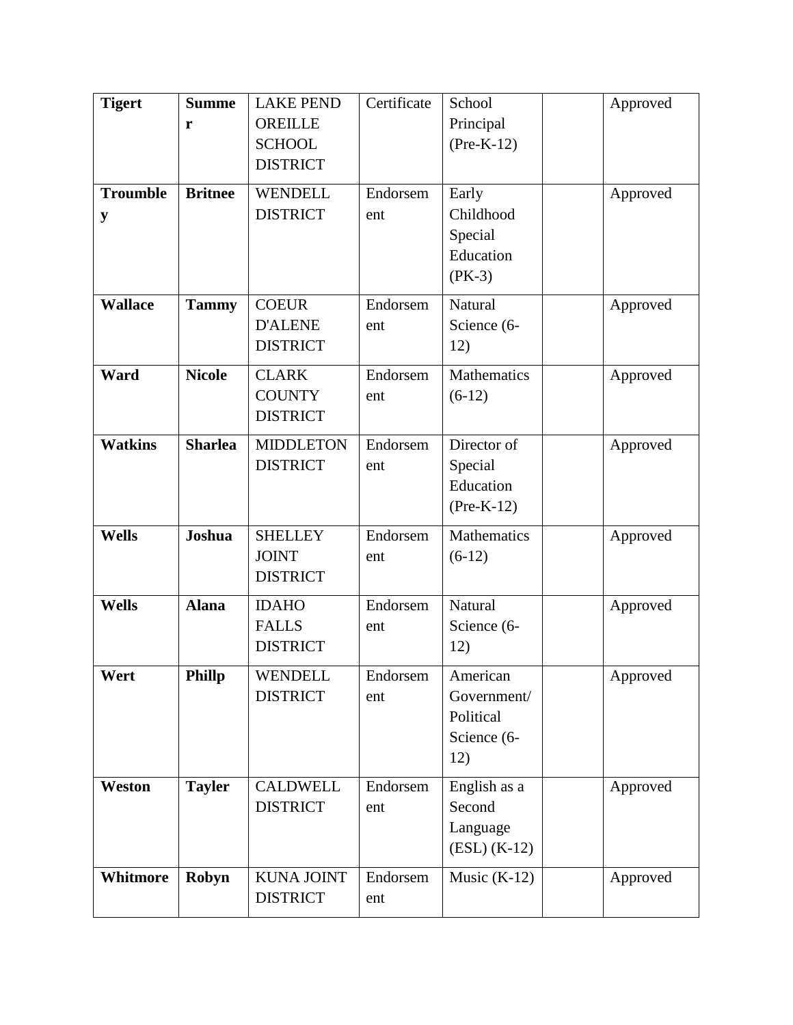| <b>Tigert</b><br><b>Troumble</b><br>y | <b>Summe</b><br>r<br><b>Britnee</b> | <b>LAKE PEND</b><br><b>OREILLE</b><br><b>SCHOOL</b><br><b>DISTRICT</b><br><b>WENDELL</b><br><b>DISTRICT</b> | Certificate<br>Endorsem<br>ent | School<br>Principal<br>$(Pre-K-12)$<br>Early<br>Childhood<br>Special | Approved<br>Approved |  |
|---------------------------------------|-------------------------------------|-------------------------------------------------------------------------------------------------------------|--------------------------------|----------------------------------------------------------------------|----------------------|--|
| <b>Wallace</b>                        |                                     | <b>COEUR</b>                                                                                                | Endorsem                       | Education<br>$(PK-3)$<br>Natural                                     |                      |  |
|                                       | <b>Tammy</b>                        | <b>D'ALENE</b><br><b>DISTRICT</b>                                                                           | ent                            | Science (6-<br>12)                                                   | Approved             |  |
| Ward                                  | <b>Nicole</b>                       | <b>CLARK</b><br><b>COUNTY</b><br><b>DISTRICT</b>                                                            | Endorsem<br>ent                | Mathematics<br>$(6-12)$                                              | Approved             |  |
| <b>Watkins</b>                        | <b>Sharlea</b>                      | <b>MIDDLETON</b><br><b>DISTRICT</b>                                                                         | Endorsem<br>ent                | Director of<br>Special<br>Education<br>$(Pre-K-12)$                  | Approved             |  |
| <b>Wells</b>                          | Joshua                              | <b>SHELLEY</b><br><b>JOINT</b><br><b>DISTRICT</b>                                                           | Endorsem<br>ent                | Mathematics<br>$(6-12)$                                              | Approved             |  |
| <b>Wells</b>                          | <b>Alana</b>                        | <b>IDAHO</b><br><b>FALLS</b><br><b>DISTRICT</b>                                                             | Endorsem<br>ent                | Natural<br>Science (6-<br>12)                                        | Approved             |  |
| Wert                                  | Phillp                              | WENDELL<br><b>DISTRICT</b>                                                                                  | Endorsem<br>ent                | American<br>Government/<br>Political<br>Science (6-<br>12)           | Approved             |  |
| Weston                                | <b>Tayler</b>                       | <b>CALDWELL</b><br><b>DISTRICT</b>                                                                          | Endorsem<br>ent                | English as a<br>Second<br>Language<br>$(ESL) (K-12)$                 | Approved             |  |
| Whitmore                              | Robyn                               | <b>KUNA JOINT</b><br><b>DISTRICT</b>                                                                        | Endorsem<br>ent                | Music $(K-12)$                                                       | Approved             |  |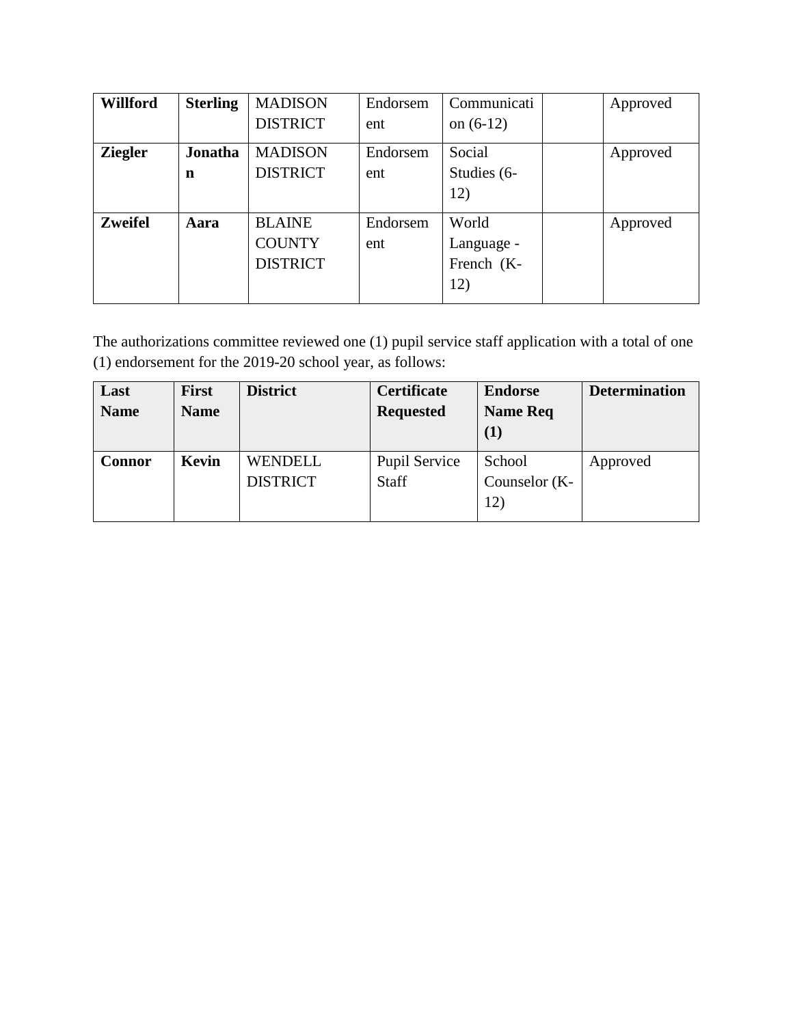| <b>Willford</b> | <b>Sterling</b> | <b>MADISON</b>  | Endorsem | Communicati | Approved |
|-----------------|-----------------|-----------------|----------|-------------|----------|
|                 |                 | <b>DISTRICT</b> | ent      | on $(6-12)$ |          |
| <b>Ziegler</b>  | Jonatha         | <b>MADISON</b>  | Endorsem | Social      | Approved |
|                 | n               | <b>DISTRICT</b> | ent      | Studies (6- |          |
|                 |                 |                 |          | 12)         |          |
| <b>Zweifel</b>  | Aara            | <b>BLAINE</b>   | Endorsem | World       | Approved |
|                 |                 | <b>COUNTY</b>   | ent      | Language -  |          |
|                 |                 | <b>DISTRICT</b> |          | French (K-  |          |
|                 |                 |                 |          | 12)         |          |

The authorizations committee reviewed one (1) pupil service staff application with a total of one (1) endorsement for the 2019-20 school year, as follows:

| Last          | <b>First</b> | <b>District</b> | <b>Certificate</b>   | <b>Endorse</b>  | <b>Determination</b> |
|---------------|--------------|-----------------|----------------------|-----------------|----------------------|
| <b>Name</b>   | <b>Name</b>  |                 | <b>Requested</b>     | <b>Name Req</b> |                      |
|               |              |                 |                      | (1)             |                      |
| <b>Connor</b> | Kevin        | <b>WENDELL</b>  | <b>Pupil Service</b> | School          | Approved             |
|               |              | <b>DISTRICT</b> | Staff                | Counselor (K-   |                      |
|               |              |                 |                      | 12)             |                      |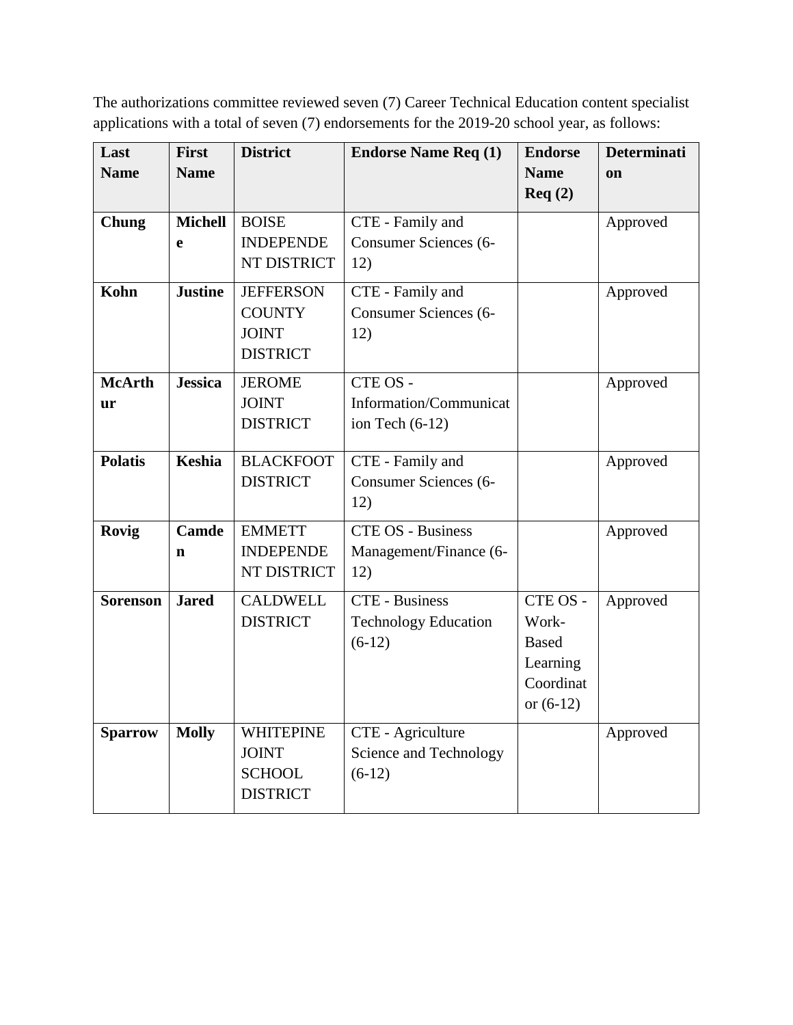The authorizations committee reviewed seven (7) Career Technical Education content specialist applications with a total of seven (7) endorsements for the 2019-20 school year, as follows:

| Last            | <b>First</b>   | <b>District</b>  | <b>Endorse Name Req (1)</b>  | <b>Endorse</b> | <b>Determinati</b> |
|-----------------|----------------|------------------|------------------------------|----------------|--------------------|
| <b>Name</b>     | <b>Name</b>    |                  |                              | <b>Name</b>    | on                 |
|                 |                |                  |                              | Req(2)         |                    |
| Chung           | <b>Michell</b> | <b>BOISE</b>     | CTE - Family and             |                | Approved           |
|                 | e              | <b>INDEPENDE</b> | <b>Consumer Sciences (6-</b> |                |                    |
|                 |                | NT DISTRICT      | 12)                          |                |                    |
| Kohn            | <b>Justine</b> | <b>JEFFERSON</b> | CTE - Family and             |                | Approved           |
|                 |                | <b>COUNTY</b>    | <b>Consumer Sciences (6-</b> |                |                    |
|                 |                | <b>JOINT</b>     | 12)                          |                |                    |
|                 |                | <b>DISTRICT</b>  |                              |                |                    |
| <b>McArth</b>   | <b>Jessica</b> | <b>JEROME</b>    | CTE OS -                     |                | Approved           |
| ur              |                | <b>JOINT</b>     | Information/Communicat       |                |                    |
|                 |                | <b>DISTRICT</b>  | ion Tech $(6-12)$            |                |                    |
|                 |                |                  |                              |                |                    |
| <b>Polatis</b>  | <b>Keshia</b>  | <b>BLACKFOOT</b> | CTE - Family and             |                | Approved           |
|                 |                | <b>DISTRICT</b>  | <b>Consumer Sciences (6-</b> |                |                    |
|                 |                |                  | 12)                          |                |                    |
| Rovig           | <b>Camde</b>   | <b>EMMETT</b>    | <b>CTE OS - Business</b>     |                | Approved           |
|                 | $\mathbf n$    | <b>INDEPENDE</b> | Management/Finance (6-       |                |                    |
|                 |                | NT DISTRICT      | 12)                          |                |                    |
| <b>Sorenson</b> | <b>Jared</b>   | <b>CALDWELL</b>  | <b>CTE</b> - Business        | CTE OS -       | Approved           |
|                 |                | <b>DISTRICT</b>  | <b>Technology Education</b>  | Work-          |                    |
|                 |                |                  | $(6-12)$                     | <b>Based</b>   |                    |
|                 |                |                  |                              | Learning       |                    |
|                 |                |                  |                              | Coordinat      |                    |
|                 |                |                  |                              | or $(6-12)$    |                    |
| <b>Sparrow</b>  | <b>Molly</b>   | <b>WHITEPINE</b> | CTE - Agriculture            |                | Approved           |
|                 |                | <b>JOINT</b>     | Science and Technology       |                |                    |
|                 |                | <b>SCHOOL</b>    | $(6-12)$                     |                |                    |
|                 |                | <b>DISTRICT</b>  |                              |                |                    |
|                 |                |                  |                              |                |                    |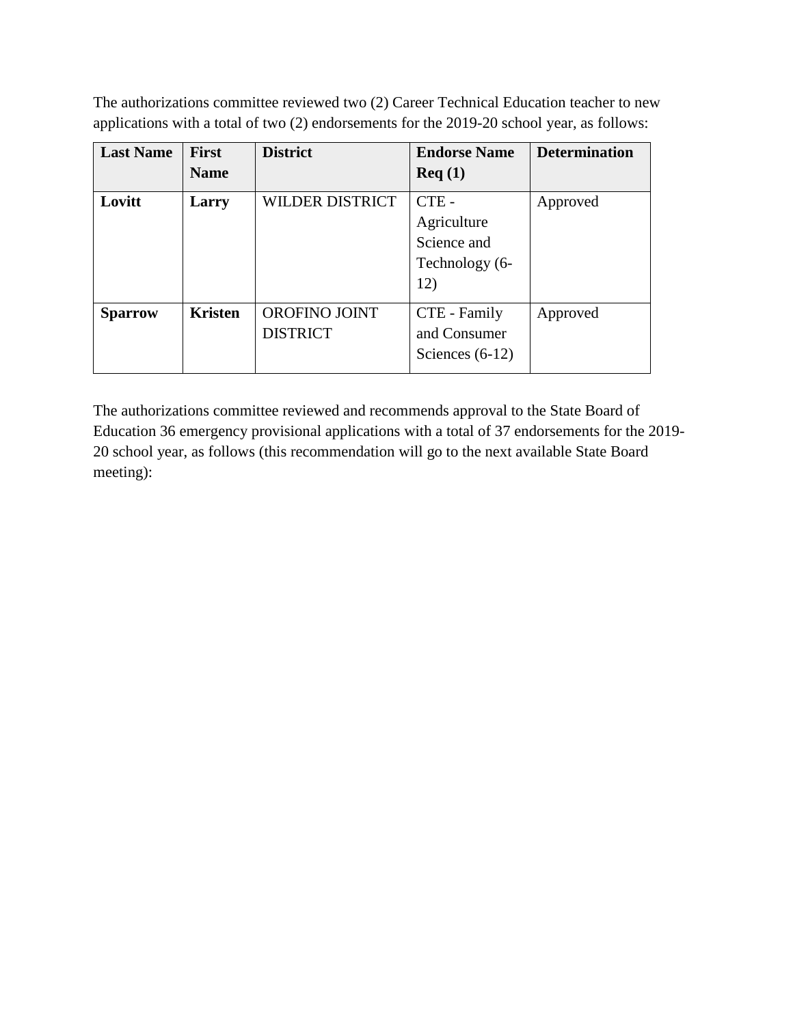The authorizations committee reviewed two (2) Career Technical Education teacher to new applications with a total of two (2) endorsements for the 2019-20 school year, as follows:

| <b>Last Name</b> | <b>First</b>   | <b>District</b>                  | <b>Endorse Name</b>                                            | <b>Determination</b> |
|------------------|----------------|----------------------------------|----------------------------------------------------------------|----------------------|
|                  | <b>Name</b>    |                                  | $\text{Req}(1)$                                                |                      |
| Lovitt           | Larry          | <b>WILDER DISTRICT</b>           | $CTE -$<br>Agriculture<br>Science and<br>Technology (6-<br>12) | Approved             |
| <b>Sparrow</b>   | <b>Kristen</b> | OROFINO JOINT<br><b>DISTRICT</b> | CTE - Family<br>and Consumer<br>Sciences $(6-12)$              | Approved             |

The authorizations committee reviewed and recommends approval to the State Board of Education 36 emergency provisional applications with a total of 37 endorsements for the 2019- 20 school year, as follows (this recommendation will go to the next available State Board meeting):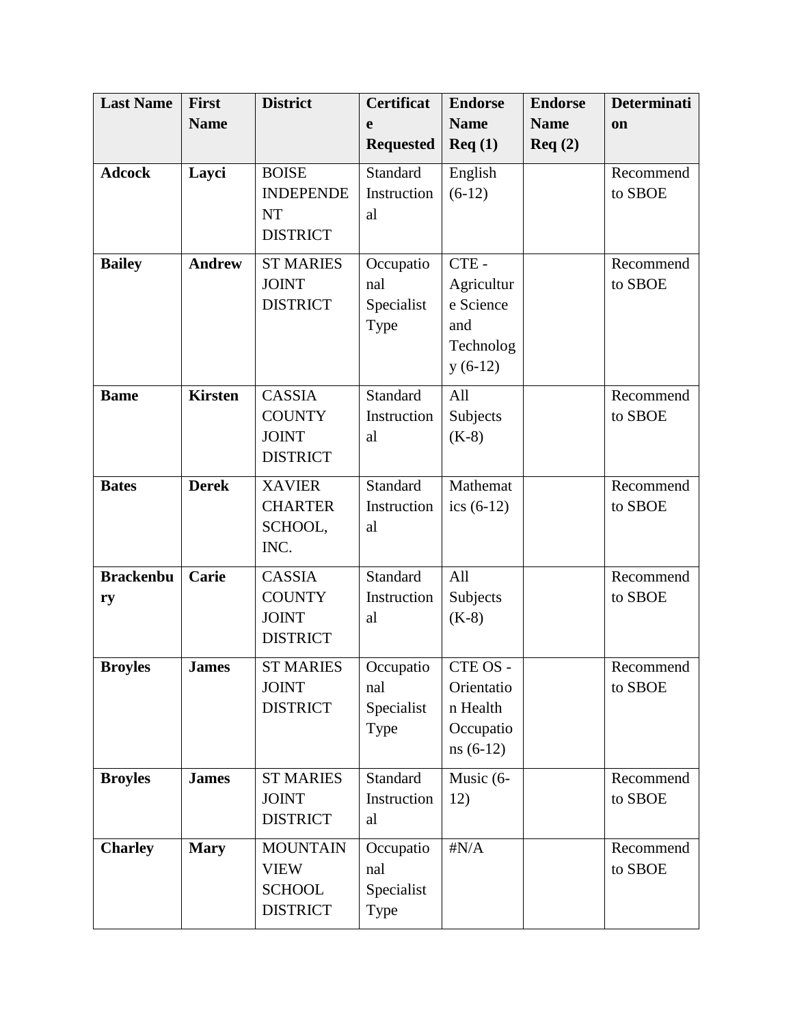| <b>Last Name</b> | <b>First</b>   | <b>District</b>  | <b>Certificat</b> | <b>Endorse</b> | <b>Endorse</b> | <b>Determinati</b> |
|------------------|----------------|------------------|-------------------|----------------|----------------|--------------------|
|                  | <b>Name</b>    |                  | e                 | <b>Name</b>    | <b>Name</b>    | on                 |
|                  |                |                  | <b>Requested</b>  | Req(1)         | Req(2)         |                    |
| <b>Adcock</b>    | Layci          | <b>BOISE</b>     | Standard          | English        |                | Recommend          |
|                  |                | <b>INDEPENDE</b> | Instruction       | $(6-12)$       |                | to SBOE            |
|                  |                | <b>NT</b>        | al                |                |                |                    |
|                  |                | <b>DISTRICT</b>  |                   |                |                |                    |
| <b>Bailey</b>    | <b>Andrew</b>  | <b>ST MARIES</b> | Occupatio         | CTE-           |                | Recommend          |
|                  |                | <b>JOINT</b>     | nal               | Agricultur     |                | to SBOE            |
|                  |                | <b>DISTRICT</b>  | Specialist        | e Science      |                |                    |
|                  |                |                  | Type              | and            |                |                    |
|                  |                |                  |                   | Technolog      |                |                    |
|                  |                |                  |                   | $y(6-12)$      |                |                    |
| <b>Bame</b>      | <b>Kirsten</b> | <b>CASSIA</b>    | Standard          | All            |                | Recommend          |
|                  |                | <b>COUNTY</b>    | Instruction       | Subjects       |                | to SBOE            |
|                  |                | <b>JOINT</b>     | al                | $(K-8)$        |                |                    |
|                  |                | <b>DISTRICT</b>  |                   |                |                |                    |
| <b>Bates</b>     | <b>Derek</b>   | <b>XAVIER</b>    | Standard          | Mathemat       |                | Recommend          |
|                  |                | <b>CHARTER</b>   | Instruction       | ics $(6-12)$   |                | to SBOE            |
|                  |                | SCHOOL,          | al                |                |                |                    |
|                  |                | INC.             |                   |                |                |                    |
| <b>Brackenbu</b> | Carie          | <b>CASSIA</b>    | Standard          | All            |                | Recommend          |
| ry               |                | <b>COUNTY</b>    | Instruction       | Subjects       |                | to SBOE            |
|                  |                | <b>JOINT</b>     | al                | $(K-8)$        |                |                    |
|                  |                | <b>DISTRICT</b>  |                   |                |                |                    |
| <b>Broyles</b>   | <b>James</b>   | <b>ST MARIES</b> | Occupatio         | CTE OS -       |                | Recommend          |
|                  |                | <b>JOINT</b>     | nal               | Orientatio     |                | to SBOE            |
|                  |                | <b>DISTRICT</b>  | Specialist        | n Health       |                |                    |
|                  |                |                  | Type              | Occupatio      |                |                    |
|                  |                |                  |                   | $ns(6-12)$     |                |                    |
| <b>Broyles</b>   | <b>James</b>   | <b>ST MARIES</b> | Standard          | Music (6-      |                | Recommend          |
|                  |                | <b>JOINT</b>     | Instruction       | 12)            |                | to SBOE            |
|                  |                | <b>DISTRICT</b>  | al                |                |                |                    |
| <b>Charley</b>   | <b>Mary</b>    | <b>MOUNTAIN</b>  | Occupatio         | $\sharp N/A$   |                | Recommend          |
|                  |                | <b>VIEW</b>      | nal               |                |                | to SBOE            |
|                  |                | <b>SCHOOL</b>    | Specialist        |                |                |                    |
|                  |                | <b>DISTRICT</b>  | Type              |                |                |                    |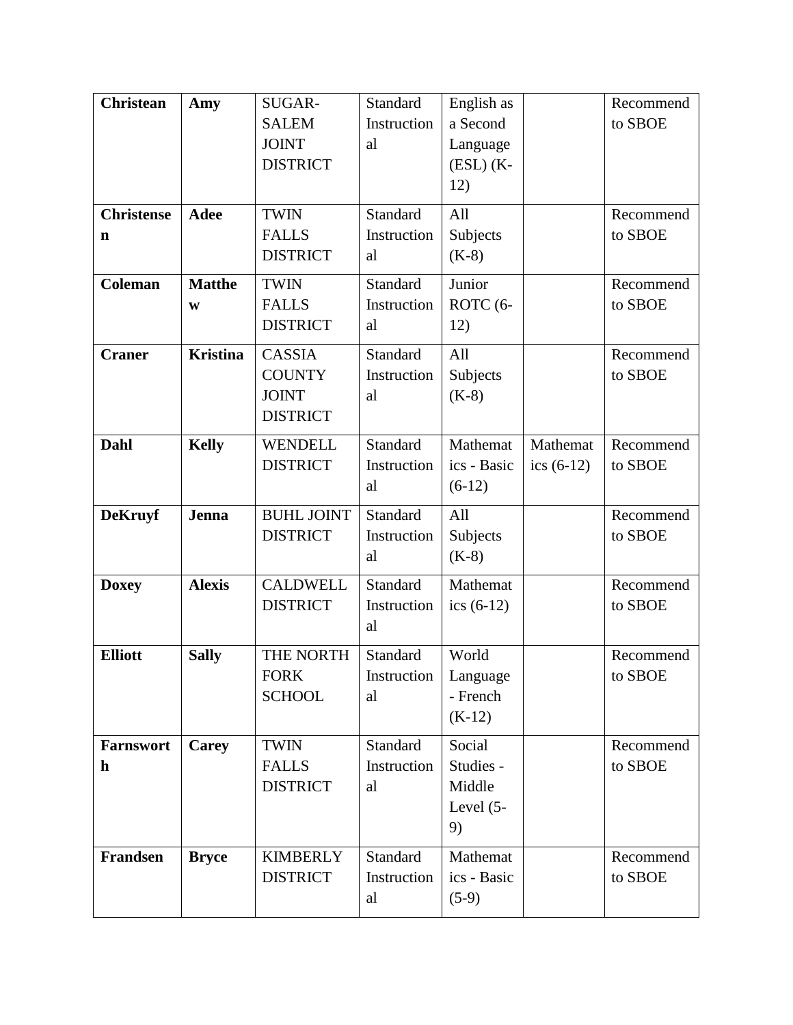| <b>Christean</b>  | Amy             | SUGAR-            | Standard    | English as    |              | Recommend |
|-------------------|-----------------|-------------------|-------------|---------------|--------------|-----------|
|                   |                 | <b>SALEM</b>      | Instruction | a Second      |              | to SBOE   |
|                   |                 | <b>JOINT</b>      | al          | Language      |              |           |
|                   |                 | <b>DISTRICT</b>   |             | $(ESL)$ $(K-$ |              |           |
|                   |                 |                   |             | 12)           |              |           |
| <b>Christense</b> | <b>Adee</b>     | <b>TWIN</b>       | Standard    | All           |              | Recommend |
| $\mathbf n$       |                 | <b>FALLS</b>      | Instruction | Subjects      |              | to SBOE   |
|                   |                 | <b>DISTRICT</b>   | al          | $(K-8)$       |              |           |
| <b>Coleman</b>    | <b>Matthe</b>   | <b>TWIN</b>       | Standard    | Junior        |              | Recommend |
|                   | W               | <b>FALLS</b>      | Instruction | ROTC (6-      |              | to SBOE   |
|                   |                 | <b>DISTRICT</b>   | al          | 12)           |              |           |
| <b>Craner</b>     | <b>Kristina</b> | <b>CASSIA</b>     | Standard    | All           |              | Recommend |
|                   |                 | <b>COUNTY</b>     | Instruction | Subjects      |              | to SBOE   |
|                   |                 | <b>JOINT</b>      | al          | $(K-8)$       |              |           |
|                   |                 | <b>DISTRICT</b>   |             |               |              |           |
| Dahl              | <b>Kelly</b>    | <b>WENDELL</b>    | Standard    | Mathemat      | Mathemat     | Recommend |
|                   |                 | <b>DISTRICT</b>   | Instruction | ics - Basic   | ics $(6-12)$ | to SBOE   |
|                   |                 |                   | al          | $(6-12)$      |              |           |
| <b>DeKruyf</b>    | <b>Jenna</b>    | <b>BUHL JOINT</b> | Standard    | All           |              | Recommend |
|                   |                 | <b>DISTRICT</b>   | Instruction | Subjects      |              | to SBOE   |
|                   |                 |                   | al          | $(K-8)$       |              |           |
| <b>Doxey</b>      | <b>Alexis</b>   | <b>CALDWELL</b>   | Standard    | Mathemat      |              | Recommend |
|                   |                 | <b>DISTRICT</b>   | Instruction | ics $(6-12)$  |              | to SBOE   |
|                   |                 |                   | al          |               |              |           |
| <b>Elliott</b>    | <b>Sally</b>    | THE NORTH         | Standard    | World         |              | Recommend |
|                   |                 | <b>FORK</b>       | Instruction | Language      |              | to SBOE   |
|                   |                 | <b>SCHOOL</b>     | al          | - French      |              |           |
|                   |                 |                   |             | $(K-12)$      |              |           |
| <b>Farnswort</b>  | <b>Carey</b>    | <b>TWIN</b>       | Standard    | Social        |              | Recommend |
| $\mathbf h$       |                 | <b>FALLS</b>      | Instruction | Studies -     |              | to SBOE   |
|                   |                 | <b>DISTRICT</b>   | al          | Middle        |              |           |
|                   |                 |                   |             | Level $(5-$   |              |           |
|                   |                 |                   |             | 9)            |              |           |
| Frandsen          | <b>Bryce</b>    | <b>KIMBERLY</b>   | Standard    | Mathemat      |              | Recommend |
|                   |                 | <b>DISTRICT</b>   | Instruction | ics - Basic   |              | to SBOE   |
|                   |                 |                   | al          | $(5-9)$       |              |           |
|                   |                 |                   |             |               |              |           |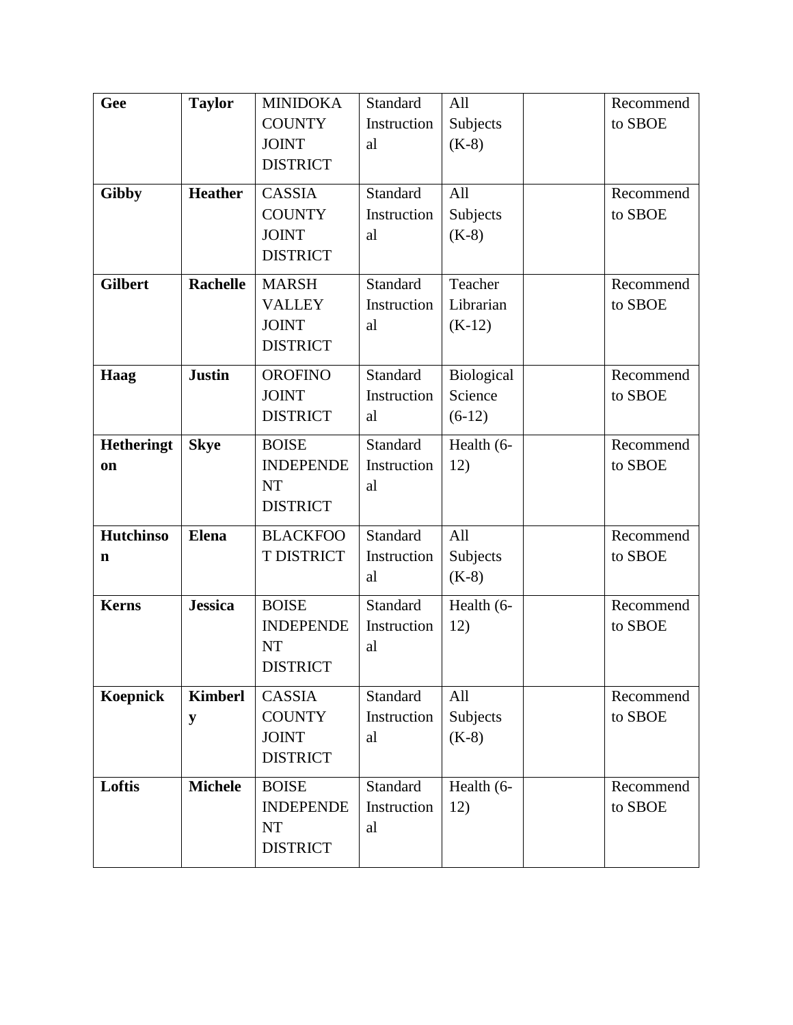| Gee               | <b>Taylor</b>   | <b>MINIDOKA</b>  | Standard    | All        | Recommend |
|-------------------|-----------------|------------------|-------------|------------|-----------|
|                   |                 | <b>COUNTY</b>    | Instruction | Subjects   | to SBOE   |
|                   |                 | <b>JOINT</b>     | al          | $(K-8)$    |           |
|                   |                 | <b>DISTRICT</b>  |             |            |           |
|                   | <b>Heather</b>  | <b>CASSIA</b>    | Standard    | All        | Recommend |
| <b>Gibby</b>      |                 |                  |             |            |           |
|                   |                 | <b>COUNTY</b>    | Instruction | Subjects   | to SBOE   |
|                   |                 | <b>JOINT</b>     | al          | $(K-8)$    |           |
|                   |                 | <b>DISTRICT</b>  |             |            |           |
| <b>Gilbert</b>    | <b>Rachelle</b> | <b>MARSH</b>     | Standard    | Teacher    | Recommend |
|                   |                 | <b>VALLEY</b>    | Instruction | Librarian  | to SBOE   |
|                   |                 | <b>JOINT</b>     | al          | $(K-12)$   |           |
|                   |                 | <b>DISTRICT</b>  |             |            |           |
| Haag              | <b>Justin</b>   | <b>OROFINO</b>   | Standard    | Biological | Recommend |
|                   |                 | <b>JOINT</b>     | Instruction | Science    | to SBOE   |
|                   |                 | <b>DISTRICT</b>  | al          | $(6-12)$   |           |
| <b>Hetheringt</b> | <b>Skye</b>     | <b>BOISE</b>     | Standard    | Health (6- | Recommend |
|                   |                 | <b>INDEPENDE</b> | Instruction |            | to SBOE   |
| on                |                 | <b>NT</b>        | al          | 12)        |           |
|                   |                 | <b>DISTRICT</b>  |             |            |           |
|                   |                 |                  |             |            |           |
| <b>Hutchinso</b>  | <b>Elena</b>    | <b>BLACKFOO</b>  | Standard    | All        | Recommend |
| n                 |                 | T DISTRICT       | Instruction | Subjects   | to SBOE   |
|                   |                 |                  | al          | $(K-8)$    |           |
| <b>Kerns</b>      | <b>Jessica</b>  | <b>BOISE</b>     | Standard    | Health (6- | Recommend |
|                   |                 | <b>INDEPENDE</b> | Instruction | 12)        | to SBOE   |
|                   |                 | <b>NT</b>        | al          |            |           |
|                   |                 | <b>DISTRICT</b>  |             |            |           |
| <b>Koepnick</b>   | <b>Kimberl</b>  | CASSIA           | Standard    | All        | Recommend |
|                   | y               | <b>COUNTY</b>    | Instruction | Subjects   | to SBOE   |
|                   |                 | <b>JOINT</b>     | al          | $(K-8)$    |           |
|                   |                 | <b>DISTRICT</b>  |             |            |           |
|                   |                 |                  |             |            |           |
| Loftis            | <b>Michele</b>  | <b>BOISE</b>     | Standard    | Health (6- | Recommend |
|                   |                 | <b>INDEPENDE</b> | Instruction | 12)        | to SBOE   |
|                   |                 | NT               | al          |            |           |
|                   |                 | <b>DISTRICT</b>  |             |            |           |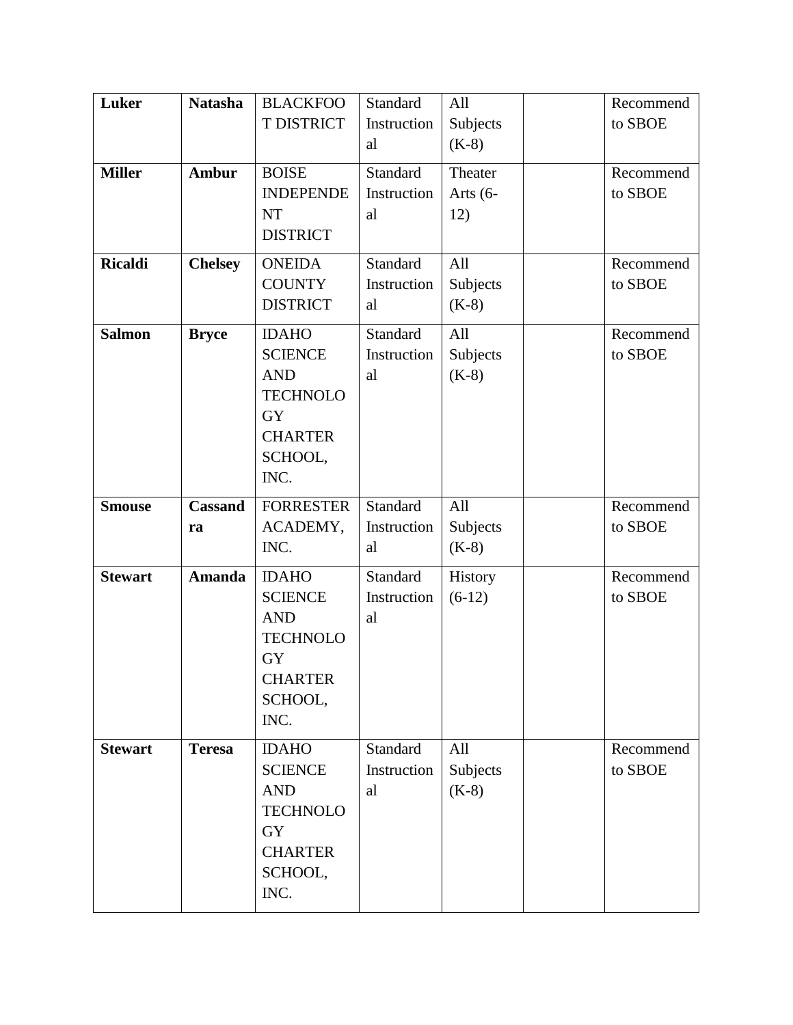| Luker          | <b>Natasha</b> | <b>BLACKFOO</b>           | Standard    | All        | Recommend |
|----------------|----------------|---------------------------|-------------|------------|-----------|
|                |                | T DISTRICT                | Instruction | Subjects   | to SBOE   |
|                |                |                           | al          | $(K-8)$    |           |
| <b>Miller</b>  | Ambur          | <b>BOISE</b>              | Standard    | Theater    | Recommend |
|                |                | <b>INDEPENDE</b>          | Instruction | Arts $(6-$ | to SBOE   |
|                |                | <b>NT</b>                 | al          | 12)        |           |
|                |                | <b>DISTRICT</b>           |             |            |           |
| <b>Ricaldi</b> | <b>Chelsey</b> | <b>ONEIDA</b>             | Standard    | All        | Recommend |
|                |                | <b>COUNTY</b>             | Instruction | Subjects   | to SBOE   |
|                |                | <b>DISTRICT</b>           | al          | $(K-8)$    |           |
| <b>Salmon</b>  | <b>Bryce</b>   | <b>IDAHO</b>              | Standard    | All        | Recommend |
|                |                | <b>SCIENCE</b>            | Instruction | Subjects   | to SBOE   |
|                |                | <b>AND</b>                | al          | $(K-8)$    |           |
|                |                | <b>TECHNOLO</b>           |             |            |           |
|                |                | <b>GY</b>                 |             |            |           |
|                |                | <b>CHARTER</b>            |             |            |           |
|                |                | SCHOOL,                   |             |            |           |
|                |                | INC.                      |             |            |           |
| <b>Smouse</b>  | <b>Cassand</b> | <b>FORRESTER</b>          | Standard    | All        | Recommend |
|                | ra             | ACADEMY,                  | Instruction | Subjects   | to SBOE   |
|                |                | INC.                      | al          | $(K-8)$    |           |
| <b>Stewart</b> | <b>Amanda</b>  | <b>IDAHO</b>              | Standard    | History    | Recommend |
|                |                | <b>SCIENCE</b>            | Instruction | $(6-12)$   | to SBOE   |
|                |                | <b>AND</b>                | al          |            |           |
|                |                | <b>TECHNOLO</b>           |             |            |           |
|                |                | <b>GY</b>                 |             |            |           |
|                |                | <b>CHARTER</b><br>SCHOOL, |             |            |           |
|                |                | INC.                      |             |            |           |
| <b>Stewart</b> | <b>Teresa</b>  | <b>IDAHO</b>              | Standard    | All        | Recommend |
|                |                | <b>SCIENCE</b>            | Instruction | Subjects   | to SBOE   |
|                |                | <b>AND</b>                | al          | $(K-8)$    |           |
|                |                | <b>TECHNOLO</b>           |             |            |           |
|                |                | <b>GY</b>                 |             |            |           |
|                |                | <b>CHARTER</b>            |             |            |           |
|                |                | SCHOOL,                   |             |            |           |
|                |                | INC.                      |             |            |           |
|                |                |                           |             |            |           |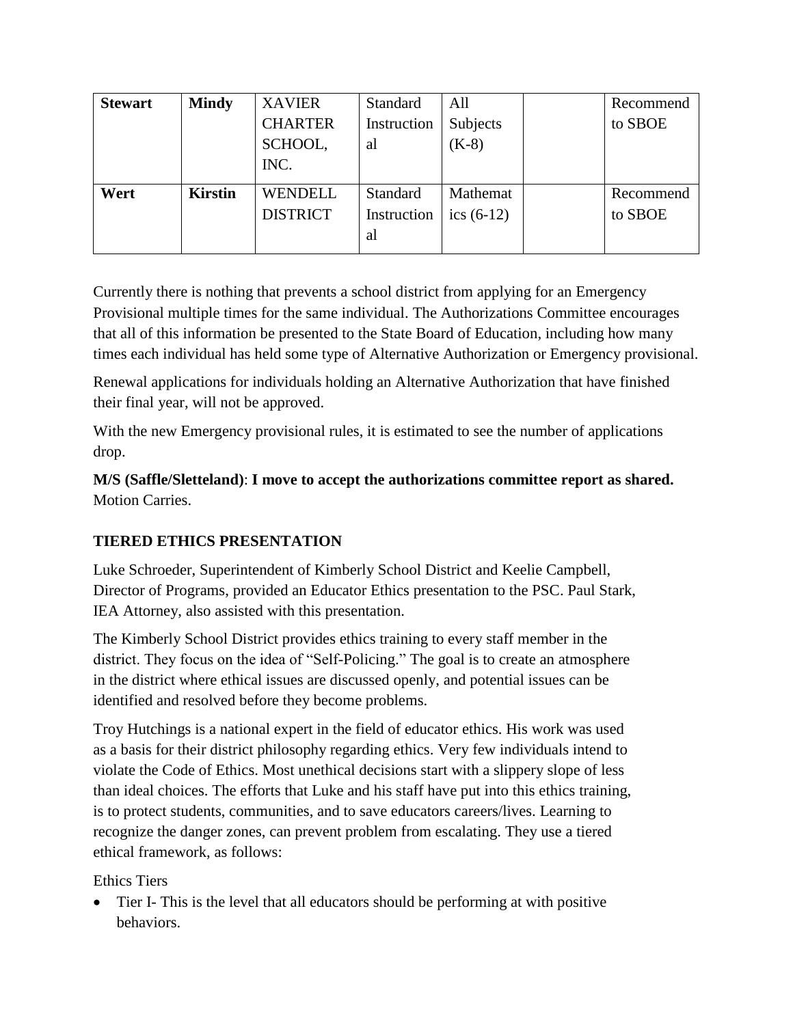| <b>Stewart</b> | <b>Mindy</b>   | <b>XAVIER</b>   | <b>Standard</b> | All          | Recommend |
|----------------|----------------|-----------------|-----------------|--------------|-----------|
|                |                | <b>CHARTER</b>  | Instruction     | Subjects     | to SBOE   |
|                |                | SCHOOL,         | al              | $(K-8)$      |           |
|                |                | INC.            |                 |              |           |
| Wert           | <b>Kirstin</b> | <b>WENDELL</b>  | <b>Standard</b> | Mathemat     | Recommend |
|                |                | <b>DISTRICT</b> | Instruction     | ics $(6-12)$ | to SBOE   |
|                |                |                 | al              |              |           |

Currently there is nothing that prevents a school district from applying for an Emergency Provisional multiple times for the same individual. The Authorizations Committee encourages that all of this information be presented to the State Board of Education, including how many times each individual has held some type of Alternative Authorization or Emergency provisional.

Renewal applications for individuals holding an Alternative Authorization that have finished their final year, will not be approved.

With the new Emergency provisional rules, it is estimated to see the number of applications drop.

**M/S (Saffle/Sletteland)**: **I move to accept the authorizations committee report as shared.**  Motion Carries.

# **TIERED ETHICS PRESENTATION**

Luke Schroeder, Superintendent of Kimberly School District and Keelie Campbell, Director of Programs, provided an Educator Ethics presentation to the PSC. Paul Stark, IEA Attorney, also assisted with this presentation.

The Kimberly School District provides ethics training to every staff member in the district. They focus on the idea of "Self-Policing." The goal is to create an atmosphere in the district where ethical issues are discussed openly, and potential issues can be identified and resolved before they become problems.

Troy Hutchings is a national expert in the field of educator ethics. His work was used as a basis for their district philosophy regarding ethics. Very few individuals intend to violate the Code of Ethics. Most unethical decisions start with a slippery slope of less than ideal choices. The efforts that Luke and his staff have put into this ethics training, is to protect students, communities, and to save educators careers/lives. Learning to recognize the danger zones, can prevent problem from escalating. They use a tiered ethical framework, as follows:

Ethics Tiers

• Tier I- This is the level that all educators should be performing at with positive behaviors.